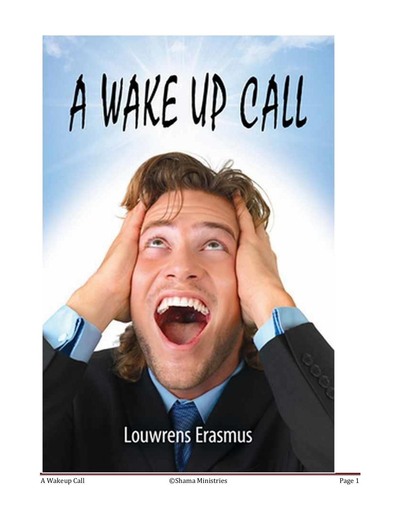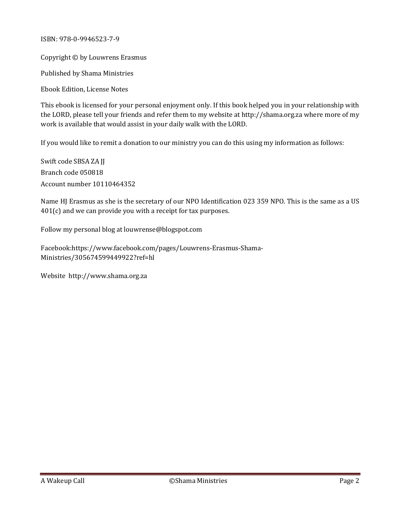ISBN: 978-0-9946523-7-9

Copyright © by Louwrens Erasmus

Published by Shama Ministries

Ebook Edition, License Notes

This ebook is licensed for your personal enjoyment only. If this book helped you in your relationship with the LORD, please tell your friends and refer them to my website at http://shama.org.za where more of my work is available that would assist in your daily walk with the LORD.

If you would like to remit a donation to our ministry you can do this using my information as follows:

Swift code SBSA ZA JJ Branch code 050818 Account number 10110464352

Name HJ Erasmus as she is the secretary of our NPO Identification 023 359 NPO. This is the same as a US 401(c) and we can provide you with a receipt for tax purposes.

Follow my personal blog at louwrense@blogspot.com

Facebook:https://www.facebook.com/pages/Louwrens-Erasmus-Shama-Ministries/305674599449922?ref=hl

Website http://www.shama.org.za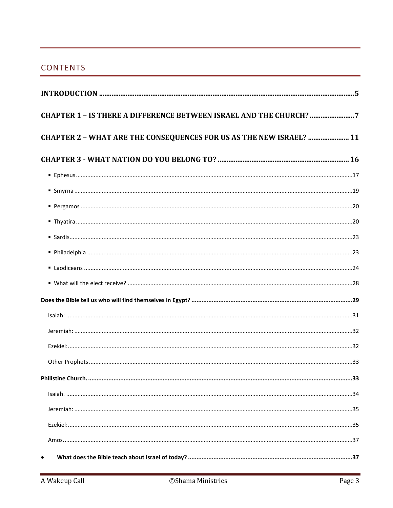# **CONTENTS**

| CHAPTER 1 - IS THERE A DIFFERENCE BETWEEN ISRAEL AND THE CHURCH?           |  |
|----------------------------------------------------------------------------|--|
| <b>CHAPTER 2 - WHAT ARE THE CONSEQUENCES FOR US AS THE NEW ISRAEL?  11</b> |  |
|                                                                            |  |
|                                                                            |  |
|                                                                            |  |
|                                                                            |  |
|                                                                            |  |
|                                                                            |  |
|                                                                            |  |
|                                                                            |  |
|                                                                            |  |
|                                                                            |  |
|                                                                            |  |
|                                                                            |  |
|                                                                            |  |
|                                                                            |  |
|                                                                            |  |
|                                                                            |  |
|                                                                            |  |
|                                                                            |  |
|                                                                            |  |
|                                                                            |  |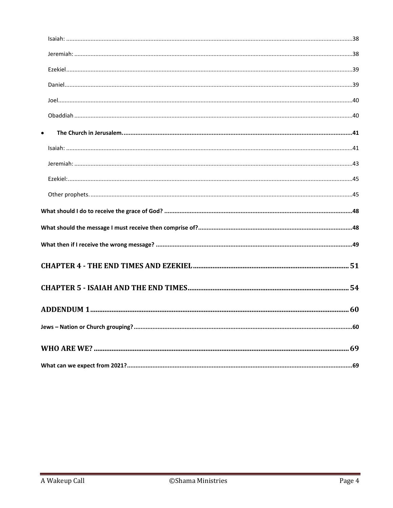| $\bullet$ |  |
|-----------|--|
|           |  |
|           |  |
|           |  |
|           |  |
|           |  |
|           |  |
|           |  |
|           |  |
|           |  |
|           |  |
|           |  |
|           |  |
|           |  |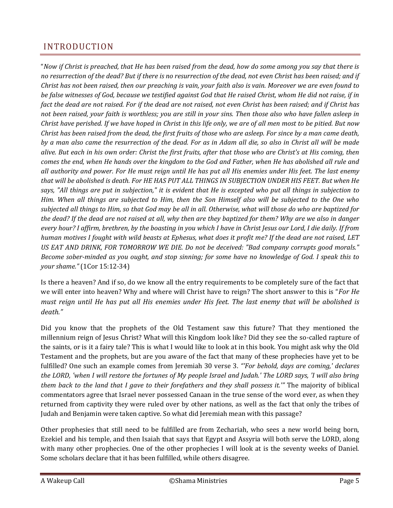# <span id="page-4-0"></span>INTRODUCTION

"*Now if Christ is preached, that He has been raised from the dead, how do some among you say that there is no resurrection of the dead? But if there is no resurrection of the dead, not even Christ has been raised; and if Christ has not been raised, then our preaching is vain, your faith also is vain. Moreover we are even found to be false witnesses of God, because we testified against God that He raised Christ, whom He did not raise, if in fact the dead are not raised. For if the dead are not raised, not even Christ has been raised; and if Christ has not been raised, your faith is worthless; you are still in your sins. Then those also who have fallen asleep in Christ have perished. If we have hoped in Christ in this life only, we are of all men most to be pitied. But now Christ has been raised from the dead, the first fruits of those who are asleep. For since by a man came death, by a man also came the resurrection of the dead. For as in Adam all die, so also in Christ all will be made alive. But each in his own order: Christ the first fruits, after that those who are Christ's at His coming, then comes the end, when He hands over the kingdom to the God and Father, when He has abolished all rule and all authority and power. For He must reign until He has put all His enemies under His feet. The last enemy that will be abolished is death. For HE HAS PUT ALL THINGS IN SUBJECTION UNDER HIS FEET. But when He says, "All things are put in subjection," it is evident that He is excepted who put all things in subjection to Him. When all things are subjected to Him, then the Son Himself also will be subjected to the One who subjected all things to Him, so that God may be all in all. Otherwise, what will those do who are baptized for the dead? If the dead are not raised at all, why then are they baptized for them? Why are we also in danger every hour? I affirm, brethren, by the boasting in you which I have in Christ Jesus our Lord, I die daily. If from human motives I fought with wild beasts at Ephesus, what does it profit me? If the dead are not raised, LET US EAT AND DRINK, FOR TOMORROW WE DIE. Do not be deceived: "Bad company corrupts good morals." Become sober-minded as you ought, and stop sinning; for some have no knowledge of God. I speak this to your shame."* (1Cor 15:12-34)

Is there a heaven? And if so, do we know all the entry requirements to be completely sure of the fact that we will enter into heaven? Why and where will Christ have to reign? The short answer to this is "*For He must reign until He has put all His enemies under His feet. The last enemy that will be abolished is death."* 

Did you know that the prophets of the Old Testament saw this future? That they mentioned the millennium reign of Jesus Christ? What will this Kingdom look like? Did they see the so-called rapture of the saints, or is it a fairy tale? This is what I would like to look at in this book. You might ask why the Old Testament and the prophets, but are you aware of the fact that many of these prophecies have yet to be fulfilled? One such an example comes from Jeremiah 30 verse 3. *"'For behold, days are coming,' declares the LORD, 'when I will restore the fortunes of My people Israel and Judah.' The LORD says, 'I will also bring them back to the land that I gave to their forefathers and they shall possess it.'"* The majority of biblical commentators agree that Israel never possessed Canaan in the true sense of the word ever, as when they returned from captivity they were ruled over by other nations, as well as the fact that only the tribes of Judah and Benjamin were taken captive. So what did Jeremiah mean with this passage?

Other prophesies that still need to be fulfilled are from Zechariah, who sees a new world being born, Ezekiel and his temple, and then Isaiah that says that Egypt and Assyria will both serve the LORD, along with many other prophecies. One of the other prophecies I will look at is the seventy weeks of Daniel. Some scholars declare that it has been fulfilled, while others disagree.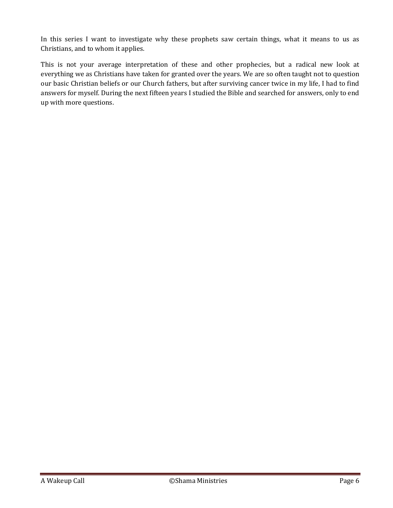In this series I want to investigate why these prophets saw certain things, what it means to us as Christians, and to whom it applies.

This is not your average interpretation of these and other prophecies, but a radical new look at everything we as Christians have taken for granted over the years. We are so often taught not to question our basic Christian beliefs or our Church fathers, but after surviving cancer twice in my life, I had to find answers for myself. During the next fifteen years I studied the Bible and searched for answers, only to end up with more questions.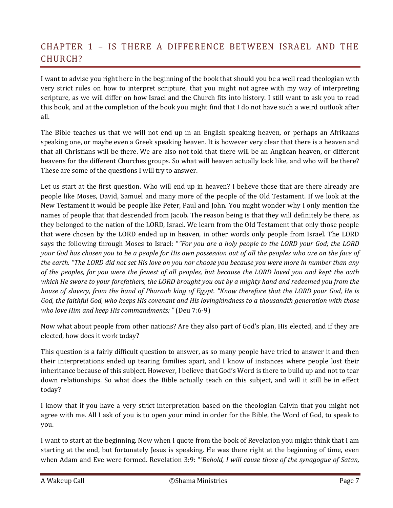# <span id="page-6-0"></span>CHAPTER 1 – IS THERE A DIFFERENCE BETWEEN ISRAEL AND THE CHURCH?

I want to advise you right here in the beginning of the book that should you be a well read theologian with very strict rules on how to interpret scripture, that you might not agree with my way of interpreting scripture, as we will differ on how Israel and the Church fits into history. I still want to ask you to read this book, and at the completion of the book you might find that I do not have such a weird outlook after all.

The Bible teaches us that we will not end up in an English speaking heaven, or perhaps an Afrikaans speaking one, or maybe even a Greek speaking heaven. It is however very clear that there is a heaven and that all Christians will be there. We are also not told that there will be an Anglican heaven, or different heavens for the different Churches groups. So what will heaven actually look like, and who will be there? These are some of the questions I will try to answer.

Let us start at the first question. Who will end up in heaven? I believe those that are there already are people like Moses, David, Samuel and many more of the people of the Old Testament. If we look at the New Testament it would be people like Peter, Paul and John. You might wonder why I only mention the names of people that that descended from Jacob. The reason being is that they will definitely be there, as they belonged to the nation of the LORD, Israel. We learn from the Old Testament that only those people that were chosen by the LORD ended up in heaven, in other words only people from Israel. The LORD says the following through Moses to Israel: "*"For you are a holy people to the LORD your God; the LORD your God has chosen you to be a people for His own possession out of all the peoples who are on the face of the earth. "The LORD did not set His love on you nor choose you because you were more in number than any of the peoples, for you were the fewest of all peoples, but because the LORD loved you and kept the oath which He swore to your forefathers, the LORD brought you out by a mighty hand and redeemed you from the house of slavery, from the hand of Pharaoh king of Egypt. "Know therefore that the LORD your God, He is God, the faithful God, who keeps His covenant and His lovingkindness to a thousandth generation with those who love Him and keep His commandments; "* (Deu 7:6-9)

Now what about people from other nations? Are they also part of God's plan, His elected, and if they are elected, how does it work today?

This question is a fairly difficult question to answer, as so many people have tried to answer it and then their interpretations ended up tearing families apart, and I know of instances where people lost their inheritance because of this subject. However, I believe that God's Word is there to build up and not to tear down relationships. So what does the Bible actually teach on this subject, and will it still be in effect today?

I know that if you have a very strict interpretation based on the theologian Calvin that you might not agree with me. All I ask of you is to open your mind in order for the Bible, the Word of God, to speak to you.

I want to start at the beginning. Now when I quote from the book of Revelation you might think that I am starting at the end, but fortunately Jesus is speaking. He was there right at the beginning of time, even when Adam and Eve were formed. Revelation 3:9: "*'Behold, I will cause those of the synagogue of Satan,*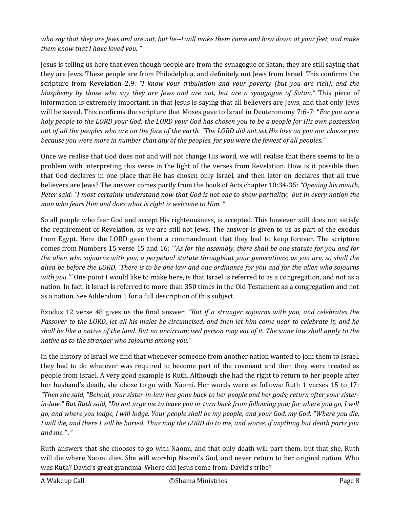*who say that they are Jews and are not, but lie--I will make them come and bow down at your feet, and make them know that I have loved you. "*

Jesus is telling us here that even though people are from the synagogue of Satan; they are still saying that they are Jews. These people are from Philadelphia, and definitely not Jews from Israel. This confirms the scripture from Revelation 2:9: *"I know your tribulation and your poverty (but you are rich), and the blasphemy by those who say they are Jews and are not, but are a synagogue of Satan."* This piece of information is extremely important, in that Jesus is saying that all believers are Jews, and that only Jews will be saved. This confirms the scripture that Moses gave to Israel in Deuteronomy 7:6-7: "*For you are a holy people to the LORD your God; the LORD your God has chosen you to be a people for His own possession out of all the peoples who are on the face of the earth. "The LORD did not set His love on you nor choose you because you were more in number than any of the peoples, for you were the fewest of all peoples."*

Once we realise that God does not and will not change His word, we will realise that there seems to be a problem with interpreting this verse in the light of the verses from Revelation. How is it possible then that God declares in one place that He has chosen only Israel, and then later on declares that all true believers are Jews? The answer comes partly from the book of Acts chapter 10:34-35: *"Opening his mouth, Peter said: "I most certainly understand now that God is not one to show partiality, but in every nation the man who fears Him and does what is right is welcome to Him. "* 

So all people who fear God and accept His righteousness, is accepted. This however still does not satisfy the requirement of Revelation, as we are still not Jews. The answer is given to us as part of the exodus from Egypt. Here the LORD gave them a commandment that they had to keep forever. The scripture comes from Numbers 15 verse 15 and 16: *"'As for the assembly, there shall be one statute for you and for the alien who sojourns with you, a perpetual statute throughout your generations; as you are, so shall the alien be before the LORD. 'There is to be one law and one ordinance for you and for the alien who sojourns with you.'"* One point I would like to make here, is that Israel is referred to as a congregation, and not as a nation. In fact, it Israel is referred to more than 350 times in the Old Testament as a congregation and not as a nation. See Addendum 1 for a full description of this subject.

Exodus 12 verse 48 gives us the final answer: *"But if a stranger sojourns with you, and celebrates the Passover to the LORD, let all his males be circumcised, and then let him come near to celebrate it; and he shall be like a native of the land. But no uncircumcised person may eat of it. The same law shall apply to the native as to the stranger who sojourns among you."*

In the history of Israel we find that whenever someone from another nation wanted to join them to Israel, they had to do whatever was required to become part of the covenant and then they were treated as people from Israel. A very good example is Ruth. Although she had the right to return to her people after her husband's death, she chose to go with Naomi. Her words were as follows: Ruth 1 verses 15 to 17: *"Then she said, "Behold, your sister-in-law has gone back to her people and her gods; return after your sister*in-law." But Ruth said, "Do not urge me to leave you or turn back from following you; for where you go, I will *go, and where you lodge, I will lodge. Your people shall be my people, and your God, my God. "Where you die, I will die, and there I will be buried. Thus may the LORD do to me, and worse, if anything but death parts you and me." ."*

Ruth answers that she chooses to go with Naomi, and that only death will part them, but that she, Ruth will die where Naomi dies. She will worship Naomi's God, and never return to her original nation. Who was Ruth? David's great grandma. Where did Jesus come from: David's tribe?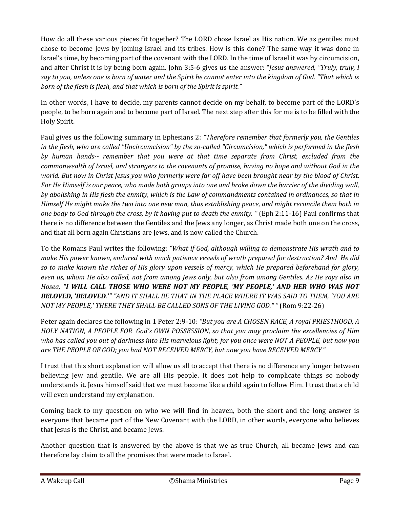How do all these various pieces fit together? The LORD chose Israel as His nation. We as gentiles must chose to become Jews by joining Israel and its tribes. How is this done? The same way it was done in Israel's time, by becoming part of the covenant with the LORD. In the time of Israel it was by circumcision, and after Christ it is by being born again. John 3:5-6 gives us the answer: "*Jesus answered, "Truly, truly, I say to you, unless one is born of water and the Spirit he cannot enter into the kingdom of God. "That which is born of the flesh is flesh, and that which is born of the Spirit is spirit."*

In other words, I have to decide, my parents cannot decide on my behalf, to become part of the LORD's people, to be born again and to become part of Israel. The next step after this for me is to be filled with the Holy Spirit.

Paul gives us the following summary in Ephesians 2: *"Therefore remember that formerly you, the Gentiles in the flesh, who are called "Uncircumcision" by the so-called "Circumcision," which is performed in the flesh by human hands-- remember that you were at that time separate from Christ, excluded from the commonwealth of Israel, and strangers to the covenants of promise, having no hope and without God in the world. But now in Christ Jesus you who formerly were far off have been brought near by the blood of Christ. For He Himself is our peace, who made both groups into one and broke down the barrier of the dividing wall, by abolishing in His flesh the enmity, which is the Law of commandments contained in ordinances, so that in Himself He might make the two into one new man, thus establishing peace, and might reconcile them both in one body to God through the cross, by it having put to death the enmity. "* (Eph 2:11-16) Paul confirms that there is no difference between the Gentiles and the Jews any longer, as Christ made both one on the cross, and that all born again Christians are Jews, and is now called the Church.

To the Romans Paul writes the following: *"What if God, although willing to demonstrate His wrath and to make His power known, endured with much patience vessels of wrath prepared for destruction? And He did so to make known the riches of His glory upon vessels of mercy, which He prepared beforehand for glory, even us, whom He also called, not from among Jews only, but also from among Gentiles. As He says also in Hosea, "I WILL CALL THOSE WHO WERE NOT MY PEOPLE, 'MY PEOPLE,' AND HER WHO WAS NOT BELOVED, 'BELOVED.'" "AND IT SHALL BE THAT IN THE PLACE WHERE IT WAS SAID TO THEM, 'YOU ARE NOT MY PEOPLE,' THERE THEY SHALL BE CALLED SONS OF THE LIVING GOD." "* (Rom 9:22-26)

Peter again declares the following in 1 Peter 2:9-10: *"But you are A CHOSEN RACE, A royal PRIESTHOOD, A HOLY NATION, A PEOPLE FOR God's OWN POSSESSION, so that you may proclaim the excellencies of Him who has called you out of darkness into His marvelous light; for you once were NOT A PEOPLE, but now you are THE PEOPLE OF GOD; you had NOT RECEIVED MERCY, but now you have RECEIVED MERCY* "

I trust that this short explanation will allow us all to accept that there is no difference any longer between believing Jew and gentile. We are all His people. It does not help to complicate things so nobody understands it. Jesus himself said that we must become like a child again to follow Him. I trust that a child will even understand my explanation.

Coming back to my question on who we will find in heaven, both the short and the long answer is everyone that became part of the New Covenant with the LORD, in other words, everyone who believes that Jesus is the Christ, and became Jews.

Another question that is answered by the above is that we as true Church, all became Jews and can therefore lay claim to all the promises that were made to Israel.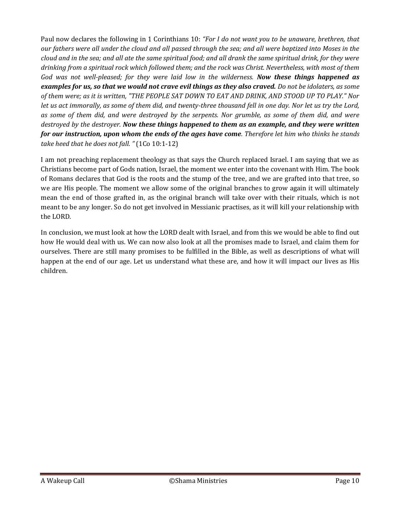Paul now declares the following in 1 Corinthians 10: *"For I do not want you to be unaware, brethren, that our fathers were all under the cloud and all passed through the sea; and all were baptized into Moses in the cloud and in the sea; and all ate the same spiritual food; and all drank the same spiritual drink, for they were drinking from a spiritual rock which followed them; and the rock was Christ. Nevertheless, with most of them God was not well-pleased; for they were laid low in the wilderness. Now these things happened as examples for us, so that we would not crave evil things as they also craved. Do not be idolaters, as some of them were; as it is written, "THE PEOPLE SAT DOWN TO EAT AND DRINK, AND STOOD UP TO PLAY." Nor let us act immorally, as some of them did, and twenty-three thousand fell in one day. Nor let us try the Lord, as some of them did, and were destroyed by the serpents. Nor grumble, as some of them did, and were destroyed by the destroyer. Now these things happened to them as an example, and they were written for our instruction, upon whom the ends of the ages have come. Therefore let him who thinks he stands take heed that he does not fall. "* (1Co 10:1-12)

I am not preaching replacement theology as that says the Church replaced Israel. I am saying that we as Christians become part of Gods nation, Israel, the moment we enter into the covenant with Him. The book of Romans declares that God is the roots and the stump of the tree, and we are grafted into that tree, so we are His people. The moment we allow some of the original branches to grow again it will ultimately mean the end of those grafted in, as the original branch will take over with their rituals, which is not meant to be any longer. So do not get involved in Messianic practises, as it will kill your relationship with the LORD.

In conclusion, we must look at how the LORD dealt with Israel, and from this we would be able to find out how He would deal with us. We can now also look at all the promises made to Israel, and claim them for ourselves. There are still many promises to be fulfilled in the Bible, as well as descriptions of what will happen at the end of our age. Let us understand what these are, and how it will impact our lives as His children.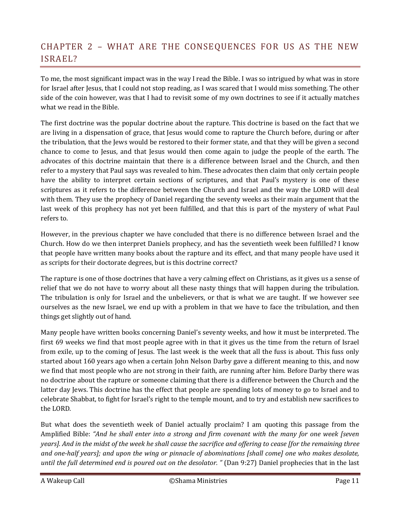# <span id="page-10-0"></span>CHAPTER 2 – WHAT ARE THE CONSEQUENCES FOR US AS THE NEW ISRAEL?

To me, the most significant impact was in the way I read the Bible. I was so intrigued by what was in store for Israel after Jesus, that I could not stop reading, as I was scared that I would miss something. The other side of the coin however, was that I had to revisit some of my own doctrines to see if it actually matches what we read in the Bible.

The first doctrine was the popular doctrine about the rapture. This doctrine is based on the fact that we are living in a dispensation of grace, that Jesus would come to rapture the Church before, during or after the tribulation, that the Jews would be restored to their former state, and that they will be given a second chance to come to Jesus, and that Jesus would then come again to judge the people of the earth. The advocates of this doctrine maintain that there is a difference between Israel and the Church, and then refer to a mystery that Paul says was revealed to him. These advocates then claim that only certain people have the ability to interpret certain sections of scriptures, and that Paul's mystery is one of these scriptures as it refers to the difference between the Church and Israel and the way the LORD will deal with them. They use the prophecy of Daniel regarding the seventy weeks as their main argument that the last week of this prophecy has not yet been fulfilled, and that this is part of the mystery of what Paul refers to.

However, in the previous chapter we have concluded that there is no difference between Israel and the Church. How do we then interpret Daniels prophecy, and has the seventieth week been fulfilled? I know that people have written many books about the rapture and its effect, and that many people have used it as scripts for their doctorate degrees, but is this doctrine correct?

The rapture is one of those doctrines that have a very calming effect on Christians, as it gives us a sense of relief that we do not have to worry about all these nasty things that will happen during the tribulation. The tribulation is only for Israel and the unbelievers, or that is what we are taught. If we however see ourselves as the new Israel, we end up with a problem in that we have to face the tribulation, and then things get slightly out of hand.

Many people have written books concerning Daniel's seventy weeks, and how it must be interpreted. The first 69 weeks we find that most people agree with in that it gives us the time from the return of Israel from exile, up to the coming of Jesus. The last week is the week that all the fuss is about. This fuss only started about 160 years ago when a certain John Nelson Darby gave a different meaning to this, and now we find that most people who are not strong in their faith, are running after him. Before Darby there was no doctrine about the rapture or someone claiming that there is a difference between the Church and the latter day Jews. This doctrine has the effect that people are spending lots of money to go to Israel and to celebrate Shabbat, to fight for Israel's right to the temple mount, and to try and establish new sacrifices to the LORD.

But what does the seventieth week of Daniel actually proclaim? I am quoting this passage from the Amplified Bible: *"And he shall enter into a strong and firm covenant with the many for one week [seven years]. And in the midst of the week he shall cause the sacrifice and offering to cease [for the remaining three and one-half years]; and upon the wing or pinnacle of abominations [shall come] one who makes desolate, until the full determined end is poured out on the desolator. "* (Dan 9:27) Daniel prophecies that in the last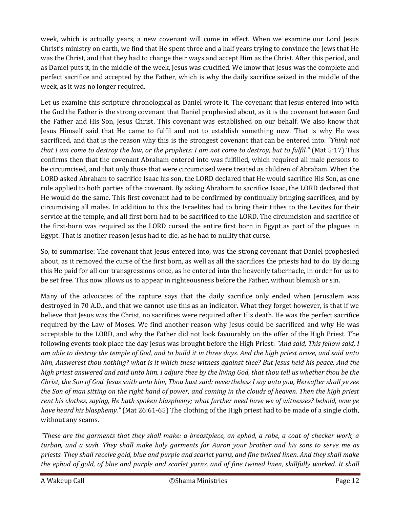week, which is actually years, a new covenant will come in effect. When we examine our Lord Jesus Christ's ministry on earth, we find that He spent three and a half years trying to convince the Jews that He was the Christ, and that they had to change their ways and accept Him as the Christ. After this period, and as Daniel puts it, in the middle of the week, Jesus was crucified. We know that Jesus was the complete and perfect sacrifice and accepted by the Father, which is why the daily sacrifice seized in the middle of the week, as it was no longer required.

Let us examine this scripture chronological as Daniel wrote it. The covenant that Jesus entered into with the God the Father is the strong covenant that Daniel prophesied about, as it is the covenant between God the Father and His Son, Jesus Christ. This covenant was established on our behalf. We also know that Jesus Himself said that He came to fulfil and not to establish something new. That is why He was sacrificed, and that is the reason why this is the strongest covenant that can be entered into. *"Think not that I am come to destroy the law, or the prophets: I am not come to destroy, but to fulfil."* (Mat 5:17) This confirms then that the covenant Abraham entered into was fulfilled, which required all male persons to be circumcised, and that only those that were circumcised were treated as children of Abraham. When the LORD asked Abraham to sacrifice Isaac his son, the LORD declared that He would sacrifice His Son, as one rule applied to both parties of the covenant. By asking Abraham to sacrifice Isaac, the LORD declared that He would do the same. This first covenant had to be confirmed by continually bringing sacrifices, and by circumcising all males. In addition to this the Israelites had to bring their tithes to the Levites for their service at the temple, and all first born had to be sacrificed to the LORD. The circumcision and sacrifice of the first-born was required as the LORD cursed the entire first born in Egypt as part of the plagues in Egypt. That is another reason Jesus had to die, as he had to nullify that curse.

So, to summarise: The covenant that Jesus entered into, was the strong covenant that Daniel prophesied about, as it removed the curse of the first born, as well as all the sacrifices the priests had to do. By doing this He paid for all our transgressions once, as he entered into the heavenly tabernacle, in order for us to be set free. This now allows us to appear in righteousness before the Father, without blemish or sin.

Many of the advocates of the rapture says that the daily sacrifice only ended when Jerusalem was destroyed in 70 A.D., and that we cannot use this as an indicator. What they forget however, is that if we believe that Jesus was the Christ, no sacrifices were required after His death. He was the perfect sacrifice required by the Law of Moses. We find another reason why Jesus could be sacrificed and why He was acceptable to the LORD, and why the Father did not look favourably on the offer of the High Priest. The following events took place the day Jesus was brought before the High Priest: *"And said, This fellow said, I am able to destroy the temple of God, and to build it in three days. And the high priest arose, and said unto him, Answerest thou nothing? what is it which these witness against thee? But Jesus held his peace. And the high priest answered and said unto him, I adjure thee by the living God, that thou tell us whether thou be the Christ, the Son of God. Jesus saith unto him, Thou hast said: nevertheless I say unto you, Hereafter shall ye see the Son of man sitting on the right hand of power, and coming in the clouds of heaven. Then the high priest rent his clothes, saying, He hath spoken blasphemy; what further need have we of witnesses? behold, now ye have heard his blasphemy."* (Mat 26:61-65) The clothing of the High priest had to be made of a single cloth, without any seams.

*"These are the garments that they shall make: a breastpiece, an ephod, a robe, a coat of checker work, a turban, and a sash. They shall make holy garments for Aaron your brother and his sons to serve me as priests. They shall receive gold, blue and purple and scarlet yarns, and fine twined linen. And they shall make the ephod of gold, of blue and purple and scarlet yarns, and of fine twined linen, skillfully worked. It shall*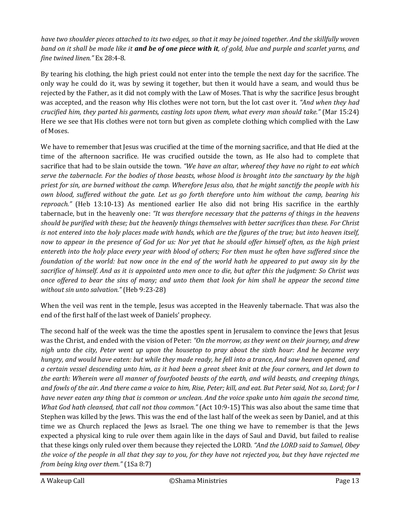*have two shoulder pieces attached to its two edges, so that it may be joined together. And the skillfully woven band on it shall be made like it and be of one piece with it, of gold, blue and purple and scarlet yarns, and fine twined linen."* Ex 28:4-8.

By tearing his clothing, the high priest could not enter into the temple the next day for the sacrifice. The only way he could do it, was by sewing it together, but then it would have a seam, and would thus be rejected by the Father, as it did not comply with the Law of Moses. That is why the sacrifice Jesus brought was accepted, and the reason why His clothes were not torn, but the lot cast over it. *"And when they had crucified him, they parted his garments, casting lots upon them, what every man should take."* (Mar 15:24) Here we see that His clothes were not torn but given as complete clothing which complied with the Law of Moses.

We have to remember that Jesus was crucified at the time of the morning sacrifice, and that He died at the time of the afternoon sacrifice. He was crucified outside the town, as He also had to complete that sacrifice that had to be slain outside the town. *"We have an altar, whereof they have no right to eat which serve the tabernacle. For the bodies of those beasts, whose blood is brought into the sanctuary by the high priest for sin, are burned without the camp. Wherefore Jesus also, that he might sanctify the people with his own blood, suffered without the gate. Let us go forth therefore unto him without the camp, bearing his reproach."* (Heb 13:10-13) As mentioned earlier He also did not bring His sacrifice in the earthly tabernacle, but in the heavenly one: *"It was therefore necessary that the patterns of things in the heavens should be purified with these; but the heavenly things themselves with better sacrifices than these. For Christ is not entered into the holy places made with hands, which are the figures of the true; but into heaven itself, now to appear in the presence of God for us: Nor yet that he should offer himself often, as the high priest entereth into the holy place every year with blood of others; For then must he often have suffered since the foundation of the world: but now once in the end of the world hath he appeared to put away sin by the sacrifice of himself. And as it is appointed unto men once to die, but after this the judgment: So Christ was once offered to bear the sins of many; and unto them that look for him shall he appear the second time without sin unto salvation."* (Heb 9:23-28)

When the veil was rent in the temple, Jesus was accepted in the Heavenly tabernacle. That was also the end of the first half of the last week of Daniels' prophecy.

The second half of the week was the time the apostles spent in Jerusalem to convince the Jews that Jesus was the Christ, and ended with the vision of Peter: *"On the morrow, as they went on their journey, and drew nigh unto the city, Peter went up upon the housetop to pray about the sixth hour: And he became very hungry, and would have eaten: but while they made ready, he fell into a trance, And saw heaven opened, and a certain vessel descending unto him, as it had been a great sheet knit at the four corners, and let down to the earth: Wherein were all manner of fourfooted beasts of the earth, and wild beasts, and creeping things, and fowls of the air. And there came a voice to him, Rise, Peter; kill, and eat. But Peter said, Not so, Lord; for I have never eaten any thing that is common or unclean. And the voice spake unto him again the second time, What God hath cleansed, that call not thou common."* (Act 10:9-15) This was also about the same time that Stephen was killed by the Jews. This was the end of the last half of the week as seen by Daniel, and at this time we as Church replaced the Jews as Israel. The one thing we have to remember is that the Jews expected a physical king to rule over them again like in the days of Saul and David, but failed to realise that these kings only ruled over them because they rejected the LORD. *"And the LORD said to Samuel, Obey the voice of the people in all that they say to you, for they have not rejected you, but they have rejected me from being king over them."* (1Sa 8:7)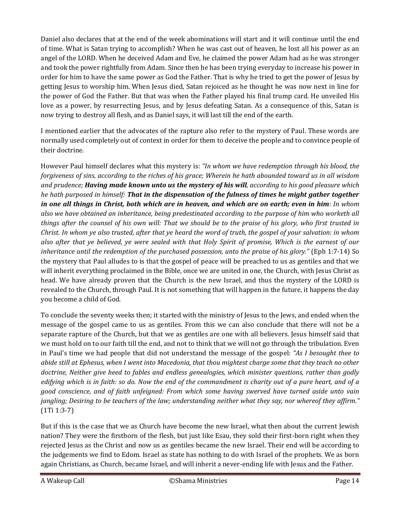Daniel also declares that at the end of the week abominations will start and it will continue until the end of time. What is Satan trying to accomplish? When he was cast out of heaven, he lost all his power as an angel of the LORD. When he deceived Adam and Eve, he claimed the power Adam had as he was stronger and took the power rightfully from Adam. Since then he has been trying everyday to increase his power in order for him to have the same power as God the Father. That is why he tried to get the power of Jesus by getting Jesus to worship him. When Jesus died, Satan rejoiced as he thought he was now next in line for the power of God the Father. But that was when the Father played his final trump card. He unveiled His love as a power, by resurrecting Jesus, and by Jesus defeating Satan. As a consequence of this, Satan is now trying to destroy all flesh, and as Daniel says, it will last till the end of the earth.

I mentioned earlier that the advocates of the rapture also refer to the mystery of Paul. These words are normally used completely out of context in order for them to deceive the people and to convince people of their doctrine.

However Paul himself declares what this mystery is: *"In whom we have redemption through his blood, the forgiveness of sins, according to the riches of his grace; Wherein he hath abounded toward us in all wisdom and prudence; Having made known unto us the mystery of his will, according to his good pleasure which he hath purposed in himself: That in the dispensation of the fulness of times he might gather together in one all things in Christ, both which are in heaven, and which are on earth; even in him: In whom also we have obtained an inheritance, being predestinated according to the purpose of him who worketh all things after the counsel of his own will: That we should be to the praise of his glory, who first trusted in Christ. In whom ye also trusted, after that ye heard the word of truth, the gospel of your salvation: in whom also after that ye believed, ye were sealed with that Holy Spirit of promise, Which is the earnest of our inheritance until the redemption of the purchased possession, unto the praise of his glory."* (Eph 1:7-14) So the mystery that Paul alludes to is that the gospel of peace will be preached to us as gentiles and that we will inherit everything proclaimed in the Bible, once we are united in one, the Church, with Jesus Christ as head. We have already proven that the Church is the new Israel, and thus the mystery of the LORD is revealed to the Church, through Paul. It is not something that will happen in the future, it happens the day you become a child of God.

To conclude the seventy weeks then; it started with the ministry of Jesus to the Jews, and ended when the message of the gospel came to us as gentiles. From this we can also conclude that there will not be a separate rapture of the Church, but that we as gentiles are one with all believers. Jesus himself said that we must hold on to our faith till the end, and not to think that we will not go through the tribulation. Even in Paul's time we had people that did not understand the message of the gospel: *"As I besought thee to abide still at Ephesus, when I went into Macedonia, that thou mightest charge some that they teach no other doctrine, Neither give heed to fables and endless genealogies, which minister questions, rather than godly edifying which is in faith: so do. Now the end of the commandment is charity out of a pure heart, and of a good conscience, and of faith unfeigned: From which some having swerved have turned aside unto vain jangling; Desiring to be teachers of the law; understanding neither what they say, nor whereof they affirm."* (1Ti 1:3-7)

But if this is the case that we as Church have become the new Israel, what then about the current Jewish nation? They were the firstborn of the flesh, but just like Esau, they sold their first-born right when they rejected Jesus as the Christ and now us as gentiles became the new Israel. Their end will be according to the judgements we find to Edom. Israel as state has nothing to do with Israel of the prophets. We as born again Christians, as Church, became Israel, and will inherit a never-ending life with Jesus and the Father.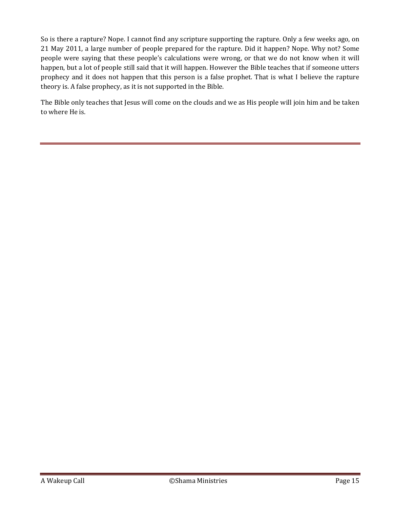So is there a rapture? Nope. I cannot find any scripture supporting the rapture. Only a few weeks ago, on 21 May 2011, a large number of people prepared for the rapture. Did it happen? Nope. Why not? Some people were saying that these people's calculations were wrong, or that we do not know when it will happen, but a lot of people still said that it will happen. However the Bible teaches that if someone utters prophecy and it does not happen that this person is a false prophet. That is what I believe the rapture theory is. A false prophecy, as it is not supported in the Bible.

The Bible only teaches that Jesus will come on the clouds and we as His people will join him and be taken to where He is.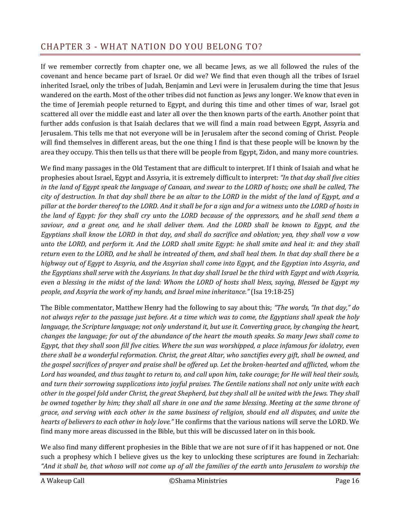# <span id="page-15-0"></span>CHAPTER 3 - WHAT NATION DO YOU BELONG TO?

If we remember correctly from chapter one, we all became Jews, as we all followed the rules of the covenant and hence became part of Israel. Or did we? We find that even though all the tribes of Israel inherited Israel, only the tribes of Judah, Benjamin and Levi were in Jerusalem during the time that Jesus wandered on the earth. Most of the other tribes did not function as Jews any longer. We know that even in the time of Jeremiah people returned to Egypt, and during this time and other times of war, Israel got scattered all over the middle east and later all over the then known parts of the earth. Another point that further adds confusion is that Isaiah declares that we will find a main road between Egypt, Assyria and Jerusalem. This tells me that not everyone will be in Jerusalem after the second coming of Christ. People will find themselves in different areas, but the one thing I find is that these people will be known by the area they occupy. This then tells us that there will be people from Egypt, Zidon, and many more countries.

We find many passages in the Old Testament that are difficult to interpret. If I think of Isaiah and what he prophesies about Israel, Egypt and Assyria, it is extremely difficult to interpret: *"In that day shall five cities in the land of Egypt speak the language of Canaan, and swear to the LORD of hosts; one shall be called, The city of destruction. In that day shall there be an altar to the LORD in the midst of the land of Egypt, and a pillar at the border thereof to the LORD. And it shall be for a sign and for a witness unto the LORD of hosts in the land of Egypt: for they shall cry unto the LORD because of the oppressors, and he shall send them a saviour, and a great one, and he shall deliver them. And the LORD shall be known to Egypt, and the Egyptians shall know the LORD in that day, and shall do sacrifice and oblation; yea, they shall vow a vow unto the LORD, and perform it. And the LORD shall smite Egypt: he shall smite and heal it: and they shall return even to the LORD, and he shall be intreated of them, and shall heal them. In that day shall there be a highway out of Egypt to Assyria, and the Assyrian shall come into Egypt, and the Egyptian into Assyria, and the Egyptians shall serve with the Assyrians. In that day shall Israel be the third with Egypt and with Assyria, even a blessing in the midst of the land: Whom the LORD of hosts shall bless, saying, Blessed be Egypt my people, and Assyria the work of my hands, and Israel mine inheritance."* (Isa 19:18-25)

The Bible commentator, Matthew Henry had the following to say about this; *"The words, "In that day," do not always refer to the passage just before. At a time which was to come, the Egyptians shall speak the holy language, the Scripture language; not only understand it, but use it. Converting grace, by changing the heart, changes the language; for out of the abundance of the heart the mouth speaks. So many Jews shall come to Egypt, that they shall soon fill five cities. Where the sun was worshipped, a place infamous for idolatry, even there shall be a wonderful reformation. Christ, the great Altar, who sanctifies every gift, shall be owned, and the gospel sacrifices of prayer and praise shall be offered up. Let the broken-hearted and afflicted, whom the Lord has wounded, and thus taught to return to, and call upon him, take courage; for He will heal their souls, and turn their sorrowing supplications into joyful praises. The Gentile nations shall not only unite with each other in the gospel fold under Christ, the great Shepherd, but they shall all be united with the Jews. They shall be owned together by him; they shall all share in one and the same blessing. Meeting at the same throne of grace, and serving with each other in the same business of religion, should end all disputes, and unite the hearts of believers to each other in holy love."* He confirms that the various nations will serve the LORD. We find many more areas discussed in the Bible, but this will be discussed later on in this book.

We also find many different prophesies in the Bible that we are not sure of if it has happened or not. One such a prophesy which I believe gives us the key to unlocking these scriptures are found in Zechariah: *"And it shall be, that whoso will not come up of all the families of the earth unto Jerusalem to worship the*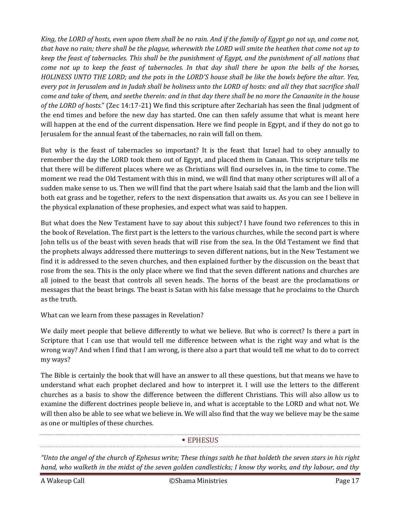*King, the LORD of hosts, even upon them shall be no rain. And if the family of Egypt go not up, and come not, that have no rain; there shall be the plague, wherewith the LORD will smite the heathen that come not up to keep the feast of tabernacles. This shall be the punishment of Egypt, and the punishment of all nations that come not up to keep the feast of tabernacles. In that day shall there be upon the bells of the horses, HOLINESS UNTO THE LORD; and the pots in the LORD'S house shall be like the bowls before the altar. Yea, every pot in Jerusalem and in Judah shall be holiness unto the LORD of hosts: and all they that sacrifice shall come and take of them, and seethe therein: and in that day there shall be no more the Canaanite in the house of the LORD of hosts.*" (Zec 14:17-21) We find this scripture after Zechariah has seen the final judgment of the end times and before the new day has started. One can then safely assume that what is meant here will happen at the end of the current dispensation. Here we find people in Egypt, and if they do not go to Jerusalem for the annual feast of the tabernacles, no rain will fall on them.

But why is the feast of tabernacles so important? It is the feast that Israel had to obey annually to remember the day the LORD took them out of Egypt, and placed them in Canaan. This scripture tells me that there will be different places where we as Christians will find ourselves in, in the time to come. The moment we read the Old Testament with this in mind, we will find that many other scriptures will all of a sudden make sense to us. Then we will find that the part where Isaiah said that the lamb and the lion will both eat grass and be together, refers to the next dispensation that awaits us. As you can see I believe in the physical explanation of these prophesies, and expect what was said to happen.

But what does the New Testament have to say about this subject? I have found two references to this in the book of Revelation. The first part is the letters to the various churches, while the second part is where John tells us of the beast with seven heads that will rise from the sea. In the Old Testament we find that the prophets always addressed there mutterings to seven different nations, but in the New Testament we find it is addressed to the seven churches, and then explained further by the discussion on the beast that rose from the sea. This is the only place where we find that the seven different nations and churches are all joined to the beast that controls all seven heads. The horns of the beast are the proclamations or messages that the beast brings. The beast is Satan with his false message that he proclaims to the Church as the truth.

What can we learn from these passages in Revelation?

We daily meet people that believe differently to what we believe. But who is correct? Is there a part in Scripture that I can use that would tell me difference between what is the right way and what is the wrong way? And when I find that I am wrong, is there also a part that would tell me what to do to correct my ways?

The Bible is certainly the book that will have an answer to all these questions, but that means we have to understand what each prophet declared and how to interpret it. I will use the letters to the different churches as a basis to show the difference between the different Christians. This will also allow us to examine the different doctrines people believe in, and what is acceptable to the LORD and what not. We will then also be able to see what we believe in. We will also find that the way we believe may be the same as one or multiples of these churches.

### ■ EPHESUS

<span id="page-16-0"></span>*"Unto the angel of the church of Ephesus write; These things saith he that holdeth the seven stars in his right hand, who walketh in the midst of the seven golden candlesticks; I know thy works, and thy labour, and thy*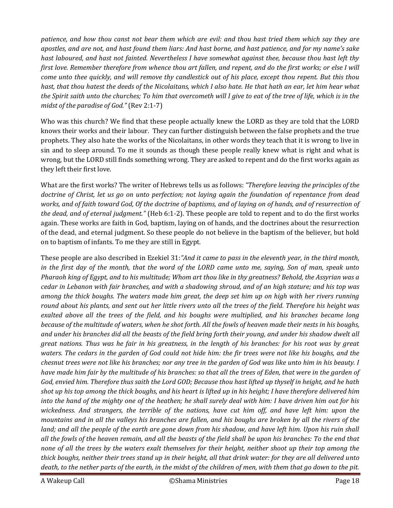*patience, and how thou canst not bear them which are evil: and thou hast tried them which say they are apostles, and are not, and hast found them liars: And hast borne, and hast patience, and for my name's sake hast laboured, and hast not fainted. Nevertheless I have somewhat against thee, because thou hast left thy first love. Remember therefore from whence thou art fallen, and repent, and do the first works; or else I will come unto thee quickly, and will remove thy candlestick out of his place, except thou repent. But this thou hast, that thou hatest the deeds of the Nicolaitans, which I also hate. He that hath an ear, let him hear what the Spirit saith unto the churches; To him that overcometh will I give to eat of the tree of life, which is in the midst of the paradise of God."* (Rev 2:1-7)

Who was this church? We find that these people actually knew the LORD as they are told that the LORD knows their works and their labour. They can further distinguish between the false prophets and the true prophets. They also hate the works of the Nicolaitans, in other words they teach that it is wrong to live in sin and to sleep around. To me it sounds as though these people really knew what is right and what is wrong, but the LORD still finds something wrong. They are asked to repent and do the first works again as they left their first love.

What are the first works? The writer of Hebrews tells us as follows: *"Therefore leaving the principles of the doctrine of Christ, let us go on unto perfection; not laying again the foundation of repentance from dead*  works, and of faith toward God, Of the doctrine of baptisms, and of laying on of hands, and of resurrection of *the dead, and of eternal judgment."* (Heb 6:1-2). These people are told to repent and to do the first works again. These works are faith in God, baptism, laying on of hands, and the doctrines about the resurrection of the dead, and eternal judgment. So these people do not believe in the baptism of the believer, but hold on to baptism of infants. To me they are still in Egypt.

These people are also described in Ezekiel 31:*"And it came to pass in the eleventh year, in the third month, in the first day of the month, that the word of the LORD came unto me, saying, Son of man, speak unto Pharaoh king of Egypt, and to his multitude; Whom art thou like in thy greatness? Behold, the Assyrian was a cedar in Lebanon with fair branches, and with a shadowing shroud, and of an high stature; and his top was among the thick boughs. The waters made him great, the deep set him up on high with her rivers running round about his plants, and sent out her little rivers unto all the trees of the field. Therefore his height was exalted above all the trees of the field, and his boughs were multiplied, and his branches became long because of the multitude of waters, when he shot forth. All the fowls of heaven made their nests in his boughs, and under his branches did all the beasts of the field bring forth their young, and under his shadow dwelt all great nations. Thus was he fair in his greatness, in the length of his branches: for his root was by great waters. The cedars in the garden of God could not hide him: the fir trees were not like his boughs, and the chesnut trees were not like his branches; nor any tree in the garden of God was like unto him in his beauty. I have made him fair by the multitude of his branches: so that all the trees of Eden, that were in the garden of God, envied him. Therefore thus saith the Lord GOD; Because thou hast lifted up thyself in height, and he hath shot up his top among the thick boughs, and his heart is lifted up in his height; I have therefore delivered him into the hand of the mighty one of the heathen; he shall surely deal with him: I have driven him out for his wickedness. And strangers, the terrible of the nations, have cut him off, and have left him: upon the mountains and in all the valleys his branches are fallen, and his boughs are broken by all the rivers of the land; and all the people of the earth are gone down from his shadow, and have left him. Upon his ruin shall all the fowls of the heaven remain, and all the beasts of the field shall be upon his branches: To the end that none of all the trees by the waters exalt themselves for their height, neither shoot up their top among the thick boughs, neither their trees stand up in their height, all that drink water: for they are all delivered unto death, to the nether parts of the earth, in the midst of the children of men, with them that go down to the pit.*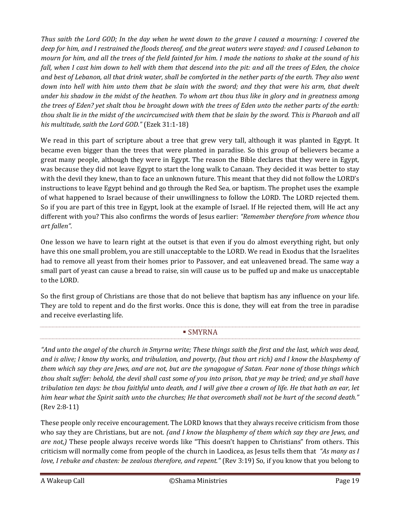*Thus saith the Lord GOD; In the day when he went down to the grave I caused a mourning: I covered the deep for him, and I restrained the floods thereof, and the great waters were stayed: and I caused Lebanon to mourn for him, and all the trees of the field fainted for him. I made the nations to shake at the sound of his fall, when I cast him down to hell with them that descend into the pit: and all the trees of Eden, the choice and best of Lebanon, all that drink water, shall be comforted in the nether parts of the earth. They also went down into hell with him unto them that be slain with the sword; and they that were his arm, that dwelt under his shadow in the midst of the heathen. To whom art thou thus like in glory and in greatness among the trees of Eden? yet shalt thou be brought down with the trees of Eden unto the nether parts of the earth: thou shalt lie in the midst of the uncircumcised with them that be slain by the sword. This is Pharaoh and all his multitude, saith the Lord GOD."* (Ezek 31:1-18)

We read in this part of scripture about a tree that grew very tall, although it was planted in Egypt. It became even bigger than the trees that were planted in paradise. So this group of believers became a great many people, although they were in Egypt. The reason the Bible declares that they were in Egypt, was because they did not leave Egypt to start the long walk to Canaan. They decided it was better to stay with the devil they knew, than to face an unknown future. This meant that they did not follow the LORD's instructions to leave Egypt behind and go through the Red Sea, or baptism. The prophet uses the example of what happened to Israel because of their unwillingness to follow the LORD. The LORD rejected them. So if you are part of this tree in Egypt, look at the example of Israel. If He rejected them, will He act any different with you? This also confirms the words of Jesus earlier: *"Remember therefore from whence thou art fallen"*.

One lesson we have to learn right at the outset is that even if you do almost everything right, but only have this one small problem, you are still unacceptable to the LORD. We read in Exodus that the Israelites had to remove all yeast from their homes prior to Passover, and eat unleavened bread. The same way a small part of yeast can cause a bread to raise, sin will cause us to be puffed up and make us unacceptable to the LORD.

So the first group of Christians are those that do not believe that baptism has any influence on your life. They are told to repent and do the first works. Once this is done, they will eat from the tree in paradise and receive everlasting life.

### $\blacksquare$  SMYRNA

<span id="page-18-0"></span>*"And unto the angel of the church in Smyrna write; These things saith the first and the last, which was dead, and is alive; I know thy works, and tribulation, and poverty, (but thou art rich) and I know the blasphemy of them which say they are Jews, and are not, but are the synagogue of Satan. Fear none of those things which thou shalt suffer: behold, the devil shall cast some of you into prison, that ye may be tried; and ye shall have tribulation ten days: be thou faithful unto death, and I will give thee a crown of life. He that hath an ear, let him hear what the Spirit saith unto the churches; He that overcometh shall not be hurt of the second death."* (Rev 2:8-11)

These people only receive encouragement. The LORD knows that they always receive criticism from those who say they are Christians, but are not. *(and I know the blasphemy of them which say they are Jews, and are not,)* These people always receive words like "This doesn't happen to Christians" from others. This criticism will normally come from people of the church in Laodicea, as Jesus tells them that *"As many as I love, I rebuke and chasten: be zealous therefore, and repent."* (Rev 3:19) So, if you know that you belong to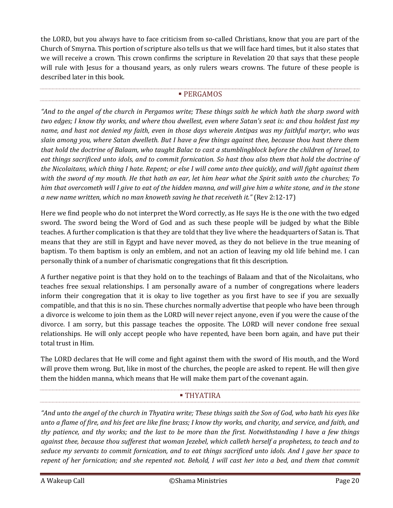the LORD, but you always have to face criticism from so-called Christians, know that you are part of the Church of Smyrna. This portion of scripture also tells us that we will face hard times, but it also states that we will receive a crown. This crown confirms the scripture in Revelation 20 that says that these people will rule with Jesus for a thousand years, as only rulers wears crowns. The future of these people is described later in this book.

### ■ PERGAMOS

<span id="page-19-0"></span>*"And to the angel of the church in Pergamos write; These things saith he which hath the sharp sword with two edges; I know thy works, and where thou dwellest, even where Satan's seat is: and thou holdest fast my name, and hast not denied my faith, even in those days wherein Antipas was my faithful martyr, who was slain among you, where Satan dwelleth. But I have a few things against thee, because thou hast there them that hold the doctrine of Balaam, who taught Balac to cast a stumblingblock before the children of Israel, to eat things sacrificed unto idols, and to commit fornication. So hast thou also them that hold the doctrine of the Nicolaitans, which thing I hate. Repent; or else I will come unto thee quickly, and will fight against them with the sword of my mouth. He that hath an ear, let him hear what the Spirit saith unto the churches; To him that overcometh will I give to eat of the hidden manna, and will give him a white stone, and in the stone a new name written, which no man knoweth saving he that receiveth it."* (Rev 2:12-17)

Here we find people who do not interpret the Word correctly, as He says He is the one with the two edged sword. The sword being the Word of God and as such these people will be judged by what the Bible teaches. A further complication is that they are told that they live where the headquarters of Satan is. That means that they are still in Egypt and have never moved, as they do not believe in the true meaning of baptism. To them baptism is only an emblem, and not an action of leaving my old life behind me. I can personally think of a number of charismatic congregations that fit this description.

A further negative point is that they hold on to the teachings of Balaam and that of the Nicolaitans, who teaches free sexual relationships. I am personally aware of a number of congregations where leaders inform their congregation that it is okay to live together as you first have to see if you are sexually compatible, and that this is no sin. These churches normally advertise that people who have been through a divorce is welcome to join them as the LORD will never reject anyone, even if you were the cause of the divorce. I am sorry, but this passage teaches the opposite. The LORD will never condone free sexual relationships. He will only accept people who have repented, have been born again, and have put their total trust in Him.

The LORD declares that He will come and fight against them with the sword of His mouth, and the Word will prove them wrong. But, like in most of the churches, the people are asked to repent. He will then give them the hidden manna, which means that He will make them part of the covenant again.

#### ■ THYATIRA

<span id="page-19-1"></span>*"And unto the angel of the church in Thyatira write; These things saith the Son of God, who hath his eyes like unto a flame of fire, and his feet are like fine brass; I know thy works, and charity, and service, and faith, and thy patience, and thy works; and the last to be more than the first. Notwithstanding I have a few things against thee, because thou sufferest that woman Jezebel, which calleth herself a prophetess, to teach and to seduce my servants to commit fornication, and to eat things sacrificed unto idols. And I gave her space to repent of her fornication; and she repented not. Behold, I will cast her into a bed, and them that commit*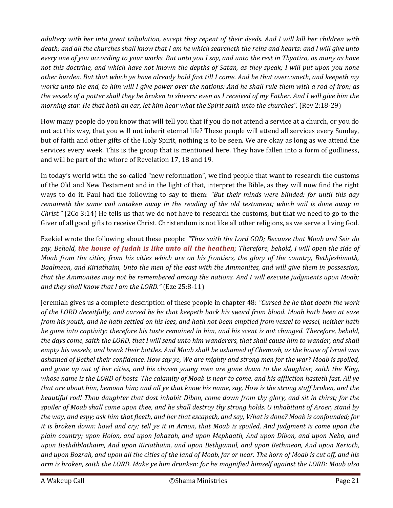*adultery with her into great tribulation, except they repent of their deeds. And I will kill her children with death; and all the churches shall know that I am he which searcheth the reins and hearts: and I will give unto every one of you according to your works. But unto you I say, and unto the rest in Thyatira, as many as have not this doctrine, and which have not known the depths of Satan, as they speak; I will put upon you none other burden. But that which ye have already hold fast till I come. And he that overcometh, and keepeth my works unto the end, to him will I give power over the nations: And he shall rule them with a rod of iron; as the vessels of a potter shall they be broken to shivers: even as I received of my Father. And I will give him the morning star. He that hath an ear, let him hear what the Spirit saith unto the churches".* (Rev 2:18-29)

How many people do you know that will tell you that if you do not attend a service at a church, or you do not act this way, that you will not inherit eternal life? These people will attend all services every Sunday, but of faith and other gifts of the Holy Spirit, nothing is to be seen. We are okay as long as we attend the services every week. This is the group that is mentioned here. They have fallen into a form of godliness, and will be part of the whore of Revelation 17, 18 and 19.

In today's world with the so-called "new reformation", we find people that want to research the customs of the Old and New Testament and in the light of that, interpret the Bible, as they will now find the right ways to do it. Paul had the following to say to them: *"But their minds were blinded: for until this day remaineth the same vail untaken away in the reading of the old testament; which vail is done away in Christ."* (2Co 3:14) He tells us that we do not have to research the customs, but that we need to go to the Giver of all good gifts to receive Christ. Christendom is not like all other religions, as we serve a living God.

Ezekiel wrote the following about these people: *"Thus saith the Lord GOD; Because that Moab and Seir do say, Behold, the house of Judah is like unto all the heathen; Therefore, behold, I will open the side of Moab from the cities, from his cities which are on his frontiers, the glory of the country, Bethjeshimoth, Baalmeon, and Kiriathaim, Unto the men of the east with the Ammonites, and will give them in possession, that the Ammonites may not be remembered among the nations. And I will execute judgments upon Moab; and they shall know that I am the LORD."* (Eze 25:8-11)

Jeremiah gives us a complete description of these people in chapter 48: *"Cursed be he that doeth the work of the LORD deceitfully, and cursed be he that keepeth back his sword from blood. Moab hath been at ease from his youth, and he hath settled on his lees, and hath not been emptied from vessel to vessel, neither hath he gone into captivity: therefore his taste remained in him, and his scent is not changed. Therefore, behold, the days come, saith the LORD, that I will send unto him wanderers, that shall cause him to wander, and shall empty his vessels, and break their bottles. And Moab shall be ashamed of Chemosh, as the house of Israel was ashamed of Bethel their confidence. How say ye, We are mighty and strong men for the war? Moab is spoiled, and gone up out of her cities, and his chosen young men are gone down to the slaughter, saith the King, whose name is the LORD of hosts. The calamity of Moab is near to come, and his affliction hasteth fast. All ye that are about him, bemoan him; and all ye that know his name, say, How is the strong staff broken, and the beautiful rod! Thou daughter that dost inhabit Dibon, come down from thy glory, and sit in thirst; for the spoiler of Moab shall come upon thee, and he shall destroy thy strong holds. O inhabitant of Aroer, stand by the way, and espy; ask him that fleeth, and her that escapeth, and say, What is done? Moab is confounded; for it is broken down: howl and cry; tell ye it in Arnon, that Moab is spoiled, And judgment is come upon the plain country; upon Holon, and upon Jahazah, and upon Mephaath, And upon Dibon, and upon Nebo, and upon Bethdiblathaim, And upon Kiriathaim, and upon Bethgamul, and upon Bethmeon, And upon Kerioth, and upon Bozrah, and upon all the cities of the land of Moab, far or near. The horn of Moab is cut off, and his arm is broken, saith the LORD. Make ye him drunken: for he magnified himself against the LORD: Moab also*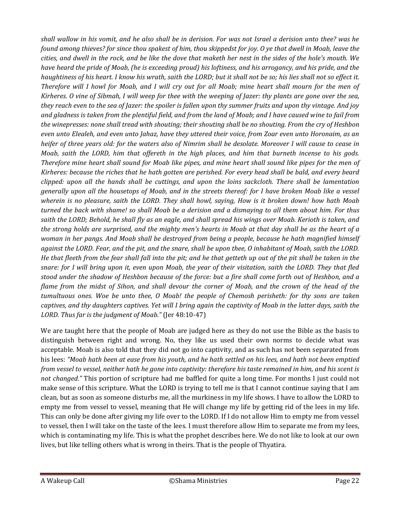*shall wallow in his vomit, and he also shall be in derision. For was not Israel a derision unto thee? was he found among thieves? for since thou spakest of him, thou skippedst for joy. O ye that dwell in Moab, leave the cities, and dwell in the rock, and be like the dove that maketh her nest in the sides of the hole's mouth. We have heard the pride of Moab, (he is exceeding proud) his loftiness, and his arrogancy, and his pride, and the haughtiness of his heart. I know his wrath, saith the LORD; but it shall not be so; his lies shall not so effect it. Therefore will I howl for Moab, and I will cry out for all Moab; mine heart shall mourn for the men of Kirheres. O vine of Sibmah, I will weep for thee with the weeping of Jazer: thy plants are gone over the sea, they reach even to the sea of Jazer: the spoiler is fallen upon thy summer fruits and upon thy vintage. And joy and gladness is taken from the plentiful field, and from the land of Moab; and I have caused wine to fail from the winepresses: none shall tread with shouting; their shouting shall be no shouting. From the cry of Heshbon even unto Elealeh, and even unto Jahaz, have they uttered their voice, from Zoar even unto Horonaim, as an heifer of three years old: for the waters also of Nimrim shall be desolate. Moreover I will cause to cease in Moab, saith the LORD, him that offereth in the high places, and him that burneth incense to his gods. Therefore mine heart shall sound for Moab like pipes, and mine heart shall sound like pipes for the men of Kirheres: because the riches that he hath gotten are perished. For every head shall be bald, and every beard clipped: upon all the hands shall be cuttings, and upon the loins sackcloth. There shall be lamentation generally upon all the housetops of Moab, and in the streets thereof: for I have broken Moab like a vessel wherein is no pleasure, saith the LORD. They shall howl, saying, How is it broken down! how hath Moab turned the back with shame! so shall Moab be a derision and a dismaying to all them about him. For thus saith the LORD; Behold, he shall fly as an eagle, and shall spread his wings over Moab. Kerioth is taken, and the strong holds are surprised, and the mighty men's hearts in Moab at that day shall be as the heart of a woman in her pangs. And Moab shall be destroyed from being a people, because he hath magnified himself against the LORD. Fear, and the pit, and the snare, shall be upon thee, O inhabitant of Moab, saith the LORD. He that fleeth from the fear shall fall into the pit; and he that getteth up out of the pit shall be taken in the snare: for I will bring upon it, even upon Moab, the year of their visitation, saith the LORD. They that fled stood under the shadow of Heshbon because of the force: but a fire shall come forth out of Heshbon, and a flame from the midst of Sihon, and shall devour the corner of Moab, and the crown of the head of the tumultuous ones. Woe be unto thee, O Moab! the people of Chemosh perisheth: for thy sons are taken captives, and thy daughters captives. Yet will I bring again the captivity of Moab in the latter days, saith the LORD. Thus far is the judgment of Moab."* (Jer 48:10-47)

We are taught here that the people of Moab are judged here as they do not use the Bible as the basis to distinguish between right and wrong. No, they like us used their own norms to decide what was acceptable. Moab is also told that they did not go into captivity, and as such has not been separated from his lees: *"Moab hath been at ease from his youth, and he hath settled on his lees, and hath not been emptied from vessel to vessel, neither hath he gone into captivity: therefore his taste remained in him, and his scent is not changed."* This portion of scripture had me baffled for quite a long time. For months I just could not make sense of this scripture. What the LORD is trying to tell me is that I cannot continue saying that I am clean, but as soon as someone disturbs me, all the murkiness in my life shows. I have to allow the LORD to empty me from vessel to vessel, meaning that He will change my life by getting rid of the lees in my life. This can only be done after giving my life over to the LORD. If I do not allow Him to empty me from vessel to vessel, then I will take on the taste of the lees. I must therefore allow Him to separate me from my lees, which is contaminating my life. This is what the prophet describes here. We do not like to look at our own lives, but like telling others what is wrong in theirs. That is the people of Thyatira.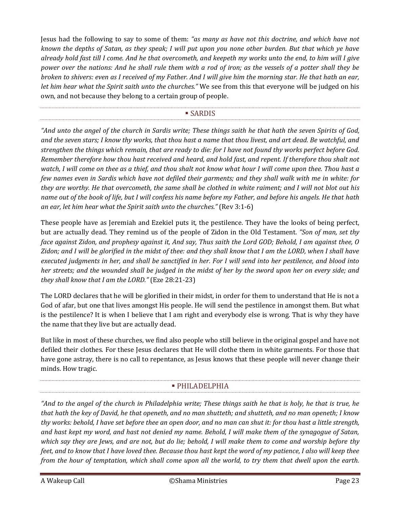Jesus had the following to say to some of them: *"as many as have not this doctrine, and which have not known the depths of Satan, as they speak; I will put upon you none other burden. But that which ye have already hold fast till I come. And he that overcometh, and keepeth my works unto the end, to him will I give power over the nations: And he shall rule them with a rod of iron; as the vessels of a potter shall they be broken to shivers: even as I received of my Father. And I will give him the morning star. He that hath an ear, let him hear what the Spirit saith unto the churches."* We see from this that everyone will be judged on his own, and not because they belong to a certain group of people.

#### ▪ SARDIS

<span id="page-22-0"></span>*"And unto the angel of the church in Sardis write; These things saith he that hath the seven Spirits of God, and the seven stars; I know thy works, that thou hast a name that thou livest, and art dead. Be watchful, and strengthen the things which remain, that are ready to die: for I have not found thy works perfect before God. Remember therefore how thou hast received and heard, and hold fast, and repent. If therefore thou shalt not watch, I will come on thee as a thief, and thou shalt not know what hour I will come upon thee. Thou hast a few names even in Sardis which have not defiled their garments; and they shall walk with me in white: for they are worthy. He that overcometh, the same shall be clothed in white raiment; and I will not blot out his name out of the book of life, but I will confess his name before my Father, and before his angels. He that hath an ear, let him hear what the Spirit saith unto the churches."* (Rev 3:1-6)

These people have as Jeremiah and Ezekiel puts it, the pestilence. They have the looks of being perfect, but are actually dead. They remind us of the people of Zidon in the Old Testament. *"Son of man, set thy face against Zidon, and prophesy against it, And say, Thus saith the Lord GOD; Behold, I am against thee, O Zidon; and I will be glorified in the midst of thee: and they shall know that I am the LORD, when I shall have executed judgments in her, and shall be sanctified in her. For I will send into her pestilence, and blood into her streets; and the wounded shall be judged in the midst of her by the sword upon her on every side; and they shall know that I am the LORD."* (Eze 28:21-23)

The LORD declares that he will be glorified in their midst, in order for them to understand that He is not a God of afar, but one that lives amongst His people. He will send the pestilence in amongst them. But what is the pestilence? It is when I believe that I am right and everybody else is wrong. That is why they have the name that they live but are actually dead.

But like in most of these churches, we find also people who still believe in the original gospel and have not defiled their clothes. For these Jesus declares that He will clothe them in white garments. For those that have gone astray, there is no call to repentance, as Jesus knows that these people will never change their minds. How tragic.

### $\blacksquare$  PHILADELPHIA

<span id="page-22-1"></span>*"And to the angel of the church in Philadelphia write; These things saith he that is holy, he that is true, he that hath the key of David, he that openeth, and no man shutteth; and shutteth, and no man openeth; I know thy works: behold, I have set before thee an open door, and no man can shut it: for thou hast a little strength, and hast kept my word, and hast not denied my name. Behold, I will make them of the synagogue of Satan, which say they are Jews, and are not, but do lie; behold, I will make them to come and worship before thy feet, and to know that I have loved thee. Because thou hast kept the word of my patience, I also will keep thee from the hour of temptation, which shall come upon all the world, to try them that dwell upon the earth.*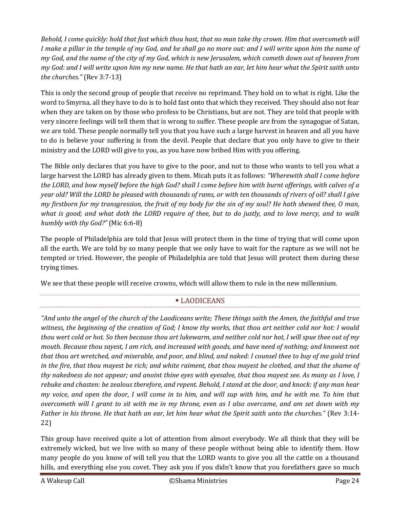*Behold, I come quickly: hold that fast which thou hast, that no man take thy crown. Him that overcometh will I make a pillar in the temple of my God, and he shall go no more out: and I will write upon him the name of my God, and the name of the city of my God, which is new Jerusalem, which cometh down out of heaven from my God: and I will write upon him my new name. He that hath an ear, let him hear what the Spirit saith unto the churches."* (Rev 3:7-13)

This is only the second group of people that receive no reprimand. They hold on to what is right. Like the word to Smyrna, all they have to do is to hold fast onto that which they received. They should also not fear when they are taken on by those who profess to be Christians, but are not. They are told that people with very sincere feelings will tell them that is wrong to suffer. These people are from the synagogue of Satan, we are told. These people normally tell you that you have such a large harvest in heaven and all you have to do is believe your suffering is from the devil. People that declare that you only have to give to their ministry and the LORD will give to you, as you have now bribed Him with you offering.

The Bible only declares that you have to give to the poor, and not to those who wants to tell you what a large harvest the LORD has already given to them. Micah puts it as follows: *"Wherewith shall I come before the LORD, and bow myself before the high God? shall I come before him with burnt offerings, with calves of a year old? Will the LORD be pleased with thousands of rams, or with ten thousands of rivers of oil? shall I give my firstborn for my transgression, the fruit of my body for the sin of my soul? He hath shewed thee, O man, what is good; and what doth the LORD require of thee, but to do justly, and to love mercy, and to walk humbly with thy God?"* (Mic 6:6-8)

The people of Philadelphia are told that Jesus will protect them in the time of trying that will come upon all the earth. We are told by so many people that we only have to wait for the rapture as we will not be tempted or tried. However, the people of Philadelphia are told that Jesus will protect them during these trying times.

<span id="page-23-0"></span>We see that these people will receive crowns, which will allow them to rule in the new millennium.

## **• LAODICEANS**

*"And unto the angel of the church of the Laodiceans write; These things saith the Amen, the faithful and true witness, the beginning of the creation of God; I know thy works, that thou art neither cold nor hot: I would thou wert cold or hot. So then because thou art lukewarm, and neither cold nor hot, I will spue thee out of my mouth. Because thou sayest, I am rich, and increased with goods, and have need of nothing; and knowest not that thou art wretched, and miserable, and poor, and blind, and naked: I counsel thee to buy of me gold tried in the fire, that thou mayest be rich; and white raiment, that thou mayest be clothed, and that the shame of thy nakedness do not appear; and anoint thine eyes with eyesalve, that thou mayest see. As many as I love, I rebuke and chasten: be zealous therefore, and repent. Behold, I stand at the door, and knock: if any man hear my voice, and open the door, I will come in to him, and will sup with him, and he with me. To him that overcometh will I grant to sit with me in my throne, even as I also overcame, and am set down with my Father in his throne. He that hath an ear, let him hear what the Spirit saith unto the churches."* (Rev 3:14- 22)

This group have received quite a lot of attention from almost everybody. We all think that they will be extremely wicked, but we live with so many of these people without being able to identify them. How many people do you know of will tell you that the LORD wants to give you all the cattle on a thousand hills, and everything else you covet. They ask you if you didn't know that you forefathers gave so much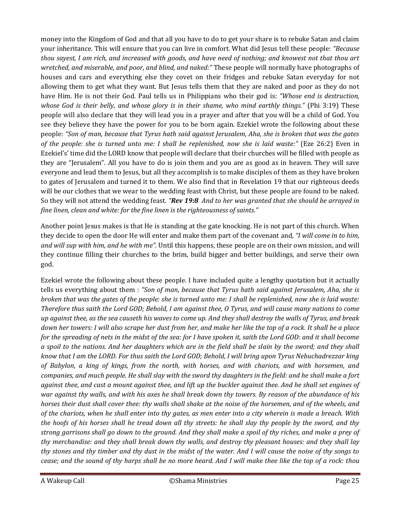money into the Kingdom of God and that all you have to do to get your share is to rebuke Satan and claim your inheritance. This will ensure that you can live in comfort. What did Jesus tell these people: *"Because thou sayest, I am rich, and increased with goods, and have need of nothing; and knowest not that thou art wretched, and miserable, and poor, and blind, and naked:"* These people will normally have photographs of houses and cars and everything else they covet on their fridges and rebuke Satan everyday for not allowing them to get what they want. But Jesus tells them that they are naked and poor as they do not have Him. He is not their God. Paul tells us in Philippians who their god is: *"Whose end is destruction, whose God is their belly, and whose glory is in their shame, who mind earthly things."* (Phi 3:19) These people will also declare that they will lead you in a prayer and after that you will be a child of God. You see they believe they have the power for you to be born again. Ezekiel wrote the following about these people: *"Son of man, because that Tyrus hath said against Jerusalem, Aha, she is broken that was the gates of the people: she is turned unto me: I shall be replenished, now she is laid waste:"* (Eze 26:2) Even in Ezekiel's' time did the LORD know that people will declare that their churches will be filled with people as they are "Jerusalem". All you have to do is join them and you are as good as in heaven. They will save everyone and lead them to Jesus, but all they accomplish is to make disciples of them as they have broken to gates of Jerusalem and turned it to them. We also find that in Revelation 19 that our righteous deeds will be our clothes that we wear to the wedding feast with Christ, but these people are found to be naked. So they will not attend the wedding feast. *"Rev 19:8 And to her was granted that she should be arrayed in fine linen, clean and white: for the fine linen is the righteousness of saints."*

Another point Jesus makes is that He is standing at the gate knocking. He is not part of this church. When they decide to open the door He will enter and make them part of the covenant and, *"I will come in to him, and will sup with him, and he with me"*. Until this happens, these people are on their own mission, and will they continue filling their churches to the brim, build bigger and better buildings, and serve their own god.

Ezekiel wrote the following about these people. I have included quite a lengthy quotation but it actually tells us everything about them : *"Son of man, because that Tyrus hath said against Jerusalem, Aha, she is broken that was the gates of the people: she is turned unto me: I shall be replenished, now she is laid waste: Therefore thus saith the Lord GOD; Behold, I am against thee, O Tyrus, and will cause many nations to come up against thee, as the sea causeth his waves to come up. And they shall destroy the walls of Tyrus, and break down her towers: I will also scrape her dust from her, and make her like the top of a rock. It shall be a place for the spreading of nets in the midst of the sea: for I have spoken it, saith the Lord GOD: and it shall become a spoil to the nations. And her daughters which are in the field shall be slain by the sword; and they shall know that I am the LORD. For thus saith the Lord GOD; Behold, I will bring upon Tyrus Nebuchadrezzar king of Babylon, a king of kings, from the north, with horses, and with chariots, and with horsemen, and companies, and much people. He shall slay with the sword thy daughters in the field: and he shall make a fort against thee, and cast a mount against thee, and lift up the buckler against thee. And he shall set engines of war against thy walls, and with his axes he shall break down thy towers. By reason of the abundance of his horses their dust shall cover thee: thy walls shall shake at the noise of the horsemen, and of the wheels, and of the chariots, when he shall enter into thy gates, as men enter into a city wherein is made a breach. With the hoofs of his horses shall he tread down all thy streets: he shall slay thy people by the sword, and thy strong garrisons shall go down to the ground. And they shall make a spoil of thy riches, and make a prey of thy merchandise: and they shall break down thy walls, and destroy thy pleasant houses: and they shall lay thy stones and thy timber and thy dust in the midst of the water. And I will cause the noise of thy songs to cease; and the sound of thy harps shall be no more heard. And I will make thee like the top of a rock: thou*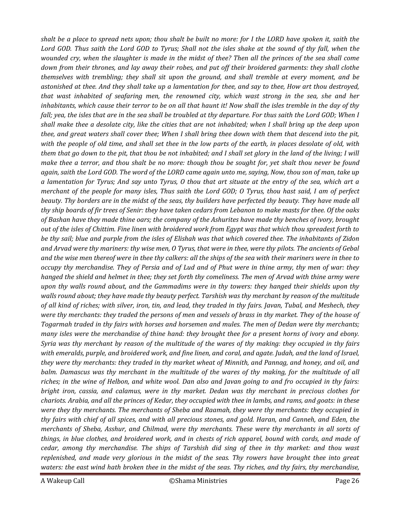*shalt be a place to spread nets upon; thou shalt be built no more: for I the LORD have spoken it, saith the Lord GOD. Thus saith the Lord GOD to Tyrus; Shall not the isles shake at the sound of thy fall, when the wounded cry, when the slaughter is made in the midst of thee? Then all the princes of the sea shall come down from their thrones, and lay away their robes, and put off their broidered garments: they shall clothe themselves with trembling; they shall sit upon the ground, and shall tremble at every moment, and be astonished at thee. And they shall take up a lamentation for thee, and say to thee, How art thou destroyed, that wast inhabited of seafaring men, the renowned city, which wast strong in the sea, she and her inhabitants, which cause their terror to be on all that haunt it! Now shall the isles tremble in the day of thy fall; yea, the isles that are in the sea shall be troubled at thy departure. For thus saith the Lord GOD; When I shall make thee a desolate city, like the cities that are not inhabited; when I shall bring up the deep upon thee, and great waters shall cover thee; When I shall bring thee down with them that descend into the pit, with the people of old time, and shall set thee in the low parts of the earth, in places desolate of old, with them that go down to the pit, that thou be not inhabited; and I shall set glory in the land of the living; I will make thee a terror, and thou shalt be no more: though thou be sought for, yet shalt thou never be found again, saith the Lord GOD. The word of the LORD came again unto me, saying, Now, thou son of man, take up a lamentation for Tyrus; And say unto Tyrus, O thou that art situate at the entry of the sea, which art a merchant of the people for many isles, Thus saith the Lord GOD; O Tyrus, thou hast said, I am of perfect beauty. Thy borders are in the midst of the seas, thy builders have perfected thy beauty. They have made all thy ship boards of fir trees of Senir: they have taken cedars from Lebanon to make masts for thee. Of the oaks of Bashan have they made thine oars; the company of the Ashurites have made thy benches of ivory, brought out of the isles of Chittim. Fine linen with broidered work from Egypt was that which thou spreadest forth to be thy sail; blue and purple from the isles of Elishah was that which covered thee. The inhabitants of Zidon and Arvad were thy mariners: thy wise men, O Tyrus, that were in thee, were thy pilots. The ancients of Gebal and the wise men thereof were in thee thy calkers: all the ships of the sea with their mariners were in thee to occupy thy merchandise. They of Persia and of Lud and of Phut were in thine army, thy men of war: they hanged the shield and helmet in thee; they set forth thy comeliness. The men of Arvad with thine army were upon thy walls round about, and the Gammadims were in thy towers: they hanged their shields upon thy walls round about; they have made thy beauty perfect. Tarshish was thy merchant by reason of the multitude of all kind of riches; with silver, iron, tin, and lead, they traded in thy fairs. Javan, Tubal, and Meshech, they were thy merchants: they traded the persons of men and vessels of brass in thy market. They of the house of Togarmah traded in thy fairs with horses and horsemen and mules. The men of Dedan were thy merchants; many isles were the merchandise of thine hand: they brought thee for a present horns of ivory and ebony. Syria was thy merchant by reason of the multitude of the wares of thy making: they occupied in thy fairs with emeralds, purple, and broidered work, and fine linen, and coral, and agate. Judah, and the land of Israel, they were thy merchants: they traded in thy market wheat of Minnith, and Pannag, and honey, and oil, and balm. Damascus was thy merchant in the multitude of the wares of thy making, for the multitude of all riches; in the wine of Helbon, and white wool. Dan also and Javan going to and fro occupied in thy fairs: bright iron, cassia, and calamus, were in thy market. Dedan was thy merchant in precious clothes for chariots. Arabia, and all the princes of Kedar, they occupied with thee in lambs, and rams, and goats: in these were they thy merchants. The merchants of Sheba and Raamah, they were thy merchants: they occupied in thy fairs with chief of all spices, and with all precious stones, and gold. Haran, and Canneh, and Eden, the merchants of Sheba, Asshur, and Chilmad, were thy merchants. These were thy merchants in all sorts of things, in blue clothes, and broidered work, and in chests of rich apparel, bound with cords, and made of cedar, among thy merchandise. The ships of Tarshish did sing of thee in thy market: and thou wast replenished, and made very glorious in the midst of the seas. Thy rowers have brought thee into great waters: the east wind hath broken thee in the midst of the seas. Thy riches, and thy fairs, thy merchandise,*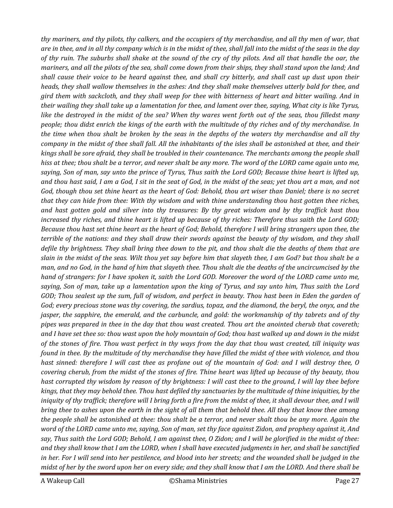*thy mariners, and thy pilots, thy calkers, and the occupiers of thy merchandise, and all thy men of war, that are in thee, and in all thy company which is in the midst of thee, shall fall into the midst of the seas in the day of thy ruin. The suburbs shall shake at the sound of the cry of thy pilots. And all that handle the oar, the mariners, and all the pilots of the sea, shall come down from their ships, they shall stand upon the land; And shall cause their voice to be heard against thee, and shall cry bitterly, and shall cast up dust upon their heads, they shall wallow themselves in the ashes: And they shall make themselves utterly bald for thee, and gird them with sackcloth, and they shall weep for thee with bitterness of heart and bitter wailing. And in their wailing they shall take up a lamentation for thee, and lament over thee, saying, What city is like Tyrus, like the destroyed in the midst of the sea? When thy wares went forth out of the seas, thou filledst many people; thou didst enrich the kings of the earth with the multitude of thy riches and of thy merchandise. In the time when thou shalt be broken by the seas in the depths of the waters thy merchandise and all thy company in the midst of thee shall fall. All the inhabitants of the isles shall be astonished at thee, and their kings shall be sore afraid, they shall be troubled in their countenance. The merchants among the people shall hiss at thee; thou shalt be a terror, and never shalt be any more. The word of the LORD came again unto me, saying, Son of man, say unto the prince of Tyrus, Thus saith the Lord GOD; Because thine heart is lifted up, and thou hast said, I am a God, I sit in the seat of God, in the midst of the seas; yet thou art a man, and not God, though thou set thine heart as the heart of God: Behold, thou art wiser than Daniel; there is no secret that they can hide from thee: With thy wisdom and with thine understanding thou hast gotten thee riches, and hast gotten gold and silver into thy treasures: By thy great wisdom and by thy traffick hast thou increased thy riches, and thine heart is lifted up because of thy riches: Therefore thus saith the Lord GOD; Because thou hast set thine heart as the heart of God; Behold, therefore I will bring strangers upon thee, the terrible of the nations: and they shall draw their swords against the beauty of thy wisdom, and they shall defile thy brightness. They shall bring thee down to the pit, and thou shalt die the deaths of them that are slain in the midst of the seas. Wilt thou yet say before him that slayeth thee, I am God? but thou shalt be a man, and no God, in the hand of him that slayeth thee. Thou shalt die the deaths of the uncircumcised by the hand of strangers: for I have spoken it, saith the Lord GOD. Moreover the word of the LORD came unto me, saying, Son of man, take up a lamentation upon the king of Tyrus, and say unto him, Thus saith the Lord GOD; Thou sealest up the sum, full of wisdom, and perfect in beauty. Thou hast been in Eden the garden of God; every precious stone was thy covering, the sardius, topaz, and the diamond, the beryl, the onyx, and the jasper, the sapphire, the emerald, and the carbuncle, and gold: the workmanship of thy tabrets and of thy pipes was prepared in thee in the day that thou wast created. Thou art the anointed cherub that covereth; and I have set thee so: thou wast upon the holy mountain of God; thou hast walked up and down in the midst of the stones of fire. Thou wast perfect in thy ways from the day that thou wast created, till iniquity was found in thee. By the multitude of thy merchandise they have filled the midst of thee with violence, and thou hast sinned: therefore I will cast thee as profane out of the mountain of God: and I will destroy thee, O covering cherub, from the midst of the stones of fire. Thine heart was lifted up because of thy beauty, thou hast corrupted thy wisdom by reason of thy brightness: I will cast thee to the ground, I will lay thee before kings, that they may behold thee. Thou hast defiled thy sanctuaries by the multitude of thine iniquities, by the iniquity of thy traffick; therefore will I bring forth a fire from the midst of thee, it shall devour thee, and I will bring thee to ashes upon the earth in the sight of all them that behold thee. All they that know thee among the people shall be astonished at thee: thou shalt be a terror, and never shalt thou be any more. Again the word of the LORD came unto me, saying, Son of man, set thy face against Zidon, and prophesy against it, And say, Thus saith the Lord GOD; Behold, I am against thee, O Zidon; and I will be glorified in the midst of thee: and they shall know that I am the LORD, when I shall have executed judgments in her, and shall be sanctified in her. For I will send into her pestilence, and blood into her streets; and the wounded shall be judged in the midst of her by the sword upon her on every side; and they shall know that I am the LORD. And there shall be*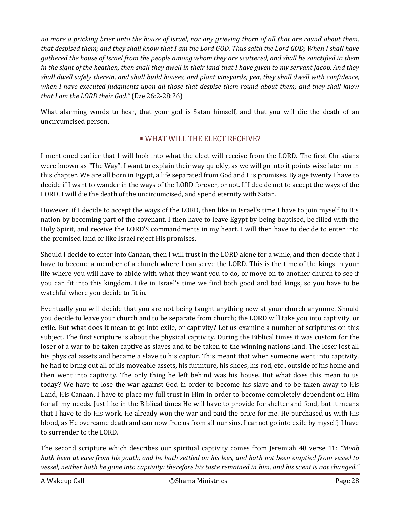*no more a pricking brier unto the house of Israel, nor any grieving thorn of all that are round about them, that despised them; and they shall know that I am the Lord GOD. Thus saith the Lord GOD; When I shall have gathered the house of Israel from the people among whom they are scattered, and shall be sanctified in them in the sight of the heathen, then shall they dwell in their land that I have given to my servant Jacob. And they shall dwell safely therein, and shall build houses, and plant vineyards; yea, they shall dwell with confidence, when I have executed judgments upon all those that despise them round about them; and they shall know that I am the LORD their God."* (Eze 26:2-28:26)

What alarming words to hear, that your god is Satan himself, and that you will die the death of an uncircumcised person.

## **• WHAT WILL THE ELECT RECEIVE?**

<span id="page-27-0"></span>I mentioned earlier that I will look into what the elect will receive from the LORD. The first Christians were known as "The Way". I want to explain their way quickly, as we will go into it points wise later on in this chapter. We are all born in Egypt, a life separated from God and His promises. By age twenty I have to decide if I want to wander in the ways of the LORD forever, or not. If I decide not to accept the ways of the LORD, I will die the death of the uncircumcised, and spend eternity with Satan.

However, if I decide to accept the ways of the LORD, then like in Israel's time I have to join myself to His nation by becoming part of the covenant. I then have to leave Egypt by being baptised, be filled with the Holy Spirit, and receive the LORD'S commandments in my heart. I will then have to decide to enter into the promised land or like Israel reject His promises.

Should I decide to enter into Canaan, then I will trust in the LORD alone for a while, and then decide that I have to become a member of a church where I can serve the LORD. This is the time of the kings in your life where you will have to abide with what they want you to do, or move on to another church to see if you can fit into this kingdom. Like in Israel's time we find both good and bad kings, so you have to be watchful where you decide to fit in.

Eventually you will decide that you are not being taught anything new at your church anymore. Should you decide to leave your church and to be separate from church; the LORD will take you into captivity, or exile. But what does it mean to go into exile, or captivity? Let us examine a number of scriptures on this subject. The first scripture is about the physical captivity. During the Biblical times it was custom for the loser of a war to be taken captive as slaves and to be taken to the winning nations land. The loser lost all his physical assets and became a slave to his captor. This meant that when someone went into captivity, he had to bring out all of his moveable assets, his furniture, his shoes, his rod, etc., outside of his home and then went into captivity. The only thing he left behind was his house. But what does this mean to us today? We have to lose the war against God in order to become his slave and to be taken away to His Land, His Canaan. I have to place my full trust in Him in order to become completely dependent on Him for all my needs. Just like in the Biblical times He will have to provide for shelter and food, but it means that I have to do His work. He already won the war and paid the price for me. He purchased us with His blood, as He overcame death and can now free us from all our sins. I cannot go into exile by myself; I have to surrender to the LORD.

The second scripture which describes our spiritual captivity comes from Jeremiah 48 verse 11: *"Moab hath been at ease from his youth, and he hath settled on his lees, and hath not been emptied from vessel to vessel, neither hath he gone into captivity: therefore his taste remained in him, and his scent is not changed."*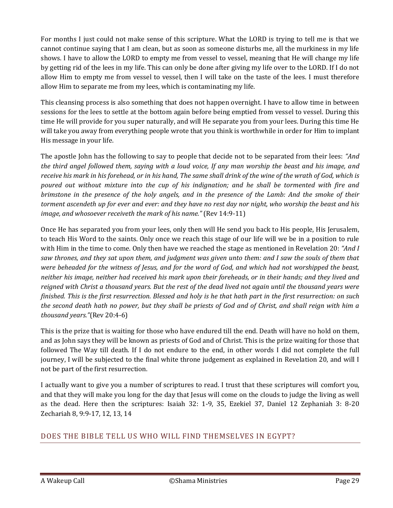For months I just could not make sense of this scripture. What the LORD is trying to tell me is that we cannot continue saying that I am clean, but as soon as someone disturbs me, all the murkiness in my life shows. I have to allow the LORD to empty me from vessel to vessel, meaning that He will change my life by getting rid of the lees in my life. This can only be done after giving my life over to the LORD. If I do not allow Him to empty me from vessel to vessel, then I will take on the taste of the lees. I must therefore allow Him to separate me from my lees, which is contaminating my life.

This cleansing process is also something that does not happen overnight. I have to allow time in between sessions for the lees to settle at the bottom again before being emptied from vessel to vessel. During this time He will provide for you super naturally, and will He separate you from your lees. During this time He will take you away from everything people wrote that you think is worthwhile in order for Him to implant His message in your life.

The apostle John has the following to say to people that decide not to be separated from their lees: *"And the third angel followed them, saying with a loud voice, If any man worship the beast and his image, and receive his mark in his forehead, or in his hand, The same shall drink of the wine of the wrath of God, which is poured out without mixture into the cup of his indignation; and he shall be tormented with fire and brimstone in the presence of the holy angels, and in the presence of the Lamb: And the smoke of their torment ascendeth up for ever and ever: and they have no rest day nor night, who worship the beast and his image, and whosoever receiveth the mark of his name."* (Rev 14:9-11)

Once He has separated you from your lees, only then will He send you back to His people, His Jerusalem, to teach His Word to the saints. Only once we reach this stage of our life will we be in a position to rule with Him in the time to come. Only then have we reached the stage as mentioned in Revelation 20: *"And I saw thrones, and they sat upon them, and judgment was given unto them: and I saw the souls of them that were beheaded for the witness of Jesus, and for the word of God, and which had not worshipped the beast, neither his image, neither had received his mark upon their foreheads, or in their hands; and they lived and reigned with Christ a thousand years. But the rest of the dead lived not again until the thousand years were finished. This is the first resurrection. Blessed and holy is he that hath part in the first resurrection: on such the second death hath no power, but they shall be priests of God and of Christ, and shall reign with him a thousand years."*(Rev 20:4-6)

This is the prize that is waiting for those who have endured till the end. Death will have no hold on them, and as John says they will be known as priests of God and of Christ. This is the prize waiting for those that followed The Way till death. If I do not endure to the end, in other words I did not complete the full journey, I will be subjected to the final white throne judgement as explained in Revelation 20, and will I not be part of the first resurrection.

I actually want to give you a number of scriptures to read. I trust that these scriptures will comfort you, and that they will make you long for the day that Jesus will come on the clouds to judge the living as well as the dead. Here then the scriptures: Isaiah 32: 1-9, 35, Ezekiel 37, Daniel 12 Zephaniah 3: 8-20 Zechariah 8, 9:9-17, 12, 13, 14

## <span id="page-28-0"></span>DOES THE BIBLE TELL US WHO WILL FIND THEMSELVES IN EGYPT?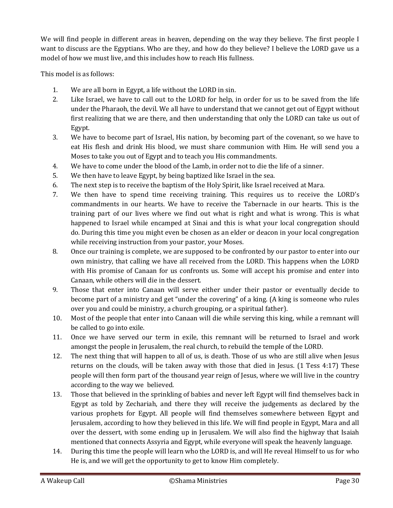We will find people in different areas in heaven, depending on the way they believe. The first people I want to discuss are the Egyptians. Who are they, and how do they believe? I believe the LORD gave us a model of how we must live, and this includes how to reach His fullness.

This model is as follows:

- 1. We are all born in Egypt, a life without the LORD in sin.
- 2. Like Israel, we have to call out to the LORD for help, in order for us to be saved from the life under the Pharaoh, the devil. We all have to understand that we cannot get out of Egypt without first realizing that we are there, and then understanding that only the LORD can take us out of Egypt.
- 3. We have to become part of Israel, His nation, by becoming part of the covenant, so we have to eat His flesh and drink His blood, we must share communion with Him. He will send you a Moses to take you out of Egypt and to teach you His commandments.
- 4. We have to come under the blood of the Lamb, in order not to die the life of a sinner.
- 5. We then have to leave Egypt, by being baptized like Israel in the sea.
- 6. The next step is to receive the baptism of the Holy Spirit, like Israel received at Mara.
- 7. We then have to spend time receiving training. This requires us to receive the LORD's commandments in our hearts. We have to receive the Tabernacle in our hearts. This is the training part of our lives where we find out what is right and what is wrong. This is what happened to Israel while encamped at Sinai and this is what your local congregation should do. During this time you might even be chosen as an elder or deacon in your local congregation while receiving instruction from your pastor, your Moses.
- 8. Once our training is complete, we are supposed to be confronted by our pastor to enter into our own ministry, that calling we have all received from the LORD. This happens when the LORD with His promise of Canaan for us confronts us. Some will accept his promise and enter into Canaan, while others will die in the dessert.
- 9. Those that enter into Canaan will serve either under their pastor or eventually decide to become part of a ministry and get "under the covering" of a king. (A king is someone who rules over you and could be ministry, a church grouping, or a spiritual father).
- 10. Most of the people that enter into Canaan will die while serving this king, while a remnant will be called to go into exile.
- 11. Once we have served our term in exile, this remnant will be returned to Israel and work amongst the people in Jerusalem, the real church, to rebuild the temple of the LORD.
- 12. The next thing that will happen to all of us, is death. Those of us who are still alive when Jesus returns on the clouds, will be taken away with those that died in Jesus. (1 Tess 4:17) These people will then form part of the thousand year reign of Jesus, where we will live in the country according to the way we believed.
- 13. Those that believed in the sprinkling of babies and never left Egypt will find themselves back in Egypt as told by Zechariah, and there they will receive the judgements as declared by the various prophets for Egypt. All people will find themselves somewhere between Egypt and Jerusalem, according to how they believed in this life. We will find people in Egypt, Mara and all over the dessert, with some ending up in Jerusalem. We will also find the highway that Isaiah mentioned that connects Assyria and Egypt, while everyone will speak the heavenly language.
- 14. During this time the people will learn who the LORD is, and will He reveal Himself to us for who He is, and we will get the opportunity to get to know Him completely.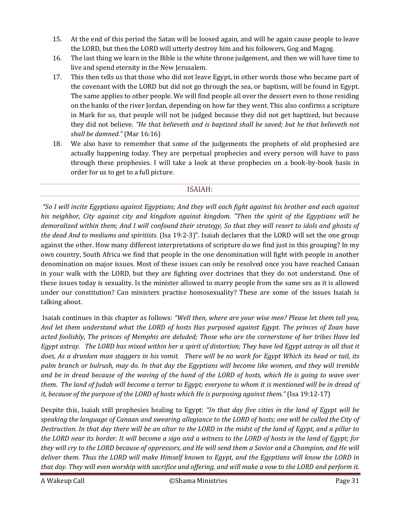- 15. At the end of this period the Satan will be loosed again, and will he again cause people to leave the LORD, but then the LORD will utterly destroy him and his followers, Gog and Magog.
- 16. The last thing we learn in the Bible is the white throne judgement, and then we will have time to live and spend eternity in the New Jerusalem.
- 17. This then tells us that those who did not leave Egypt, in other words those who became part of the covenant with the LORD but did not go through the sea, or baptism, will be found in Egypt. The same applies to other people. We will find people all over the dessert even to those residing on the banks of the river Jordan, depending on how far they went. This also confirms a scripture in Mark for us, that people will not be judged because they did not get baptized, but because they did not believe. *"He that believeth and is baptized shall be saved; but he that believeth not shall be damned."* (Mar 16:16)
- 18. We also have to remember that some of the judgements the prophets of old prophesied are actually happening today. They are perpetual prophecies and every person will have to pass through these prophesies. I will take a look at these prophecies on a book-by-book basis in order for us to get to a full picture.

## ISAIAH:

<span id="page-30-0"></span>*"So I will incite Egyptians against Egyptians; And they will each fight against his brother and each against his neighbor, City against city and kingdom against kingdom. "Then the spirit of the Egyptians will be demoralized within them; And I will confound their strategy, So that they will resort to idols and ghosts of the dead And to mediums and spiritists.* (Isa 19:2-3)". Isaiah declares that the LORD will set the one group against the other. How many different interpretations of scripture do we find just in this grouping? In my own country, South Africa we find that people in the one denomination will fight with people in another denomination on major issues. Most of these issues can only be resolved once you have reached Canaan in your walk with the LORD, but they are fighting over doctrines that they do not understand. One of these issues today is sexuality. Is the minister allowed to marry people from the same sex as it is allowed under our constitution? Can ministers practise homosexuality? These are some of the issues Isaiah is talking about.

Isaiah continues in this chapter as follows: *"Well then, where are your wise men? Please let them tell you, And let them understand what the LORD of hosts Has purposed against Egypt. The princes of Zoan have acted foolishly, The princes of Memphis are deluded; Those who are the cornerstone of her tribes Have led Egypt astray. The LORD has mixed within her a spirit of distortion; They have led Egypt astray in all that it does, As a drunken man staggers in his vomit. There will be no work for Egypt Which its head or tail, its palm branch or bulrush, may do. In that day the Egyptians will become like women, and they will tremble and be in dread because of the waving of the hand of the LORD of hosts, which He is going to wave over them. The land of Judah will become a terror to Egypt; everyone to whom it is mentioned will be in dread of it, because of the purpose of the LORD of hosts which He is purposing against them."* (Isa 19:12-17)

Despite this, Isaiah still prophesies healing to Egypt: *"In that day five cities in the land of Egypt will be speaking the language of Canaan and swearing allegiance to the LORD of hosts; one will be called the City of Destruction. In that day there will be an altar to the LORD in the midst of the land of Egypt, and a pillar to the LORD near its border. It will become a sign and a witness to the LORD of hosts in the land of Egypt; for they will cry to the LORD because of oppressors, and He will send them a Savior and a Champion, and He will deliver them. Thus the LORD will make Himself known to Egypt, and the Egyptians will know the LORD in that day. They will even worship with sacrifice and offering, and will make a vow to the LORD and perform it.*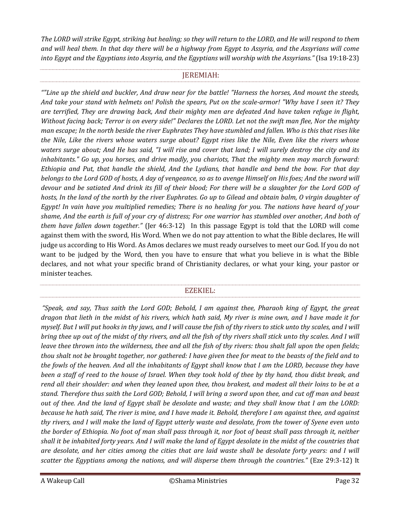*The LORD will strike Egypt, striking but healing; so they will return to the LORD, and He will respond to them and will heal them. In that day there will be a highway from Egypt to Assyria, and the Assyrians will come into Egypt and the Egyptians into Assyria, and the Egyptians will worship with the Assyrians."* (Isa 19:18-23)

#### <span id="page-31-0"></span>JEREMIAH:

*""Line up the shield and buckler, And draw near for the battle! "Harness the horses, And mount the steeds, And take your stand with helmets on! Polish the spears, Put on the scale-armor! "Why have I seen it? They are terrified, They are drawing back, And their mighty men are defeated And have taken refuge in flight, Without facing back; Terror is on every side!" Declares the LORD. Let not the swift man flee, Nor the mighty man escape; In the north beside the river Euphrates They have stumbled and fallen. Who is this that rises like the Nile, Like the rivers whose waters surge about? Egypt rises like the Nile, Even like the rivers whose waters surge about; And He has said, "I will rise and cover that land; I will surely destroy the city and its inhabitants." Go up, you horses, and drive madly, you chariots, That the mighty men may march forward: Ethiopia and Put, that handle the shield, And the Lydians, that handle and bend the bow. For that day belongs to the Lord GOD of hosts, A day of vengeance, so as to avenge Himself on His foes; And the sword will devour and be satiated And drink its fill of their blood; For there will be a slaughter for the Lord GOD of hosts, In the land of the north by the river Euphrates. Go up to Gilead and obtain balm, O virgin daughter of Egypt! In vain have you multiplied remedies; There is no healing for you. The nations have heard of your shame, And the earth is full of your cry of distress; For one warrior has stumbled over another, And both of them have fallen down together."* (Jer 46:3-12) In this passage Egypt is told that the LORD will come against them with the sword, His Word. When we do not pay attention to what the Bible declares, He will judge us according to His Word. As Amos declares we must ready ourselves to meet our God. If you do not want to be judged by the Word, then you have to ensure that what you believe in is what the Bible declares, and not what your specific brand of Christianity declares, or what your king, your pastor or minister teaches.

#### EZEKIEL:

<span id="page-31-1"></span>*"Speak, and say, Thus saith the Lord GOD; Behold, I am against thee, Pharaoh king of Egypt, the great dragon that lieth in the midst of his rivers, which hath said, My river is mine own, and I have made it for myself. But I will put hooks in thy jaws, and I will cause the fish of thy rivers to stick unto thy scales, and I will bring thee up out of the midst of thy rivers, and all the fish of thy rivers shall stick unto thy scales. And I will* leave thee thrown into the wilderness, thee and all the fish of thy rivers: thou shalt fall upon the open fields; *thou shalt not be brought together, nor gathered: I have given thee for meat to the beasts of the field and to the fowls of the heaven. And all the inhabitants of Egypt shall know that I am the LORD, because they have been a staff of reed to the house of Israel. When they took hold of thee by thy hand, thou didst break, and rend all their shoulder: and when they leaned upon thee, thou brakest, and madest all their loins to be at a stand. Therefore thus saith the Lord GOD; Behold, I will bring a sword upon thee, and cut off man and beast out of thee. And the land of Egypt shall be desolate and waste; and they shall know that I am the LORD: because he hath said, The river is mine, and I have made it. Behold, therefore I am against thee, and against thy rivers, and I will make the land of Egypt utterly waste and desolate, from the tower of Syene even unto the border of Ethiopia. No foot of man shall pass through it, nor foot of beast shall pass through it, neither shall it be inhabited forty years. And I will make the land of Egypt desolate in the midst of the countries that are desolate, and her cities among the cities that are laid waste shall be desolate forty years: and I will scatter the Egyptians among the nations, and will disperse them through the countries."* (Eze 29:3-12) It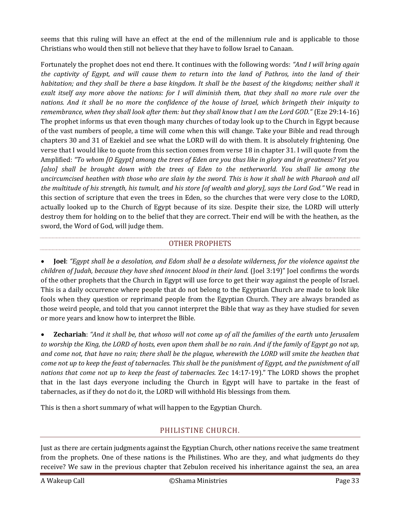seems that this ruling will have an effect at the end of the millennium rule and is applicable to those Christians who would then still not believe that they have to follow Israel to Canaan.

Fortunately the prophet does not end there. It continues with the following words: *"And I will bring again the captivity of Egypt, and will cause them to return into the land of Pathros, into the land of their habitation; and they shall be there a base kingdom. It shall be the basest of the kingdoms; neither shall it exalt itself any more above the nations: for I will diminish them, that they shall no more rule over the nations. And it shall be no more the confidence of the house of Israel, which bringeth their iniquity to remembrance, when they shall look after them: but they shall know that I am the Lord GOD."* (Eze 29:14-16) The prophet informs us that even though many churches of today look up to the Church in Egypt because of the vast numbers of people, a time will come when this will change. Take your Bible and read through chapters 30 and 31 of Ezekiel and see what the LORD will do with them. It is absolutely frightening. One verse that I would like to quote from this section comes from verse 18 in chapter 31. I will quote from the Amplified: *"To whom [O Egypt] among the trees of Eden are you thus like in glory and in greatness? Yet you*  [also] shall be brought down with the trees of Eden to the netherworld. You shall lie among the *uncircumcised heathen with those who are slain by the sword. This is how it shall be with Pharaoh and all the multitude of his strength, his tumult, and his store [of wealth and glory], says the Lord God."* We read in this section of scripture that even the trees in Eden, so the churches that were very close to the LORD, actually looked up to the Church of Egypt because of its size. Despite their size, the LORD will utterly destroy them for holding on to the belief that they are correct. Their end will be with the heathen, as the sword, the Word of God, will judge them.

## OTHER PROPHETS

<span id="page-32-0"></span>• **Joel**: *"Egypt shall be a desolation, and Edom shall be a desolate wilderness, for the violence against the*  children of Judah, because they have shed innocent blood in their land. (Joel 3:19)" Joel confirms the words of the other prophets that the Church in Egypt will use force to get their way against the people of Israel. This is a daily occurrence where people that do not belong to the Egyptian Church are made to look like fools when they question or reprimand people from the Egyptian Church. They are always branded as those weird people, and told that you cannot interpret the Bible that way as they have studied for seven or more years and know how to interpret the Bible.

• **Zechariah**: *"And it shall be, that whoso will not come up of all the families of the earth unto Jerusalem to worship the King, the LORD of hosts, even upon them shall be no rain. And if the family of Egypt go not up, and come not, that have no rain; there shall be the plague, wherewith the LORD will smite the heathen that come not up to keep the feast of tabernacles. This shall be the punishment of Egypt, and the punishment of all nations that come not up to keep the feast of tabernacles.* Zec 14:17-19)." The LORD shows the prophet that in the last days everyone including the Church in Egypt will have to partake in the feast of tabernacles, as if they do not do it, the LORD will withhold His blessings from them.

<span id="page-32-1"></span>This is then a short summary of what will happen to the Egyptian Church.

## PHILISTINE CHURCH.

Just as there are certain judgments against the Egyptian Church, other nations receive the same treatment from the prophets. One of these nations is the Philistines. Who are they, and what judgments do they receive? We saw in the previous chapter that Zebulon received his inheritance against the sea, an area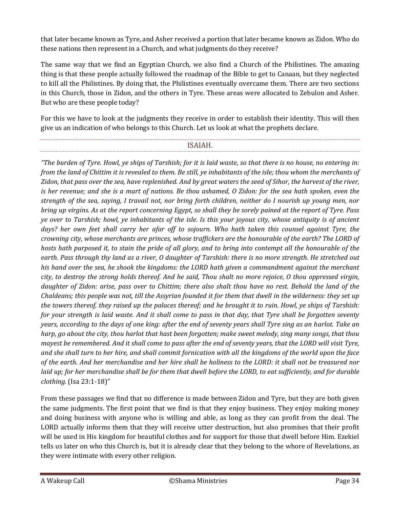that later became known as Tyre, and Asher received a portion that later became known as Zidon. Who do these nations then represent in a Church, and what judgments do they receive?

The same way that we find an Egyptian Church, we also find a Church of the Philistines. The amazing thing is that these people actually followed the roadmap of the Bible to get to Canaan, but they neglected to kill all the Philistines. By doing that, the Philistines eventually overcame them. There are two sections in this Church, those in Zidon, and the others in Tyre. These areas were allocated to Zebulon and Asher. But who are these people today?

For this we have to look at the judgments they receive in order to establish their identity. This will then give us an indication of who belongs to this Church. Let us look at what the prophets declare.

#### ISAIAH.

<span id="page-33-0"></span>*"The burden of Tyre. Howl, ye ships of Tarshish; for it is laid waste, so that there is no house, no entering in: from the land of Chittim it is revealed to them. Be still, ye inhabitants of the isle; thou whom the merchants of Zidon, that pass over the sea, have replenished. And by great waters the seed of Sihor, the harvest of the river, is her revenue; and she is a mart of nations. Be thou ashamed, O Zidon: for the sea hath spoken, even the strength of the sea, saying, I travail not, nor bring forth children, neither do I nourish up young men, nor bring up virgins. As at the report concerning Egypt, so shall they be sorely pained at the report of Tyre. Pass ye over to Tarshish; howl, ye inhabitants of the isle. Is this your joyous city, whose antiquity is of ancient days? her own feet shall carry her afar off to sojourn. Who hath taken this counsel against Tyre, the crowning city, whose merchants are princes, whose traffickers are the honourable of the earth? The LORD of hosts hath purposed it, to stain the pride of all glory, and to bring into contempt all the honourable of the earth. Pass through thy land as a river, O daughter of Tarshish: there is no more strength. He stretched out his hand over the sea, he shook the kingdoms: the LORD hath given a commandment against the merchant city, to destroy the strong holds thereof. And he said, Thou shalt no more rejoice, O thou oppressed virgin, daughter of Zidon: arise, pass over to Chittim; there also shalt thou have no rest. Behold the land of the Chaldeans; this people was not, till the Assyrian founded it for them that dwell in the wilderness: they set up the towers thereof, they raised up the palaces thereof; and he brought it to ruin. Howl, ye ships of Tarshish: for your strength is laid waste. And it shall come to pass in that day, that Tyre shall be forgotten seventy years, according to the days of one king: after the end of seventy years shall Tyre sing as an harlot. Take an harp, go about the city, thou harlot that hast been forgotten; make sweet melody, sing many songs, that thou mayest be remembered. And it shall come to pass after the end of seventy years, that the LORD will visit Tyre, and she shall turn to her hire, and shall commit fornication with all the kingdoms of the world upon the face of the earth. And her merchandise and her hire shall be holiness to the LORD: it shall not be treasured nor laid up; for her merchandise shall be for them that dwell before the LORD, to eat sufficiently, and for durable clothing.* (Isa 23:1-18)"

From these passages we find that no difference is made between Zidon and Tyre, but they are both given the same judgments. The first point that we find is that they enjoy business. They enjoy making money and doing business with anyone who is willing and able, as long as they can profit from the deal. The LORD actually informs them that they will receive utter destruction, but also promises that their profit will be used in His kingdom for beautiful clothes and for support for those that dwell before Him. Ezekiel tells us later on who this Church is, but it is already clear that they belong to the whore of Revelations, as they were intimate with every other religion.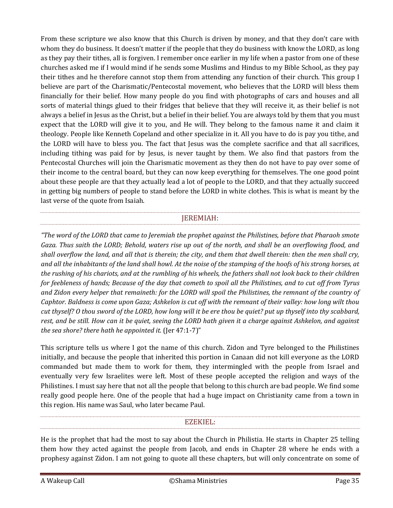From these scripture we also know that this Church is driven by money, and that they don't care with whom they do business. It doesn't matter if the people that they do business with know the LORD, as long as they pay their tithes, all is forgiven. I remember once earlier in my life when a pastor from one of these churches asked me if I would mind if he sends some Muslims and Hindus to my Bible School, as they pay their tithes and he therefore cannot stop them from attending any function of their church. This group I believe are part of the Charismatic/Pentecostal movement, who believes that the LORD will bless them financially for their belief. How many people do you find with photographs of cars and houses and all sorts of material things glued to their fridges that believe that they will receive it, as their belief is not always a belief in Jesus as the Christ, but a belief in their belief. You are always told by them that you must expect that the LORD will give it to you, and He will. They belong to the famous name it and claim it theology. People like Kenneth Copeland and other specialize in it. All you have to do is pay you tithe, and the LORD will have to bless you. The fact that Jesus was the complete sacrifice and that all sacrifices, including tithing was paid for by Jesus, is never taught by them. We also find that pastors from the Pentecostal Churches will join the Charismatic movement as they then do not have to pay over some of their income to the central board, but they can now keep everything for themselves. The one good point about these people are that they actually lead a lot of people to the LORD, and that they actually succeed in getting big numbers of people to stand before the LORD in white clothes. This is what is meant by the last verse of the quote from Isaiah.

### JEREMIAH:

<span id="page-34-0"></span>*"The word of the LORD that came to Jeremiah the prophet against the Philistines, before that Pharaoh smote Gaza. Thus saith the LORD; Behold, waters rise up out of the north, and shall be an overflowing flood, and shall overflow the land, and all that is therein; the city, and them that dwell therein: then the men shall cry, and all the inhabitants of the land shall howl. At the noise of the stamping of the hoofs of his strong horses, at the rushing of his chariots, and at the rumbling of his wheels, the fathers shall not look back to their children for feebleness of hands; Because of the day that cometh to spoil all the Philistines, and to cut off from Tyrus and Zidon every helper that remaineth: for the LORD will spoil the Philistines, the remnant of the country of Caphtor. Baldness is come upon Gaza; Ashkelon is cut off with the remnant of their valley: how long wilt thou cut thyself? O thou sword of the LORD, how long will it be ere thou be quiet? put up thyself into thy scabbard, rest, and be still. How can it be quiet, seeing the LORD hath given it a charge against Ashkelon, and against the sea shore? there hath he appointed it.* (Jer 47:1-7)"

This scripture tells us where I got the name of this church. Zidon and Tyre belonged to the Philistines initially, and because the people that inherited this portion in Canaan did not kill everyone as the LORD commanded but made them to work for them, they intermingled with the people from Israel and eventually very few Israelites were left. Most of these people accepted the religion and ways of the Philistines. I must say here that not all the people that belong to this church are bad people. We find some really good people here. One of the people that had a huge impact on Christianity came from a town in this region. His name was Saul, who later became Paul.

#### EZEKIEL:

<span id="page-34-1"></span>He is the prophet that had the most to say about the Church in Philistia. He starts in Chapter 25 telling them how they acted against the people from Jacob, and ends in Chapter 28 where he ends with a prophesy against Zidon. I am not going to quote all these chapters, but will only concentrate on some of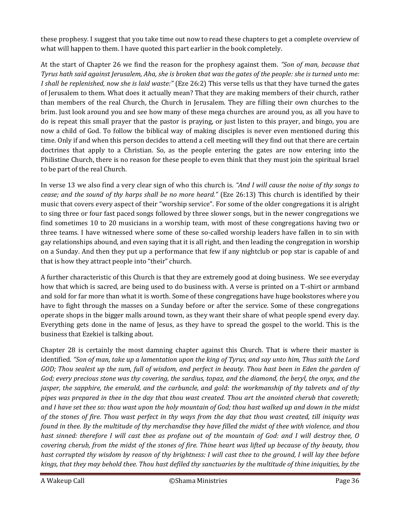these prophesy. I suggest that you take time out now to read these chapters to get a complete overview of what will happen to them. I have quoted this part earlier in the book completely.

At the start of Chapter 26 we find the reason for the prophesy against them. *"Son of man, because that Tyrus hath said against Jerusalem, Aha, she is broken that was the gates of the people: she is turned unto me: I shall be replenished, now she is laid waste:"* (Eze 26:2) This verse tells us that they have turned the gates of Jerusalem to them. What does it actually mean? That they are making members of their church, rather than members of the real Church, the Church in Jerusalem. They are filling their own churches to the brim. Just look around you and see how many of these mega churches are around you, as all you have to do is repeat this small prayer that the pastor is praying, or just listen to this prayer, and bingo, you are now a child of God. To follow the biblical way of making disciples is never even mentioned during this time. Only if and when this person decides to attend a cell meeting will they find out that there are certain doctrines that apply to a Christian. So, as the people entering the gates are now entering into the Philistine Church, there is no reason for these people to even think that they must join the spiritual Israel to be part of the real Church.

In verse 13 we also find a very clear sign of who this church is. *"And I will cause the noise of thy songs to cease; and the sound of thy harps shall be no more heard."* (Eze 26:13) This church is identified by their music that covers every aspect of their "worship service". For some of the older congregations it is alright to sing three or four fast paced songs followed by three slower songs, but in the newer congregations we find sometimes 10 to 20 musicians in a worship team, with most of these congregations having two or three teams. I have witnessed where some of these so-called worship leaders have fallen in to sin with gay relationships abound, and even saying that it is all right, and then leading the congregation in worship on a Sunday. And then they put up a performance that few if any nightclub or pop star is capable of and that is how they attract people into "their" church.

A further characteristic of this Church is that they are extremely good at doing business. We see everyday how that which is sacred, are being used to do business with. A verse is printed on a T-shirt or armband and sold for far more than what it is worth. Some of these congregations have huge bookstores where you have to fight through the masses on a Sunday before or after the service. Some of these congregations operate shops in the bigger malls around town, as they want their share of what people spend every day. Everything gets done in the name of Jesus, as they have to spread the gospel to the world. This is the business that Ezekiel is talking about.

Chapter 28 is certainly the most damning chapter against this Church. That is where their master is identified. *"Son of man, take up a lamentation upon the king of Tyrus, and say unto him, Thus saith the Lord GOD; Thou sealest up the sum, full of wisdom, and perfect in beauty. Thou hast been in Eden the garden of God; every precious stone was thy covering, the sardius, topaz, and the diamond, the beryl, the onyx, and the jasper, the sapphire, the emerald, and the carbuncle, and gold: the workmanship of thy tabrets and of thy pipes was prepared in thee in the day that thou wast created. Thou art the anointed cherub that covereth; and I have set thee so: thou wast upon the holy mountain of God; thou hast walked up and down in the midst of the stones of fire. Thou wast perfect in thy ways from the day that thou wast created, till iniquity was found in thee. By the multitude of thy merchandise they have filled the midst of thee with violence, and thou hast sinned: therefore I will cast thee as profane out of the mountain of God: and I will destroy thee, O covering cherub, from the midst of the stones of fire. Thine heart was lifted up because of thy beauty, thou hast corrupted thy wisdom by reason of thy brightness: I will cast thee to the ground, I will lay thee before kings, that they may behold thee. Thou hast defiled thy sanctuaries by the multitude of thine iniquities, by the*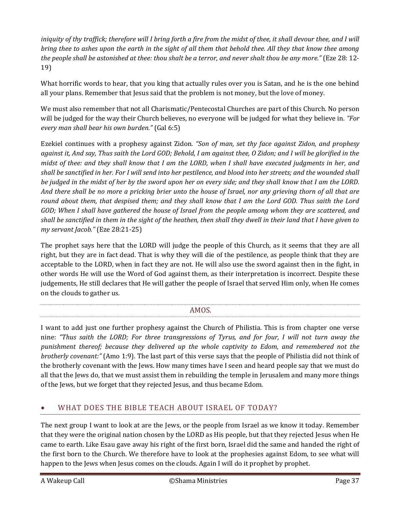*iniquity of thy traffick; therefore will I bring forth a fire from the midst of thee, it shall devour thee, and I will bring thee to ashes upon the earth in the sight of all them that behold thee. All they that know thee among the people shall be astonished at thee: thou shalt be a terror, and never shalt thou be any more."* (Eze 28: 12- 19)

What horrific words to hear, that you king that actually rules over you is Satan, and he is the one behind all your plans. Remember that Jesus said that the problem is not money, but the love of money.

We must also remember that not all Charismatic/Pentecostal Churches are part of this Church. No person will be judged for the way their Church believes, no everyone will be judged for what they believe in. *"For every man shall bear his own burden."* (Gal 6:5)

Ezekiel continues with a prophesy against Zidon. *"Son of man, set thy face against Zidon, and prophesy against it, And say, Thus saith the Lord GOD; Behold, I am against thee, O Zidon; and I will be glorified in the midst of thee: and they shall know that I am the LORD, when I shall have executed judgments in her, and shall be sanctified in her. For I will send into her pestilence, and blood into her streets; and the wounded shall be judged in the midst of her by the sword upon her on every side; and they shall know that I am the LORD. And there shall be no more a pricking brier unto the house of Israel, nor any grieving thorn of all that are round about them, that despised them; and they shall know that I am the Lord GOD. Thus saith the Lord GOD; When I shall have gathered the house of Israel from the people among whom they are scattered, and shall be sanctified in them in the sight of the heathen, then shall they dwell in their land that I have given to my servant Jacob."* (Eze 28:21-25)

The prophet says here that the LORD will judge the people of this Church, as it seems that they are all right, but they are in fact dead. That is why they will die of the pestilence, as people think that they are acceptable to the LORD, when in fact they are not. He will also use the sword against then in the fight, in other words He will use the Word of God against them, as their interpretation is incorrect. Despite these judgements, He still declares that He will gather the people of Israel that served Him only, when He comes on the clouds to gather us.

#### AMOS.

I want to add just one further prophesy against the Church of Philistia. This is from chapter one verse nine: *"Thus saith the LORD; For three transgressions of Tyrus, and for four, I will not turn away the punishment thereof; because they delivered up the whole captivity to Edom, and remembered not the brotherly covenant:"* (Amo 1:9). The last part of this verse says that the people of Philistia did not think of the brotherly covenant with the Jews. How many times have I seen and heard people say that we must do all that the Jews do, that we must assist them in rebuilding the temple in Jerusalem and many more things of the Jews, but we forget that they rejected Jesus, and thus became Edom.

## WHAT DOES THE BIBLE TEACH ABOUT ISRAEL OF TODAY?

The next group I want to look at are the Jews, or the people from Israel as we know it today. Remember that they were the original nation chosen by the LORD as His people, but that they rejected Jesus when He came to earth. Like Esau gave away his right of the first born, Israel did the same and handed the right of the first born to the Church. We therefore have to look at the prophesies against Edom, to see what will happen to the Jews when Jesus comes on the clouds. Again I will do it prophet by prophet.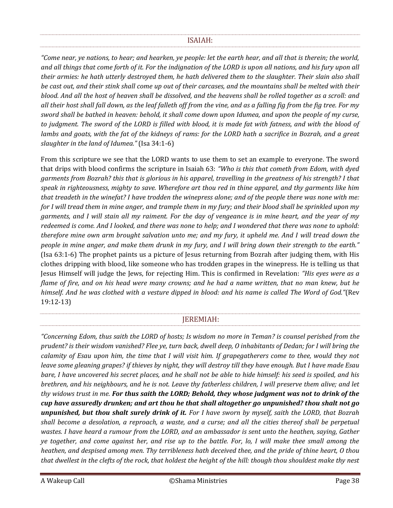#### ISAIAH:

*"Come near, ye nations, to hear; and hearken, ye people: let the earth hear, and all that is therein; the world,*  and all things that come forth of it. For the indignation of the LORD is upon all nations, and his fury upon all *their armies: he hath utterly destroyed them, he hath delivered them to the slaughter. Their slain also shall be cast out, and their stink shall come up out of their carcases, and the mountains shall be melted with their blood. And all the host of heaven shall be dissolved, and the heavens shall be rolled together as a scroll: and all their host shall fall down, as the leaf falleth off from the vine, and as a falling fig from the fig tree. For my sword shall be bathed in heaven: behold, it shall come down upon Idumea, and upon the people of my curse, to judgment. The sword of the LORD is filled with blood, it is made fat with fatness, and with the blood of lambs and goats, with the fat of the kidneys of rams: for the LORD hath a sacrifice in Bozrah, and a great slaughter in the land of Idumea."* (Isa 34:1-6)

From this scripture we see that the LORD wants to use them to set an example to everyone. The sword that drips with blood confirms the scripture in Isaiah 63: *"Who is this that cometh from Edom, with dyed garments from Bozrah? this that is glorious in his apparel, travelling in the greatness of his strength? I that speak in righteousness, mighty to save. Wherefore art thou red in thine apparel, and thy garments like him that treadeth in the winefat? I have trodden the winepress alone; and of the people there was none with me: for I will tread them in mine anger, and trample them in my fury; and their blood shall be sprinkled upon my garments, and I will stain all my raiment. For the day of vengeance is in mine heart, and the year of my redeemed is come. And I looked, and there was none to help; and I wondered that there was none to uphold: therefore mine own arm brought salvation unto me; and my fury, it upheld me. And I will tread down the people in mine anger, and make them drunk in my fury, and I will bring down their strength to the earth."* (Isa 63:1-6) The prophet paints us a picture of Jesus returning from Bozrah after judging them, with His clothes dripping with blood, like someone who has trodden grapes in the winepress. He is telling us that Jesus Himself will judge the Jews, for rejecting Him. This is confirmed in Revelation: *"His eyes were as a flame of fire, and on his head were many crowns; and he had a name written, that no man knew, but he himself. And he was clothed with a vesture dipped in blood: and his name is called The Word of God."*(Rev 19:12-13)

#### JEREMIAH:

*"Concerning Edom, thus saith the LORD of hosts; Is wisdom no more in Teman? is counsel perished from the prudent? is their wisdom vanished? Flee ye, turn back, dwell deep, O inhabitants of Dedan; for I will bring the calamity of Esau upon him, the time that I will visit him. If grapegatherers come to thee, would they not leave some gleaning grapes? if thieves by night, they will destroy till they have enough. But I have made Esau bare, I have uncovered his secret places, and he shall not be able to hide himself: his seed is spoiled, and his brethren, and his neighbours, and he is not. Leave thy fatherless children, I will preserve them alive; and let thy widows trust in me. For thus saith the LORD; Behold, they whose judgment was not to drink of the cup have assuredly drunken; and art thou he that shall altogether go unpunished? thou shalt not go unpunished, but thou shalt surely drink of it. For I have sworn by myself, saith the LORD, that Bozrah shall become a desolation, a reproach, a waste, and a curse; and all the cities thereof shall be perpetual wastes. I have heard a rumour from the LORD, and an ambassador is sent unto the heathen, saying, Gather ye together, and come against her, and rise up to the battle. For, lo, I will make thee small among the heathen, and despised among men. Thy terribleness hath deceived thee, and the pride of thine heart, O thou that dwellest in the clefts of the rock, that holdest the height of the hill: though thou shouldest make thy nest*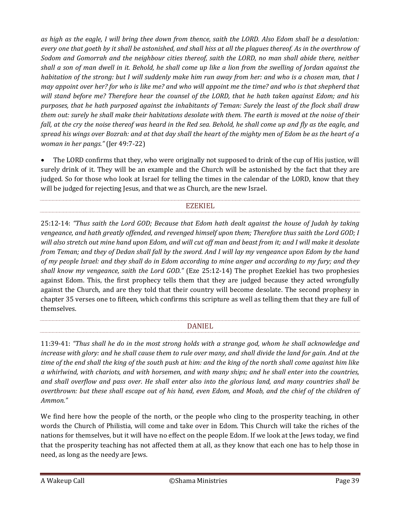*as high as the eagle, I will bring thee down from thence, saith the LORD. Also Edom shall be a desolation: every one that goeth by it shall be astonished, and shall hiss at all the plagues thereof. As in the overthrow of Sodom and Gomorrah and the neighbour cities thereof, saith the LORD, no man shall abide there, neither shall a son of man dwell in it. Behold, he shall come up like a lion from the swelling of Jordan against the habitation of the strong: but I will suddenly make him run away from her: and who is a chosen man, that I may appoint over her? for who is like me? and who will appoint me the time? and who is that shepherd that will stand before me? Therefore hear the counsel of the LORD, that he hath taken against Edom; and his purposes, that he hath purposed against the inhabitants of Teman: Surely the least of the flock shall draw them out: surely he shall make their habitations desolate with them. The earth is moved at the noise of their*  fall, at the cry the noise thereof was heard in the Red sea. Behold, he shall come up and fly as the eagle, and *spread his wings over Bozrah: and at that day shall the heart of the mighty men of Edom be as the heart of a woman in her pangs."* (Jer 49:7-22)

• The LORD confirms that they, who were originally not supposed to drink of the cup of His justice, will surely drink of it. They will be an example and the Church will be astonished by the fact that they are judged. So for those who look at Israel for telling the times in the calendar of the LORD, know that they will be judged for rejecting Jesus, and that we as Church, are the new Israel.

## EZEKIEL

25:12-14: *"Thus saith the Lord GOD; Because that Edom hath dealt against the house of Judah by taking vengeance, and hath greatly offended, and revenged himself upon them; Therefore thus saith the Lord GOD; I will also stretch out mine hand upon Edom, and will cut off man and beast from it; and I will make it desolate from Teman; and they of Dedan shall fall by the sword. And I will lay my vengeance upon Edom by the hand of my people Israel: and they shall do in Edom according to mine anger and according to my fury; and they shall know my vengeance, saith the Lord GOD."* (Eze 25:12-14) The prophet Ezekiel has two prophesies against Edom. This, the first prophecy tells them that they are judged because they acted wrongfully against the Church, and are they told that their country will become desolate. The second prophesy in chapter 35 verses one to fifteen, which confirms this scripture as well as telling them that they are full of themselves.

#### DANIEL

11:39-41: *"Thus shall he do in the most strong holds with a strange god, whom he shall acknowledge and increase with glory: and he shall cause them to rule over many, and shall divide the land for gain. And at the time of the end shall the king of the south push at him: and the king of the north shall come against him like a whirlwind, with chariots, and with horsemen, and with many ships; and he shall enter into the countries, and shall overflow and pass over. He shall enter also into the glorious land, and many countries shall be overthrown: but these shall escape out of his hand, even Edom, and Moab, and the chief of the children of Ammon."*

We find here how the people of the north, or the people who cling to the prosperity teaching, in other words the Church of Philistia, will come and take over in Edom. This Church will take the riches of the nations for themselves, but it will have no effect on the people Edom. If we look at the Jews today, we find that the prosperity teaching has not affected them at all, as they know that each one has to help those in need, as long as the needy are Jews.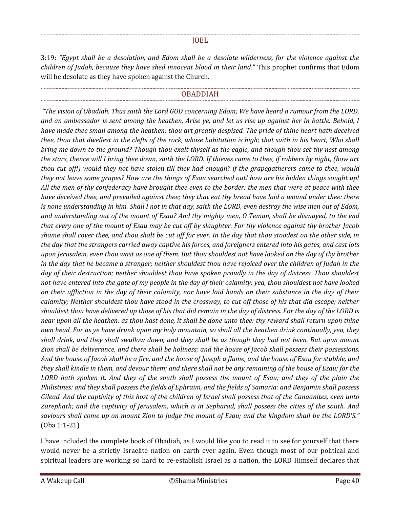3:19: *"Egypt shall be a desolation, and Edom shall be a desolate wilderness, for the violence against the children of Judah, because they have shed innocent blood in their land."* This prophet confirms that Edom will be desolate as they have spoken against the Church.

#### OBADDIAH

*"The vision of Obadiah. Thus saith the Lord GOD concerning Edom; We have heard a rumour from the LORD, and an ambassador is sent among the heathen, Arise ye, and let us rise up against her in battle. Behold, I have made thee small among the heathen: thou art greatly despised. The pride of thine heart hath deceived thee, thou that dwellest in the clefts of the rock, whose habitation is high; that saith in his heart, Who shall bring me down to the ground? Though thou exalt thyself as the eagle, and though thou set thy nest among the stars, thence will I bring thee down, saith the LORD. If thieves came to thee, if robbers by night, (how art thou cut off!) would they not have stolen till they had enough? if the grapegatherers came to thee, would they not leave some grapes? How are the things of Esau searched out! how are his hidden things sought up! All the men of thy confederacy have brought thee even to the border: the men that were at peace with thee have deceived thee, and prevailed against thee; they that eat thy bread have laid a wound under thee: there is none understanding in him. Shall I not in that day, saith the LORD, even destroy the wise men out of Edom, and understanding out of the mount of Esau? And thy mighty men, O Teman, shall be dismayed, to the end that every one of the mount of Esau may be cut off by slaughter. For thy violence against thy brother Jacob shame shall cover thee, and thou shalt be cut off for ever. In the day that thou stoodest on the other side, in the day that the strangers carried away captive his forces, and foreigners entered into his gates, and cast lots upon Jerusalem, even thou wast as one of them. But thou shouldest not have looked on the day of thy brother in the day that he became a stranger; neither shouldest thou have rejoiced over the children of Judah in the day of their destruction; neither shouldest thou have spoken proudly in the day of distress. Thou shouldest not have entered into the gate of my people in the day of their calamity; yea, thou shouldest not have looked on their affliction in the day of their calamity, nor have laid hands on their substance in the day of their calamity; Neither shouldest thou have stood in the crossway, to cut off those of his that did escape; neither shouldest thou have delivered up those of his that did remain in the day of distress. For the day of the LORD is near upon all the heathen: as thou hast done, it shall be done unto thee: thy reward shall return upon thine own head. For as ye have drunk upon my holy mountain, so shall all the heathen drink continually, yea, they shall drink, and they shall swallow down, and they shall be as though they had not been. But upon mount Zion shall be deliverance, and there shall be holiness; and the house of Jacob shall possess their possessions. And the house of Jacob shall be a fire, and the house of Joseph a flame, and the house of Esau for stubble, and they shall kindle in them, and devour them; and there shall not be any remaining of the house of Esau; for the LORD hath spoken it. And they of the south shall possess the mount of Esau; and they of the plain the Philistines: and they shall possess the fields of Ephraim, and the fields of Samaria: and Benjamin shall possess Gilead. And the captivity of this host of the children of Israel shall possess that of the Canaanites, even unto Zarephath; and the captivity of Jerusalem, which is in Sepharad, shall possess the cities of the south. And saviours shall come up on mount Zion to judge the mount of Esau; and the kingdom shall be the LORD'S."* (Oba 1:1-21)

I have included the complete book of Obadiah, as I would like you to read it to see for yourself that there would never be a strictly Israelite nation on earth ever again. Even though most of our political and spiritual leaders are working so hard to re-establish Israel as a nation, the LORD Himself declares that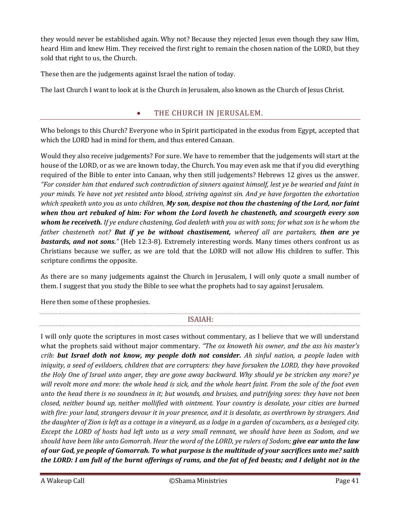they would never be established again. Why not? Because they rejected Jesus even though they saw Him, heard Him and knew Him. They received the first right to remain the chosen nation of the LORD, but they sold that right to us, the Church.

These then are the judgements against Israel the nation of today.

The last Church I want to look at is the Church in Jerusalem, also known as the Church of Jesus Christ.

## • THE CHURCH IN JERUSALEM.

Who belongs to this Church? Everyone who in Spirit participated in the exodus from Egypt, accepted that which the LORD had in mind for them, and thus entered Canaan.

Would they also receive judgements? For sure. We have to remember that the judgements will start at the house of the LORD, or as we are known today, the Church. You may even ask me that if you did everything required of the Bible to enter into Canaan, why then still judgements? Hebrews 12 gives us the answer. *"For consider him that endured such contradiction of sinners against himself, lest ye be wearied and faint in your minds. Ye have not yet resisted unto blood, striving against sin. And ye have forgotten the exhortation which speaketh unto you as unto children, My son, despise not thou the chastening of the Lord, nor faint when thou art rebuked of him: For whom the Lord loveth he chasteneth, and scourgeth every son whom he receiveth. If ye endure chastening, God dealeth with you as with sons; for what son is he whom the father chasteneth not? But if ye be without chastisement, whereof all are partakers, then are ye bastards, and not sons."* (Heb 12:3-8). Extremely interesting words. Many times others confront us as Christians because we suffer, as we are told that the LORD will not allow His children to suffer. This scripture confirms the opposite.

As there are so many judgements against the Church in Jerusalem, I will only quote a small number of them. I suggest that you study the Bible to see what the prophets had to say against Jerusalem.

Here then some of these prophesies.

#### ISAIAH:

I will only quote the scriptures in most cases without commentary, as I believe that we will understand what the prophets said without major commentary. *"The ox knoweth his owner, and the ass his master's crib: but Israel doth not know, my people doth not consider. Ah sinful nation, a people laden with iniquity, a seed of evildoers, children that are corrupters: they have forsaken the LORD, they have provoked the Holy One of Israel unto anger, they are gone away backward. Why should ye be stricken any more? ye will revolt more and more: the whole head is sick, and the whole heart faint. From the sole of the foot even unto the head there is no soundness in it; but wounds, and bruises, and putrifying sores: they have not been closed, neither bound up, neither mollified with ointment. Your country is desolate, your cities are burned with fire: your land, strangers devour it in your presence, and it is desolate, as overthrown by strangers. And the daughter of Zion is left as a cottage in a vineyard, as a lodge in a garden of cucumbers, as a besieged city. Except the LORD of hosts had left unto us a very small remnant, we should have been as Sodom, and we should have been like unto Gomorrah. Hear the word of the LORD, ye rulers of Sodom; give ear unto the law of our God, ye people of Gomorrah. To what purpose is the multitude of your sacrifices unto me? saith the LORD: I am full of the burnt offerings of rams, and the fat of fed beasts; and I delight not in the*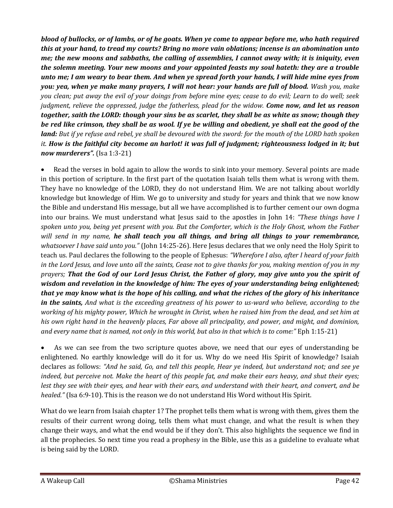*blood of bullocks, or of lambs, or of he goats. When ye come to appear before me, who hath required this at your hand, to tread my courts? Bring no more vain oblations; incense is an abomination unto me; the new moons and sabbaths, the calling of assemblies, I cannot away with; it is iniquity, even the solemn meeting. Your new moons and your appointed feasts my soul hateth: they are a trouble unto me; I am weary to bear them. And when ye spread forth your hands, I will hide mine eyes from you: yea, when ye make many prayers, I will not hear: your hands are full of blood. Wash you, make you clean; put away the evil of your doings from before mine eyes; cease to do evil; Learn to do well; seek judgment, relieve the oppressed, judge the fatherless, plead for the widow. Come now, and let us reason together, saith the LORD: though your sins be as scarlet, they shall be as white as snow; though they be red like crimson, they shall be as wool. If ye be willing and obedient, ye shall eat the good of the land: But if ye refuse and rebel, ye shall be devoured with the sword: for the mouth of the LORD hath spoken it. How is the faithful city become an harlot! it was full of judgment; righteousness lodged in it; but now murderers".* (Isa 1:3-21)

• Read the verses in bold again to allow the words to sink into your memory. Several points are made in this portion of scripture. In the first part of the quotation Isaiah tells them what is wrong with them. They have no knowledge of the LORD, they do not understand Him. We are not talking about worldly knowledge but knowledge of Him. We go to university and study for years and think that we now know the Bible and understand His message, but all we have accomplished is to further cement our own dogma into our brains. We must understand what Jesus said to the apostles in John 14: *"These things have I spoken unto you, being yet present with you. But the Comforter, which is the Holy Ghost, whom the Father will send in my name, he shall teach you all things, and bring all things to your remembrance, whatsoever I have said unto you."* (John 14:25-26). Here Jesus declares that we only need the Holy Spirit to teach us. Paul declares the following to the people of Ephesus: *"Wherefore I also, after I heard of your faith in the Lord Jesus, and love unto all the saints, Cease not to give thanks for you, making mention of you in my prayers; That the God of our Lord Jesus Christ, the Father of glory, may give unto you the spirit of wisdom and revelation in the knowledge of him: The eyes of your understanding being enlightened; that ye may know what is the hope of his calling, and what the riches of the glory of his inheritance in the saints, And what is the exceeding greatness of his power to us-ward who believe, according to the working of his mighty power, Which he wrought in Christ, when he raised him from the dead, and set him at his own right hand in the heavenly places, Far above all principality, and power, and might, and dominion, and every name that is named, not only in this world, but also in that which is to come:"* Eph 1:15-21)

As we can see from the two scripture quotes above, we need that our eyes of understanding be enlightened. No earthly knowledge will do it for us. Why do we need His Spirit of knowledge? Isaiah declares as follows: *"And he said, Go, and tell this people, Hear ye indeed, but understand not; and see ye indeed, but perceive not. Make the heart of this people fat, and make their ears heavy, and shut their eyes; lest they see with their eyes, and hear with their ears, and understand with their heart, and convert, and be healed."* (Isa 6:9-10). This is the reason we do not understand His Word without His Spirit.

What do we learn from Isaiah chapter 1? The prophet tells them what is wrong with them, gives them the results of their current wrong doing, tells them what must change, and what the result is when they change their ways, and what the end would be if they don't. This also highlights the sequence we find in all the prophecies. So next time you read a prophesy in the Bible, use this as a guideline to evaluate what is being said by the LORD.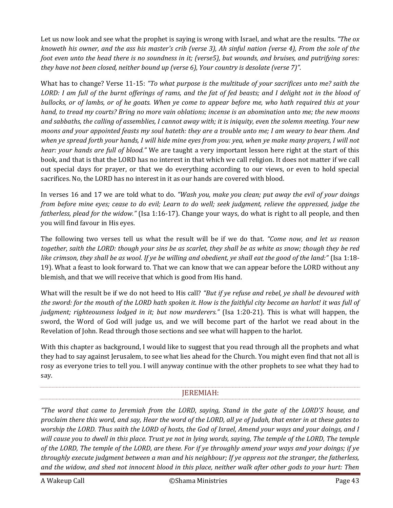Let us now look and see what the prophet is saying is wrong with Israel, and what are the results. *"The ox knoweth his owner, and the ass his master's crib (verse 3), Ah sinful nation (verse 4), From the sole of the foot even unto the head there is no soundness in it; (verse5), but wounds, and bruises, and putrifying sores: they have not been closed, neither bound up (verse 6), Your country is desolate (verse 7)"*.

What has to change? Verse 11-15: *"To what purpose is the multitude of your sacrifices unto me? saith the LORD: I am full of the burnt offerings of rams, and the fat of fed beasts; and I delight not in the blood of bullocks, or of lambs, or of he goats. When ye come to appear before me, who hath required this at your hand, to tread my courts? Bring no more vain oblations; incense is an abomination unto me; the new moons and sabbaths, the calling of assemblies, I cannot away with; it is iniquity, even the solemn meeting. Your new moons and your appointed feasts my soul hateth: they are a trouble unto me; I am weary to bear them. And when ye spread forth your hands, I will hide mine eyes from you: yea, when ye make many prayers, I will not hear: your hands are full of blood."* We are taught a very important lesson here right at the start of this book, and that is that the LORD has no interest in that which we call religion. It does not matter if we call out special days for prayer, or that we do everything according to our views, or even to hold special sacrifices. No, the LORD has no interest in it as our hands are covered with blood.

In verses 16 and 17 we are told what to do. *"Wash you, make you clean; put away the evil of your doings from before mine eyes; cease to do evil; Learn to do well; seek judgment, relieve the oppressed, judge the fatherless, plead for the widow."* (Isa 1:16-17). Change your ways, do what is right to all people, and then you will find favour in His eyes.

The following two verses tell us what the result will be if we do that. *"Come now, and let us reason together, saith the LORD: though your sins be as scarlet, they shall be as white as snow; though they be red like crimson, they shall be as wool. If ye be willing and obedient, ye shall eat the good of the land:"* (Isa 1:18- 19). What a feast to look forward to. That we can know that we can appear before the LORD without any blemish, and that we will receive that which is good from His hand.

What will the result be if we do not heed to His call? *"But if ye refuse and rebel, ye shall be devoured with the sword: for the mouth of the LORD hath spoken it. How is the faithful city become an harlot! it was full of judgment; righteousness lodged in it; but now murderers."* (Isa 1:20-21). This is what will happen, the sword, the Word of God will judge us, and we will become part of the harlot we read about in the Revelation of John. Read through those sections and see what will happen to the harlot.

With this chapter as background, I would like to suggest that you read through all the prophets and what they had to say against Jerusalem, to see what lies ahead for the Church. You might even find that not all is rosy as everyone tries to tell you. I will anyway continue with the other prophets to see what they had to say.

## JEREMIAH:

*"The word that came to Jeremiah from the LORD, saying, Stand in the gate of the LORD'S house, and proclaim there this word, and say, Hear the word of the LORD, all ye of Judah, that enter in at these gates to worship the LORD. Thus saith the LORD of hosts, the God of Israel, Amend your ways and your doings, and I will cause you to dwell in this place. Trust ye not in lying words, saying, The temple of the LORD, The temple of the LORD, The temple of the LORD, are these. For if ye throughly amend your ways and your doings; if ye throughly execute judgment between a man and his neighbour; If ye oppress not the stranger, the fatherless, and the widow, and shed not innocent blood in this place, neither walk after other gods to your hurt: Then*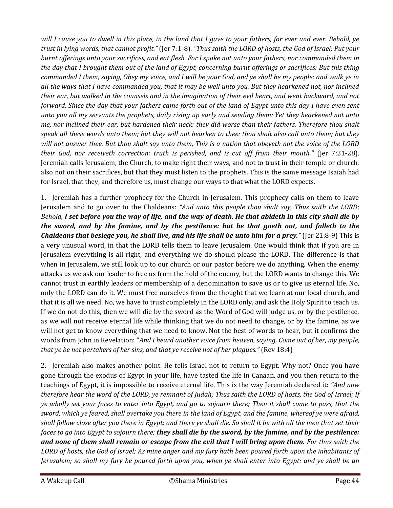*will I cause you to dwell in this place, in the land that I gave to your fathers, for ever and ever. Behold, ye trust in lying words, that cannot profit."* (Jer 7:1-8). *"Thus saith the LORD of hosts, the God of Israel; Put your burnt offerings unto your sacrifices, and eat flesh. For I spake not unto your fathers, nor commanded them in the day that I brought them out of the land of Egypt, concerning burnt offerings or sacrifices: But this thing commanded I them, saying, Obey my voice, and I will be your God, and ye shall be my people: and walk ye in all the ways that I have commanded you, that it may be well unto you. But they hearkened not, nor inclined their ear, but walked in the counsels and in the imagination of their evil heart, and went backward, and not forward. Since the day that your fathers came forth out of the land of Egypt unto this day I have even sent unto you all my servants the prophets, daily rising up early and sending them: Yet they hearkened not unto me, nor inclined their ear, but hardened their neck: they did worse than their fathers. Therefore thou shalt speak all these words unto them; but they will not hearken to thee: thou shalt also call unto them; but they will not answer thee. But thou shalt say unto them, This is a nation that obeyeth not the voice of the LORD their God, nor receiveth correction: truth is perished, and is cut off from their mouth."* (Jer 7:21-28). Jeremiah calls Jerusalem, the Church, to make right their ways, and not to trust in their temple or church, also not on their sacrifices, but that they must listen to the prophets. This is the same message Isaiah had for Israel, that they, and therefore us, must change our ways to that what the LORD expects.

1. Jeremiah has a further prophecy for the Church in Jerusalem. This prophecy calls on them to leave Jerusalem and to go over to the Chaldeans: *"And unto this people thou shalt say, Thus saith the LORD; Behold, I set before you the way of life, and the way of death. He that abideth in this city shall die by the sword, and by the famine, and by the pestilence: but he that goeth out, and falleth to the Chaldeans that besiege you, he shall live, and his life shall be unto him for a prey."* (Jer 21:8-9) This is a very unusual word, in that the LORD tells them to leave Jerusalem. One would think that if you are in Jerusalem everything is all right, and everything we do should please the LORD. The difference is that when in Jerusalem, we still look up to our church or our pastor before we do anything. When the enemy attacks us we ask our leader to free us from the hold of the enemy, but the LORD wants to change this. We cannot trust in earthly leaders or membership of a denomination to save us or to give us eternal life. No, only the LORD can do it. We must free ourselves from the thought that we learn at our local church, and that it is all we need. No, we have to trust completely in the LORD only, and ask the Holy Spirit to teach us. If we do not do this, then we will die by the sword as the Word of God will judge us, or by the pestilence, as we will not receive eternal life while thinking that we do not need to change, or by the famine, as we will not get to know everything that we need to know. Not the best of words to hear, but it confirms the words from John in Revelation: "*And I heard another voice from heaven, saying, Come out of her, my people, that ye be not partakers of her sins, and that ye receive not of her plagues."* (Rev 18:4)

2. Jeremiah also makes another point. He tells Israel not to return to Egypt. Why not? Once you have gone through the exodus of Egypt in your life, have tasted the life in Canaan, and you then return to the teachings of Egypt, it is impossible to receive eternal life. This is the way Jeremiah declared it: *"And now therefore hear the word of the LORD, ye remnant of Judah; Thus saith the LORD of hosts, the God of Israel; If ye wholly set your faces to enter into Egypt, and go to sojourn there; Then it shall come to pass, that the sword, which ye feared, shall overtake you there in the land of Egypt, and the famine, whereof ye were afraid, shall follow close after you there in Egypt; and there ye shall die. So shall it be with all the men that set their faces to go into Egypt to sojourn there; they shall die by the sword, by the famine, and by the pestilence: and none of them shall remain or escape from the evil that I will bring upon them. For thus saith the LORD of hosts, the God of Israel; As mine anger and my fury hath been poured forth upon the inhabitants of Jerusalem; so shall my fury be poured forth upon you, when ye shall enter into Egypt: and ye shall be an*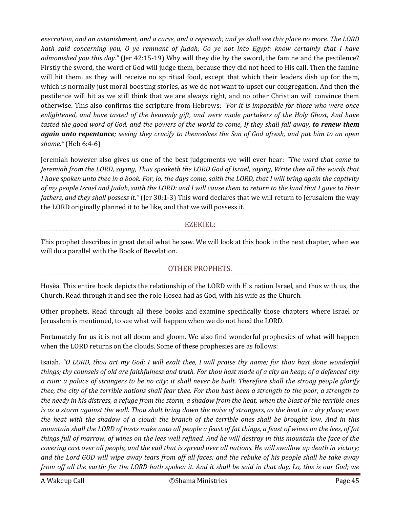*execration, and an astonishment, and a curse, and a reproach; and ye shall see this place no more. The LORD hath said concerning you, O ye remnant of Judah; Go ye not into Egypt: know certainly that I have admonished you this day."* (Jer 42:15-19) Why will they die by the sword, the famine and the pestilence? Firstly the sword, the word of God will judge them, because they did not heed to His call. Then the famine will hit them, as they will receive no spiritual food, except that which their leaders dish up for them, which is normally just moral boosting stories, as we do not want to upset our congregation. And then the pestilence will hit as we still think that we are always right, and no other Christian will convince them otherwise. This also confirms the scripture from Hebrews: *"For it is impossible for those who were once enlightened, and have tasted of the heavenly gift, and were made partakers of the Holy Ghost, And have tasted the good word of God, and the powers of the world to come, If they shall fall away, to renew them again unto repentance; seeing they crucify to themselves the Son of God afresh, and put him to an open shame."* (Heb 6:4-6)

Jeremiah however also gives us one of the best judgements we will ever hear: *"The word that came to Jeremiah from the LORD, saying, Thus speaketh the LORD God of Israel, saying, Write thee all the words that I have spoken unto thee in a book. For, lo, the days come, saith the LORD, that I will bring again the captivity of my people Israel and Judah, saith the LORD: and I will cause them to return to the land that I gave to their fathers, and they shall possess it."* (Jer 30:1-3) This word declares that we will return to Jerusalem the way the LORD originally planned it to be like, and that we will possess it.

### EZEKIEL:

This prophet describes in great detail what he saw. We will look at this book in the next chapter, when we will do a parallel with the Book of Revelation.

## OTHER PROPHETS.

Hosèa. This entire book depicts the relationship of the LORD with His nation Israel, and thus with us, the Church. Read through it and see the role Hosea had as God, with his wife as the Church.

Other prophets. Read through all these books and examine specifically those chapters where Israel or Jerusalem is mentioned, to see what will happen when we do not heed the LORD.

Fortunately for us it is not all doom and gloom. We also find wonderful prophesies of what will happen when the LORD returns on the clouds. Some of these prophesies are as follows:

Isaiah. *"O LORD, thou art my God; I will exalt thee, I will praise thy name; for thou hast done wonderful things; thy counsels of old are faithfulness and truth. For thou hast made of a city an heap; of a defenced city a ruin: a palace of strangers to be no city; it shall never be built. Therefore shall the strong people glorify thee, the city of the terrible nations shall fear thee. For thou hast been a strength to the poor, a strength to the needy in his distress, a refuge from the storm, a shadow from the heat, when the blast of the terrible ones is as a storm against the wall. Thou shalt bring down the noise of strangers, as the heat in a dry place; even the heat with the shadow of a cloud: the branch of the terrible ones shall be brought low. And in this mountain shall the LORD of hosts make unto all people a feast of fat things, a feast of wines on the lees, of fat things full of marrow, of wines on the lees well refined. And he will destroy in this mountain the face of the covering cast over all people, and the vail that is spread over all nations. He will swallow up death in victory; and the Lord GOD will wipe away tears from off all faces; and the rebuke of his people shall he take away from off all the earth: for the LORD hath spoken it. And it shall be said in that day, Lo, this is our God; we*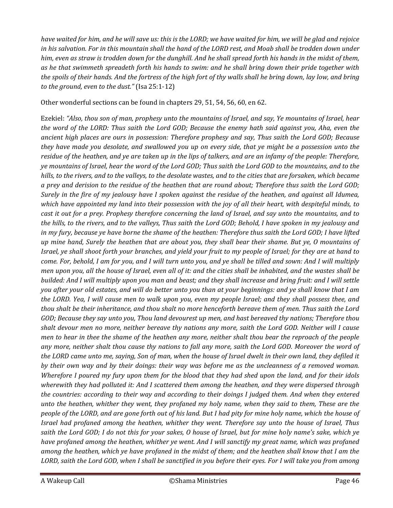*have waited for him, and he will save us: this is the LORD; we have waited for him, we will be glad and rejoice in his salvation. For in this mountain shall the hand of the LORD rest, and Moab shall be trodden down under him, even as straw is trodden down for the dunghill. And he shall spread forth his hands in the midst of them, as he that swimmeth spreadeth forth his hands to swim: and he shall bring down their pride together with the spoils of their hands. And the fortress of the high fort of thy walls shall he bring down, lay low, and bring to the ground, even to the dust."* (Isa 25:1-12)

Other wonderful sections can be found in chapters 29, 51, 54, 56, 60, en 62.

Ezekiel: *"Also, thou son of man, prophesy unto the mountains of Israel, and say, Ye mountains of Israel, hear the word of the LORD: Thus saith the Lord GOD; Because the enemy hath said against you, Aha, even the ancient high places are ours in possession: Therefore prophesy and say, Thus saith the Lord GOD; Because they have made you desolate, and swallowed you up on every side, that ye might be a possession unto the residue of the heathen, and ye are taken up in the lips of talkers, and are an infamy of the people: Therefore, ye mountains of Israel, hear the word of the Lord GOD; Thus saith the Lord GOD to the mountains, and to the hills, to the rivers, and to the valleys, to the desolate wastes, and to the cities that are forsaken, which became a prey and derision to the residue of the heathen that are round about; Therefore thus saith the Lord GOD; Surely in the fire of my jealousy have I spoken against the residue of the heathen, and against all Idumea, which have appointed my land into their possession with the joy of all their heart, with despiteful minds, to cast it out for a prey. Prophesy therefore concerning the land of Israel, and say unto the mountains, and to the hills, to the rivers, and to the valleys, Thus saith the Lord GOD; Behold, I have spoken in my jealousy and in my fury, because ye have borne the shame of the heathen: Therefore thus saith the Lord GOD; I have lifted up mine hand, Surely the heathen that are about you, they shall bear their shame. But ye, O mountains of Israel, ye shall shoot forth your branches, and yield your fruit to my people of Israel; for they are at hand to come. For, behold, I am for you, and I will turn unto you, and ye shall be tilled and sown: And I will multiply men upon you, all the house of Israel, even all of it: and the cities shall be inhabited, and the wastes shall be builded: And I will multiply upon you man and beast; and they shall increase and bring fruit: and I will settle you after your old estates, and will do better unto you than at your beginnings: and ye shall know that I am the LORD. Yea, I will cause men to walk upon you, even my people Israel; and they shall possess thee, and thou shalt be their inheritance, and thou shalt no more henceforth bereave them of men. Thus saith the Lord GOD; Because they say unto you, Thou land devourest up men, and hast bereaved thy nations; Therefore thou shalt devour men no more, neither bereave thy nations any more, saith the Lord GOD. Neither will I cause men to hear in thee the shame of the heathen any more, neither shalt thou bear the reproach of the people any more, neither shalt thou cause thy nations to fall any more, saith the Lord GOD. Moreover the word of the LORD came unto me, saying, Son of man, when the house of Israel dwelt in their own land, they defiled it by their own way and by their doings: their way was before me as the uncleanness of a removed woman. Wherefore I poured my fury upon them for the blood that they had shed upon the land, and for their idols wherewith they had polluted it: And I scattered them among the heathen, and they were dispersed through the countries: according to their way and according to their doings I judged them. And when they entered unto the heathen, whither they went, they profaned my holy name, when they said to them, These are the people of the LORD, and are gone forth out of his land. But I had pity for mine holy name, which the house of Israel had profaned among the heathen, whither they went. Therefore say unto the house of Israel, Thus saith the Lord GOD; I do not this for your sakes, O house of Israel, but for mine holy name's sake, which ye have profaned among the heathen, whither ye went. And I will sanctify my great name, which was profaned among the heathen, which ye have profaned in the midst of them; and the heathen shall know that I am the LORD, saith the Lord GOD, when I shall be sanctified in you before their eyes. For I will take you from among*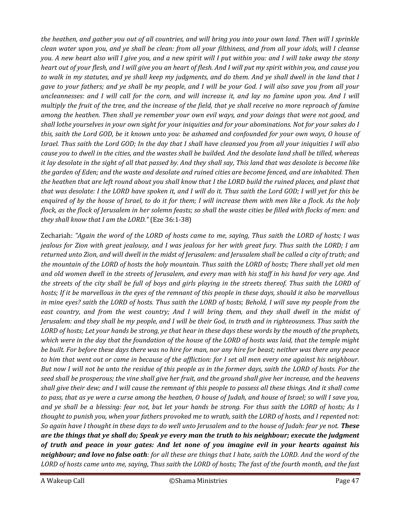*the heathen, and gather you out of all countries, and will bring you into your own land. Then will I sprinkle clean water upon you, and ye shall be clean: from all your filthiness, and from all your idols, will I cleanse you. A new heart also will I give you, and a new spirit will I put within you: and I will take away the stony heart out of your flesh, and I will give you an heart of flesh. And I will put my spirit within you, and cause you to walk in my statutes, and ye shall keep my judgments, and do them. And ye shall dwell in the land that I gave to your fathers; and ye shall be my people, and I will be your God. I will also save you from all your uncleannesses: and I will call for the corn, and will increase it, and lay no famine upon you. And I will multiply the fruit of the tree, and the increase of the field, that ye shall receive no more reproach of famine among the heathen. Then shall ye remember your own evil ways, and your doings that were not good, and shall lothe yourselves in your own sight for your iniquities and for your abominations. Not for your sakes do I this, saith the Lord GOD, be it known unto you: be ashamed and confounded for your own ways, O house of Israel. Thus saith the Lord GOD; In the day that I shall have cleansed you from all your iniquities I will also cause you to dwell in the cities, and the wastes shall be builded. And the desolate land shall be tilled, whereas it lay desolate in the sight of all that passed by. And they shall say, This land that was desolate is become like the garden of Eden; and the waste and desolate and ruined cities are become fenced, and are inhabited. Then the heathen that are left round about you shall know that I the LORD build the ruined places, and plant that that was desolate: I the LORD have spoken it, and I will do it. Thus saith the Lord GOD; I will yet for this be enquired of by the house of Israel, to do it for them; I will increase them with men like a flock. As the holy flock, as the flock of Jerusalem in her solemn feasts; so shall the waste cities be filled with flocks of men: and they shall know that I am the LORD."* (Eze 36:1-38)

Zechariah: *"Again the word of the LORD of hosts came to me, saying, Thus saith the LORD of hosts; I was jealous for Zion with great jealousy, and I was jealous for her with great fury. Thus saith the LORD; I am returned unto Zion, and will dwell in the midst of Jerusalem: and Jerusalem shall be called a city of truth; and the mountain of the LORD of hosts the holy mountain. Thus saith the LORD of hosts; There shall yet old men and old women dwell in the streets of Jerusalem, and every man with his staff in his hand for very age. And the streets of the city shall be full of boys and girls playing in the streets thereof. Thus saith the LORD of hosts; If it be marvellous in the eyes of the remnant of this people in these days, should it also be marvellous in mine eyes? saith the LORD of hosts. Thus saith the LORD of hosts; Behold, I will save my people from the east country, and from the west country; And I will bring them, and they shall dwell in the midst of Jerusalem: and they shall be my people, and I will be their God, in truth and in righteousness. Thus saith the LORD of hosts; Let your hands be strong, ye that hear in these days these words by the mouth of the prophets, which were in the day that the foundation of the house of the LORD of hosts was laid, that the temple might be built. For before these days there was no hire for man, nor any hire for beast; neither was there any peace to him that went out or came in because of the affliction: for I set all men every one against his neighbour. But now I will not be unto the residue of this people as in the former days, saith the LORD of hosts. For the seed shall be prosperous; the vine shall give her fruit, and the ground shall give her increase, and the heavens shall give their dew; and I will cause the remnant of this people to possess all these things. And it shall come to pass, that as ye were a curse among the heathen, O house of Judah, and house of Israel; so will I save you, and ye shall be a blessing: fear not, but let your hands be strong. For thus saith the LORD of hosts; As I thought to punish you, when your fathers provoked me to wrath, saith the LORD of hosts, and I repented not: So again have I thought in these days to do well unto Jerusalem and to the house of Judah: fear ye not. These are the things that ye shall do; Speak ye every man the truth to his neighbour; execute the judgment of truth and peace in your gates: And let none of you imagine evil in your hearts against his neighbour; and love no false oath: for all these are things that I hate, saith the LORD. And the word of the LORD of hosts came unto me, saying, Thus saith the LORD of hosts; The fast of the fourth month, and the fast*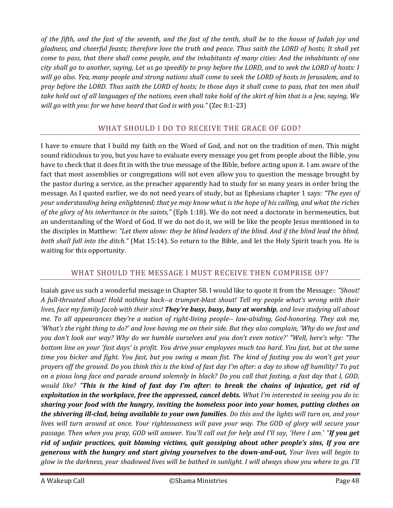*of the fifth, and the fast of the seventh, and the fast of the tenth, shall be to the house of Judah joy and gladness, and cheerful feasts; therefore love the truth and peace. Thus saith the LORD of hosts; It shall yet come to pass, that there shall come people, and the inhabitants of many cities: And the inhabitants of one city shall go to another, saying, Let us go speedily to pray before the LORD, and to seek the LORD of hosts: I will go also. Yea, many people and strong nations shall come to seek the LORD of hosts in Jerusalem, and to pray before the LORD. Thus saith the LORD of hosts; In those days it shall come to pass, that ten men shall take hold out of all languages of the nations, even shall take hold of the skirt of him that is a Jew, saying, We will go with you: for we have heard that God is with you."* (Zec 8:1-23)

## WHAT SHOULD I DO TO RECEIVE THE GRACE OF GOD?

I have to ensure that I build my faith on the Word of God, and not on the tradition of men. This might sound ridiculous to you, but you have to evaluate every message you get from people about the Bible, you have to check that it does fit in with the true message of the Bible, before acting upon it. I am aware of the fact that most assemblies or congregations will not even allow you to question the message brought by the pastor during a service, as the preacher apparently had to study for so many years in order bring the message. As I quoted earlier, we do not need years of study, but as Ephesians chapter 1 says: *"The eyes of your understanding being enlightened; that ye may know what is the hope of his calling, and what the riches of the glory of his inheritance in the saints,"* (Eph 1:18). We do not need a doctorate in hermeneutics, but an understanding of the Word of God. If we do not do it, we will be like the people Jesus mentioned in to the disciples in Matthew: *"Let them alone: they be blind leaders of the blind. And if the blind lead the blind, both shall fall into the ditch."* (Mat 15:14). So return to the Bible, and let the Holy Spirit teach you. He is waiting for this opportunity.

## WHAT SHOULD THE MESSAGE I MUST RECEIVE THEN COMPRISE OF?

Isaiah gave us such a wonderful message in Chapter 58. I would like to quote it from the Message:: *"Shout! A full-throated shout! Hold nothing back--a trumpet-blast shout! Tell my people what's wrong with their lives, face my family Jacob with their sins! They're busy, busy, busy at worship, and love studying all about me. To all appearances they're a nation of right-living people-- law-abiding, God-honoring. They ask me, 'What's the right thing to do?' and love having me on their side. But they also complain, 'Why do we fast and you don't look our way? Why do we humble ourselves and you don't even notice?' "Well, here's why: "The bottom line on your 'fast days' is profit. You drive your employees much too hard. You fast, but at the same time you bicker and fight. You fast, but you swing a mean fist. The kind of fasting you do won't get your prayers off the ground. Do you think this is the kind of fast day I'm after: a day to show off humility? To put on a pious long face and parade around solemnly in black? Do you call that fasting, a fast day that I, GOD, would like? "This is the kind of fast day I'm after: to break the chains of injustice, get rid of exploitation in the workplace, free the oppressed, cancel debts. What I'm interested in seeing you do is: sharing your food with the hungry, inviting the homeless poor into your homes, putting clothes on the shivering ill-clad, being available to your own families. Do this and the lights will turn on, and your lives will turn around at once. Your righteousness will pave your way. The GOD of glory will secure your passage. Then when you pray, GOD will answer. You'll call out for help and I'll say, 'Here I am.' "If you get rid of unfair practices, quit blaming victims, quit gossiping about other people's sins, If you are generous with the hungry and start giving yourselves to the down-and-out, Your lives will begin to glow in the darkness, your shadowed lives will be bathed in sunlight. I will always show you where to go. I'll*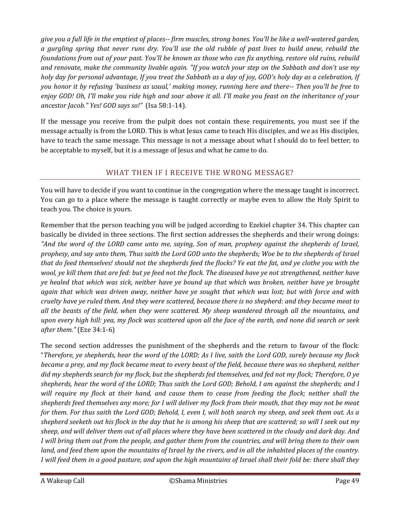*give you a full life in the emptiest of places-- firm muscles, strong bones. You'll be like a well-watered garden, a gurgling spring that never runs dry. You'll use the old rubble of past lives to build anew, rebuild the foundations from out of your past. You'll be known as those who can fix anything, restore old ruins, rebuild and renovate, make the community livable again. "If you watch your step on the Sabbath and don't use my holy day for personal advantage, If you treat the Sabbath as a day of joy, GOD's holy day as a celebration, If you honor it by refusing 'business as usual,' making money, running here and there-- Then you'll be free to enjoy GOD! Oh, I'll make you ride high and soar above it all. I'll make you feast on the inheritance of your ancestor Jacob." Yes! GOD says so!"* (Isa 58:1-14).

If the message you receive from the pulpit does not contain these requirements, you must see if the message actually is from the LORD. This is what Jesus came to teach His disciples, and we as His disciples, have to teach the same message. This message is not a message about what I should do to feel better; to be acceptable to myself, but it is a message of Jesus and what he came to do.

## WHAT THEN IF I RECEIVE THE WRONG MESSAGE?

You will have to decide if you want to continue in the congregation where the message taught is incorrect. You can go to a place where the message is taught correctly or maybe even to allow the Holy Spirit to teach you. The choice is yours.

Remember that the person teaching you will be judged according to Ezekiel chapter 34. This chapter can basically be divided in three sections. The first section addresses the shepherds and their wrong doings: *"And the word of the LORD came unto me, saying, Son of man, prophesy against the shepherds of Israel, prophesy, and say unto them, Thus saith the Lord GOD unto the shepherds; Woe be to the shepherds of Israel that do feed themselves! should not the shepherds feed the flocks? Ye eat the fat, and ye clothe you with the wool, ye kill them that are fed: but ye feed not the flock. The diseased have ye not strengthened, neither have ye healed that which was sick, neither have ye bound up that which was broken, neither have ye brought again that which was driven away, neither have ye sought that which was lost; but with force and with cruelty have ye ruled them. And they were scattered, because there is no shepherd: and they became meat to all the beasts of the field, when they were scattered. My sheep wandered through all the mountains, and upon every high hill: yea, my flock was scattered upon all the face of the earth, and none did search or seek after them."* (Eze 34:1-6)

The second section addresses the punishment of the shepherds and the return to favour of the flock: "*Therefore, ye shepherds, hear the word of the LORD; As I live, saith the Lord GOD, surely because my flock became a prey, and my flock became meat to every beast of the field, because there was no shepherd, neither did my shepherds search for my flock, but the shepherds fed themselves, and fed not my flock; Therefore, O ye shepherds, hear the word of the LORD; Thus saith the Lord GOD; Behold, I am against the shepherds; and I will require my flock at their hand, and cause them to cease from feeding the flock; neither shall the shepherds feed themselves any more; for I will deliver my flock from their mouth, that they may not be meat for them. For thus saith the Lord GOD; Behold, I, even I, will both search my sheep, and seek them out. As a shepherd seeketh out his flock in the day that he is among his sheep that are scattered; so will I seek out my sheep, and will deliver them out of all places where they have been scattered in the cloudy and dark day. And I will bring them out from the people, and gather them from the countries, and will bring them to their own land, and feed them upon the mountains of Israel by the rivers, and in all the inhabited places of the country. I will feed them in a good pasture, and upon the high mountains of Israel shall their fold be: there shall they*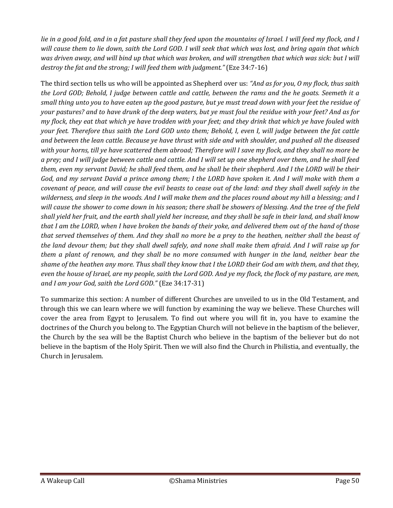lie in a good fold, and in a fat pasture shall they feed upon the mountains of Israel. I will feed my flock, and I *will cause them to lie down, saith the Lord GOD. I will seek that which was lost, and bring again that which was driven away, and will bind up that which was broken, and will strengthen that which was sick: but I will destroy the fat and the strong; I will feed them with judgment."* (Eze 34:7-16)

The third section tells us who will be appointed as Shepherd over us: *"And as for you, O my flock, thus saith the Lord GOD; Behold, I judge between cattle and cattle, between the rams and the he goats. Seemeth it a small thing unto you to have eaten up the good pasture, but ye must tread down with your feet the residue of your pastures? and to have drunk of the deep waters, but ye must foul the residue with your feet? And as for my flock, they eat that which ye have trodden with your feet; and they drink that which ye have fouled with your feet. Therefore thus saith the Lord GOD unto them; Behold, I, even I, will judge between the fat cattle and between the lean cattle. Because ye have thrust with side and with shoulder, and pushed all the diseased with your horns, till ye have scattered them abroad; Therefore will I save my flock, and they shall no more be a prey; and I will judge between cattle and cattle. And I will set up one shepherd over them, and he shall feed them, even my servant David; he shall feed them, and he shall be their shepherd. And I the LORD will be their God, and my servant David a prince among them; I the LORD have spoken it. And I will make with them a covenant of peace, and will cause the evil beasts to cease out of the land: and they shall dwell safely in the wilderness, and sleep in the woods. And I will make them and the places round about my hill a blessing; and I will cause the shower to come down in his season; there shall be showers of blessing. And the tree of the field shall yield her fruit, and the earth shall yield her increase, and they shall be safe in their land, and shall know that I am the LORD, when I have broken the bands of their yoke, and delivered them out of the hand of those that served themselves of them. And they shall no more be a prey to the heathen, neither shall the beast of the land devour them; but they shall dwell safely, and none shall make them afraid. And I will raise up for them a plant of renown, and they shall be no more consumed with hunger in the land, neither bear the shame of the heathen any more. Thus shall they know that I the LORD their God am with them, and that they, even the house of Israel, are my people, saith the Lord GOD. And ye my flock, the flock of my pasture, are men, and I am your God, saith the Lord GOD."* (Eze 34:17-31)

To summarize this section: A number of different Churches are unveiled to us in the Old Testament, and through this we can learn where we will function by examining the way we believe. These Churches will cover the area from Egypt to Jerusalem. To find out where you will fit in, you have to examine the doctrines of the Church you belong to. The Egyptian Church will not believe in the baptism of the believer, the Church by the sea will be the Baptist Church who believe in the baptism of the believer but do not believe in the baptism of the Holy Spirit. Then we will also find the Church in Philistia, and eventually, the Church in Jerusalem.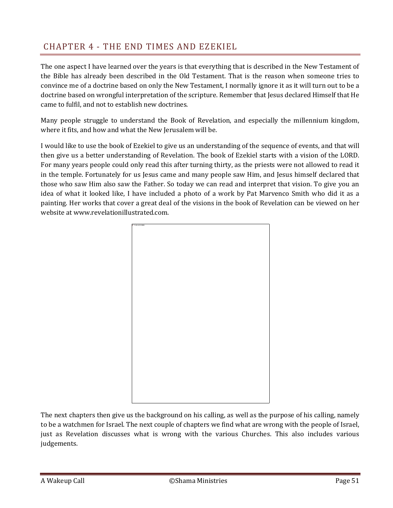# CHAPTER 4 - THE END TIMES AND EZEKIEL

The one aspect I have learned over the years is that everything that is described in the New Testament of the Bible has already been described in the Old Testament. That is the reason when someone tries to convince me of a doctrine based on only the New Testament, I normally ignore it as it will turn out to be a doctrine based on wrongful interpretation of the scripture. Remember that Jesus declared Himself that He came to fulfil, and not to establish new doctrines.

Many people struggle to understand the Book of Revelation, and especially the millennium kingdom, where it fits, and how and what the New Jerusalem will be.

I would like to use the book of Ezekiel to give us an understanding of the sequence of events, and that will then give us a better understanding of Revelation. The book of Ezekiel starts with a vision of the LORD. For many years people could only read this after turning thirty, as the priests were not allowed to read it in the temple. Fortunately for us Jesus came and many people saw Him, and Jesus himself declared that those who saw Him also saw the Father. So today we can read and interpret that vision. To give you an idea of what it looked like, I have included a photo of a work by Pat Marvenco Smith who did it as a painting. Her works that cover a great deal of the visions in the book of Revelation can be viewed on her website at www.revelationillustrated.com.



The next chapters then give us the background on his calling, as well as the purpose of his calling, namely to be a watchmen for Israel. The next couple of chapters we find what are wrong with the people of Israel, just as Revelation discusses what is wrong with the various Churches. This also includes various judgements.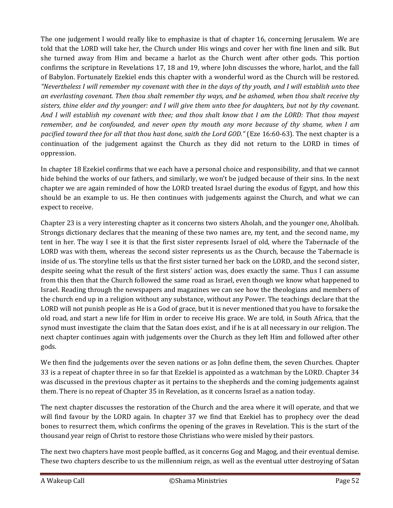The one judgement I would really like to emphasize is that of chapter 16, concerning Jerusalem. We are told that the LORD will take her, the Church under His wings and cover her with fine linen and silk. But she turned away from Him and became a harlot as the Church went after other gods. This portion confirms the scripture in Revelations 17, 18 and 19, where John discusses the whore, harlot, and the fall of Babylon. Fortunately Ezekiel ends this chapter with a wonderful word as the Church will be restored. *"Nevertheless I will remember my covenant with thee in the days of thy youth, and I will establish unto thee an everlasting covenant. Then thou shalt remember thy ways, and be ashamed, when thou shalt receive thy sisters, thine elder and thy younger: and I will give them unto thee for daughters, but not by thy covenant. And I will establish my covenant with thee; and thou shalt know that I am the LORD: That thou mayest remember, and be confounded, and never open thy mouth any more because of thy shame, when I am pacified toward thee for all that thou hast done, saith the Lord GOD."* (Eze 16:60-63). The next chapter is a continuation of the judgement against the Church as they did not return to the LORD in times of oppression.

In chapter 18 Ezekiel confirms that we each have a personal choice and responsibility, and that we cannot hide behind the works of our fathers, and similarly, we won't be judged because of their sins. In the next chapter we are again reminded of how the LORD treated Israel during the exodus of Egypt, and how this should be an example to us. He then continues with judgements against the Church, and what we can expect to receive.

Chapter 23 is a very interesting chapter as it concerns two sisters Aholah, and the younger one, Aholibah. Strongs dictionary declares that the meaning of these two names are, my tent, and the second name, my tent in her. The way I see it is that the first sister represents Israel of old, where the Tabernacle of the LORD was with them, whereas the second sister represents us as the Church, because the Tabernacle is inside of us. The storyline tells us that the first sister turned her back on the LORD, and the second sister, despite seeing what the result of the first sisters' action was, does exactly the same. Thus I can assume from this then that the Church followed the same road as Israel, even though we know what happened to Israel. Reading through the newspapers and magazines we can see how the theologians and members of the church end up in a religion without any substance, without any Power. The teachings declare that the LORD will not punish people as He is a God of grace, but it is never mentioned that you have to forsake the old road, and start a new life for Him in order to receive His grace. We are told, in South Africa, that the synod must investigate the claim that the Satan does exist, and if he is at all necessary in our religion. The next chapter continues again with judgements over the Church as they left Him and followed after other gods.

We then find the judgements over the seven nations or as John define them, the seven Churches. Chapter 33 is a repeat of chapter three in so far that Ezekiel is appointed as a watchman by the LORD. Chapter 34 was discussed in the previous chapter as it pertains to the shepherds and the coming judgements against them. There is no repeat of Chapter 35 in Revelation, as it concerns Israel as a nation today.

The next chapter discusses the restoration of the Church and the area where it will operate, and that we will find favour by the LORD again. In chapter 37 we find that Ezekiel has to prophecy over the dead bones to resurrect them, which confirms the opening of the graves in Revelation. This is the start of the thousand year reign of Christ to restore those Christians who were misled by their pastors.

The next two chapters have most people baffled, as it concerns Gog and Magog, and their eventual demise. These two chapters describe to us the millennium reign, as well as the eventual utter destroying of Satan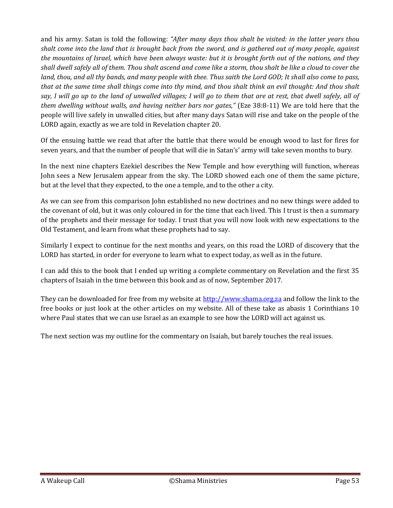and his army. Satan is told the following: *"After many days thou shalt be visited: in the latter years thou shalt come into the land that is brought back from the sword, and is gathered out of many people, against the mountains of Israel, which have been always waste: but it is brought forth out of the nations, and they shall dwell safely all of them. Thou shalt ascend and come like a storm, thou shalt be like a cloud to cover the land, thou, and all thy bands, and many people with thee. Thus saith the Lord GOD; It shall also come to pass, that at the same time shall things come into thy mind, and thou shalt think an evil thought: And thou shalt say, I will go up to the land of unwalled villages; I will go to them that are at rest, that dwell safely, all of them dwelling without walls, and having neither bars nor gates,"* (Eze 38:8-11) We are told here that the people will live safely in unwalled cities, but after many days Satan will rise and take on the people of the LORD again, exactly as we are told in Revelation chapter 20.

Of the ensuing battle we read that after the battle that there would be enough wood to last for fires for seven years, and that the number of people that will die in Satan's' army will take seven months to bury.

In the next nine chapters Ezekiel describes the New Temple and how everything will function, whereas John sees a New Jerusalem appear from the sky. The LORD showed each one of them the same picture, but at the level that they expected, to the one a temple, and to the other a city.

As we can see from this comparison John established no new doctrines and no new things were added to the covenant of old, but it was only coloured in for the time that each lived. This I trust is then a summary of the prophets and their message for today. I trust that you will now look with new expectations to the Old Testament, and learn from what these prophets had to say.

Similarly I expect to continue for the next months and years, on this road the LORD of discovery that the LORD has started, in order for everyone to learn what to expect today, as well as in the future.

I can add this to the book that I ended up writing a complete commentary on Revelation and the first 35 chapters of Isaiah in the time between this book and as of now, September 2017.

They can be downloaded for free from my website at [http://www.shama.org.za](http://www.shama.org.za/) and follow the link to the free books or just look at the other articles on my website. All of these take as abasis 1 Corinthians 10 where Paul states that we can use Israel as an example to see how the LORD will act against us.

The next section was my outline for the commentary on Isaiah, but barely touches the real issues.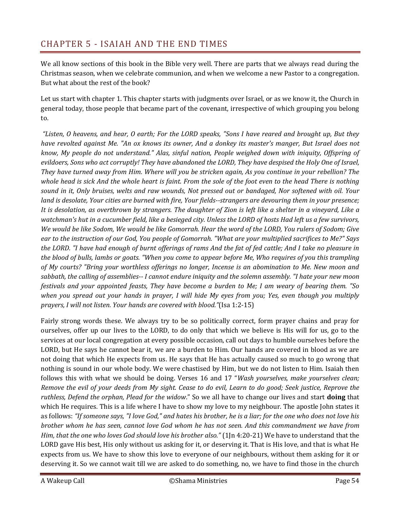# CHAPTER 5 - ISAIAH AND THE END TIMES

We all know sections of this book in the Bible very well. There are parts that we always read during the Christmas season, when we celebrate communion, and when we welcome a new Pastor to a congregation. But what about the rest of the book?

Let us start with chapter 1. This chapter starts with judgments over Israel, or as we know it, the Church in general today, those people that became part of the covenant, irrespective of which grouping you belong to.

*"Listen, O heavens, and hear, O earth; For the LORD speaks, "Sons I have reared and brought up, But they have revolted against Me. "An ox knows its owner, And a donkey its master's manger, But Israel does not know, My people do not understand." Alas, sinful nation, People weighed down with iniquity, Offspring of evildoers, Sons who act corruptly! They have abandoned the LORD, They have despised the Holy One of Israel, They have turned away from Him. Where will you be stricken again, As you continue in your rebellion? The whole head is sick And the whole heart is faint. From the sole of the foot even to the head There is nothing sound in it, Only bruises, welts and raw wounds, Not pressed out or bandaged, Nor softened with oil. Your land is desolate, Your cities are burned with fire, Your fields--strangers are devouring them in your presence; It is desolation, as overthrown by strangers. The daughter of Zion is left like a shelter in a vineyard, Like a watchman's hut in a cucumber field, like a besieged city. Unless the LORD of hosts Had left us a few survivors, We would be like Sodom, We would be like Gomorrah. Hear the word of the LORD, You rulers of Sodom; Give ear to the instruction of our God, You people of Gomorrah. "What are your multiplied sacrifices to Me?" Says the LORD. "I have had enough of burnt offerings of rams And the fat of fed cattle; And I take no pleasure in the blood of bulls, lambs or goats. "When you come to appear before Me, Who requires of you this trampling of My courts? "Bring your worthless offerings no longer, Incense is an abomination to Me. New moon and sabbath, the calling of assemblies-- I cannot endure iniquity and the solemn assembly. "I hate your new moon festivals and your appointed feasts, They have become a burden to Me; I am weary of bearing them. "So when you spread out your hands in prayer, I will hide My eyes from you; Yes, even though you multiply prayers, I will not listen. Your hands are covered with blood."*(Isa 1:2-15)

Fairly strong words these. We always try to be so politically correct, form prayer chains and pray for ourselves, offer up our lives to the LORD, to do only that which we believe is His will for us, go to the services at our local congregation at every possible occasion, call out days to humble ourselves before the LORD, but He says he cannot bear it, we are a burden to Him. Our hands are covered in blood as we are not doing that which He expects from us. He says that He has actually caused so much to go wrong that nothing is sound in our whole body. We were chastised by Him, but we do not listen to Him. Isaiah then follows this with what we should be doing. Verses 16 and 17 "*Wash yourselves, make yourselves clean; Remove the evil of your deeds from My sight. Cease to do evil, Learn to do good; Seek justice, Reprove the ruthless, Defend the orphan, Plead for the widow*." So we all have to change our lives and start **doing** that which He requires. This is a life where I have to show my love to my neighbour. The apostle John states it as follows: *"If someone says, "I love God," and hates his brother, he is a liar; for the one who does not love his brother whom he has seen, cannot love God whom he has not seen. And this commandment we have from Him, that the one who loves God should love his brother also."* (1Jn 4:20-21) We have to understand that the LORD gave His best, His only without us asking for it, or deserving it. That is His love, and that is what He expects from us. We have to show this love to everyone of our neighbours, without them asking for it or deserving it. So we cannot wait till we are asked to do something, no, we have to find those in the church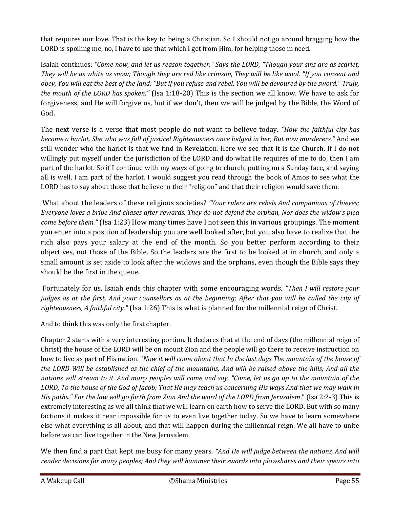that requires our love. That is the key to being a Christian. So I should not go around bragging how the LORD is spoiling me, no, I have to use that which I get from Him, for helping those in need.

Isaiah continues: *"Come now, and let us reason together," Says the LORD, "Though your sins are as scarlet, They will be as white as snow; Though they are red like crimson, They will be like wool. "If you consent and obey, You will eat the best of the land; "But if you refuse and rebel, You will be devoured by the sword." Truly, the mouth of the LORD has spoken."* (Isa 1:18-20) This is the section we all know. We have to ask for forgiveness, and He will forgive us, but if we don't, then we will be judged by the Bible, the Word of God.

The next verse is a verse that most people do not want to believe today. *"How the faithful city has become a harlot, She who was full of justice! Righteousness once lodged in her, But now murderers."* And we still wonder who the harlot is that we find in Revelation. Here we see that it is the Church. If I do not willingly put myself under the jurisdiction of the LORD and do what He requires of me to do, then I am part of the harlot. So if I continue with my ways of going to church, putting on a Sunday face, and saying all is well, I am part of the harlot. I would suggest you read through the book of Amos to see what the LORD has to say about those that believe in their "religion" and that their religion would save them.

What about the leaders of these religious societies? *"Your rulers are rebels And companions of thieves; Everyone loves a bribe And chases after rewards. They do not defend the orphan, Nor does the widow's plea come before them."* (Isa 1:23) How many times have I not seen this in various groupings. The moment you enter into a position of leadership you are well looked after, but you also have to realize that the rich also pays your salary at the end of the month. So you better perform according to their objectives, not those of the Bible. So the leaders are the first to be looked at in church, and only a small amount is set aside to look after the widows and the orphans, even though the Bible says they should be the first in the queue.

Fortunately for us, Isaiah ends this chapter with some encouraging words. *"Then I will restore your judges as at the first, And your counsellors as at the beginning; After that you will be called the city of righteousness, A faithful city."* (Isa 1:26) This is what is planned for the millennial reign of Christ.

And to think this was only the first chapter.

Chapter 2 starts with a very interesting portion. It declares that at the end of days (the millennial reign of Christ) the house of the LORD will be on mount Zion and the people will go there to receive instruction on how to live as part of His nation. "*Now it will come about that In the last days The mountain of the house of the LORD Will be established as the chief of the mountains, And will be raised above the hills; And all the nations will stream to it. And many peoples will come and say, "Come, let us go up to the mountain of the LORD, To the house of the God of Jacob; That He may teach us concerning His ways And that we may walk in His paths." For the law will go forth from Zion And the word of the LORD from Jerusalem*." (Isa 2:2-3) This is extremely interesting as we all think that we will learn on earth how to serve the LORD. But with so many factions it makes it near impossible for us to even live together today. So we have to learn somewhere else what everything is all about, and that will happen during the millennial reign. We all have to unite before we can live together in the New Jerusalem.

We then find a part that kept me busy for many years. *"And He will judge between the nations, And will render decisions for many peoples; And they will hammer their swords into plowshares and their spears into*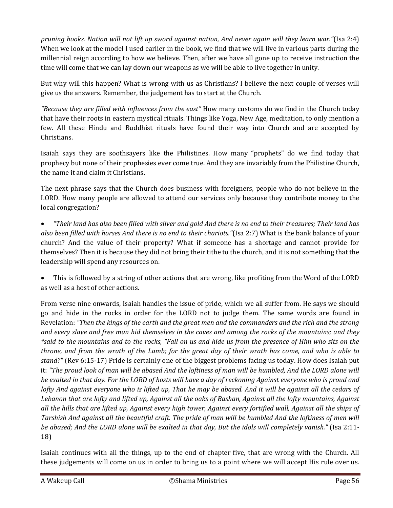*pruning hooks. Nation will not lift up sword against nation, And never again will they learn war."*(Isa 2:4) When we look at the model I used earlier in the book, we find that we will live in various parts during the millennial reign according to how we believe. Then, after we have all gone up to receive instruction the time will come that we can lay down our weapons as we will be able to live together in unity.

But why will this happen? What is wrong with us as Christians? I believe the next couple of verses will give us the answers. Remember, the judgement has to start at the Church.

*"Because they are filled with influences from the east"* How many customs do we find in the Church today that have their roots in eastern mystical rituals. Things like Yoga, New Age, meditation, to only mention a few. All these Hindu and Buddhist rituals have found their way into Church and are accepted by Christians.

Isaiah says they are soothsayers like the Philistines. How many "prophets" do we find today that prophecy but none of their prophesies ever come true. And they are invariably from the Philistine Church, the name it and claim it Christians.

The next phrase says that the Church does business with foreigners, people who do not believe in the LORD. How many people are allowed to attend our services only because they contribute money to the local congregation?

• *"Their land has also been filled with silver and gold And there is no end to their treasures; Their land has also been filled with horses And there is no end to their chariots."*(Isa 2:7) What is the bank balance of your church? And the value of their property? What if someone has a shortage and cannot provide for themselves? Then it is because they did not bring their tithe to the church, and it is not something that the leadership will spend any resources on.

• This is followed by a string of other actions that are wrong, like profiting from the Word of the LORD as well as a host of other actions.

From verse nine onwards, Isaiah handles the issue of pride, which we all suffer from. He says we should go and hide in the rocks in order for the LORD not to judge them. The same words are found in Revelation: *"Then the kings of the earth and the great men and the commanders and the rich and the strong and every slave and free man hid themselves in the caves and among the rocks of the mountains; and they \*said to the mountains and to the rocks, "Fall on us and hide us from the presence of Him who sits on the throne, and from the wrath of the Lamb; for the great day of their wrath has come, and who is able to stand?"* (Rev 6:15-17) Pride is certainly one of the biggest problems facing us today. How does Isaiah put it: "The proud look of man will be abased And the loftiness of man will be humbled, And the LORD alone will *be exalted in that day. For the LORD of hosts will have a day of reckoning Against everyone who is proud and lofty And against everyone who is lifted up, That he may be abased. And it will be against all the cedars of Lebanon that are lofty and lifted up, Against all the oaks of Bashan, Against all the lofty mountains, Against all the hills that are lifted up, Against every high tower, Against every fortified wall, Against all the ships of Tarshish And against all the beautiful craft. The pride of man will be humbled And the loftiness of men will be abased; And the LORD alone will be exalted in that day, But the idols will completely vanish."* (Isa 2:11- 18)

Isaiah continues with all the things, up to the end of chapter five, that are wrong with the Church. All these judgements will come on us in order to bring us to a point where we will accept His rule over us.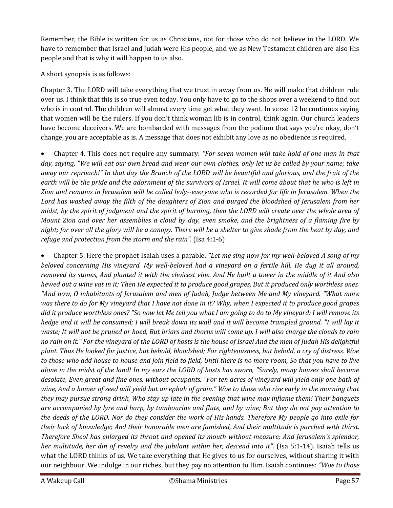Remember, the Bible is written for us as Christians, not for those who do not believe in the LORD. We have to remember that Israel and Judah were His people, and we as New Testament children are also His people and that is why it will happen to us also.

A short synopsis is as follows:

Chapter 3. The LORD will take everything that we trust in away from us. He will make that children rule over us. I think that this is so true even today. You only have to go to the shops over a weekend to find out who is in control. The children will almost every time get what they want. In verse 12 he continues saying that women will be the rulers. If you don't think woman lib is in control, think again. Our church leaders have become deceivers. We are bombarded with messages from the podium that says you're okay, don't change, you are acceptable as is. A message that does not exhibit any love as no obedience is required.

• Chapter 4. This does not require any summary: *"For seven women will take hold of one man in that day, saying, "We will eat our own bread and wear our own clothes, only let us be called by your name; take away our reproach!" In that day the Branch of the LORD will be beautiful and glorious, and the fruit of the earth will be the pride and the adornment of the survivors of Israel. It will come about that he who is left in Zion and remains in Jerusalem will be called holy--everyone who is recorded for life in Jerusalem. When the Lord has washed away the filth of the daughters of Zion and purged the bloodshed of Jerusalem from her midst, by the spirit of judgment and the spirit of burning, then the LORD will create over the whole area of Mount Zion and over her assemblies a cloud by day, even smoke, and the brightness of a flaming fire by night; for over all the glory will be a canopy. There will be a shelter to give shade from the heat by day, and refuge and protection from the storm and the rain"*. (Isa 4:1-6)

• Chapter 5. Here the prophet Isaiah uses a parable. *"Let me sing now for my well-beloved A song of my beloved concerning His vineyard. My well-beloved had a vineyard on a fertile hill. He dug it all around, removed its stones, And planted it with the choicest vine. And He built a tower in the middle of it And also hewed out a wine vat in it; Then He expected it to produce good grapes, But it produced only worthless ones. "And now, O inhabitants of Jerusalem and men of Judah, Judge between Me and My vineyard. "What more was there to do for My vineyard that I have not done in it? Why, when I expected it to produce good grapes did it produce worthless ones? "So now let Me tell you what I am going to do to My vineyard: I will remove its hedge and it will be consumed; I will break down its wall and it will become trampled ground. "I will lay it waste; It will not be pruned or hoed, But briars and thorns will come up. I will also charge the clouds to rain no rain on it." For the vineyard of the LORD of hosts is the house of Israel And the men of Judah His delightful plant. Thus He looked for justice, but behold, bloodshed; For righteousness, but behold, a cry of distress. Woe to those who add house to house and join field to field, Until there is no more room, So that you have to live alone in the midst of the land! In my ears the LORD of hosts has sworn, "Surely, many houses shall become desolate, Even great and fine ones, without occupants. "For ten acres of vineyard will yield only one bath of wine, And a homer of seed will yield but an ephah of grain." Woe to those who rise early in the morning that they may pursue strong drink, Who stay up late in the evening that wine may inflame them! Their banquets are accompanied by lyre and harp, by tambourine and flute, and by wine; But they do not pay attention to the deeds of the LORD, Nor do they consider the work of His hands. Therefore My people go into exile for their lack of knowledge; And their honorable men are famished, And their multitude is parched with thirst. Therefore Sheol has enlarged its throat and opened its mouth without measure; And Jerusalem's splendor, her multitude, her din of revelry and the jubilant within her, descend into it"*. (Isa 5:1-14). Isaiah tells us what the LORD thinks of us. We take everything that He gives to us for ourselves, without sharing it with our neighbour. We indulge in our riches, but they pay no attention to Him. Isaiah continues: *"Woe to those*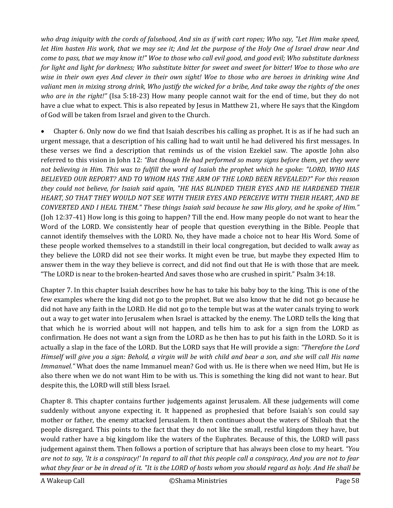*who drag iniquity with the cords of falsehood, And sin as if with cart ropes; Who say, "Let Him make speed, let Him hasten His work, that we may see it; And let the purpose of the Holy One of Israel draw near And come to pass, that we may know it!" Woe to those who call evil good, and good evil; Who substitute darkness for light and light for darkness; Who substitute bitter for sweet and sweet for bitter! Woe to those who are wise in their own eyes And clever in their own sight! Woe to those who are heroes in drinking wine And valiant men in mixing strong drink, Who justify the wicked for a bribe, And take away the rights of the ones who are in the right!"* (Isa 5:18-23) How many people cannot wait for the end of time, but they do not have a clue what to expect. This is also repeated by Jesus in Matthew 21, where He says that the Kingdom of God will be taken from Israel and given to the Church.

• Chapter 6. Only now do we find that Isaiah describes his calling as prophet. It is as if he had such an urgent message, that a description of his calling had to wait until he had delivered his first messages. In these verses we find a description that reminds us of the vision Ezekiel saw. The apostle John also referred to this vision in John 12: *"But though He had performed so many signs before them, yet they were not believing in Him. This was to fulfill the word of Isaiah the prophet which he spoke: "LORD, WHO HAS BELIEVED OUR REPORT? AND TO WHOM HAS THE ARM OF THE LORD BEEN REVEALED?" For this reason they could not believe, for Isaiah said again, "HE HAS BLINDED THEIR EYES AND HE HARDENED THEIR HEART, SO THAT THEY WOULD NOT SEE WITH THEIR EYES AND PERCEIVE WITH THEIR HEART, AND BE CONVERTED AND I HEAL THEM." These things Isaiah said because he saw His glory, and he spoke of Him."*  (Joh 12:37-41) How long is this going to happen? Till the end. How many people do not want to hear the Word of the LORD. We consistently hear of people that question everything in the Bible. People that cannot identify themselves with the LORD. No, they have made a choice not to hear His Word. Some of these people worked themselves to a standstill in their local congregation, but decided to walk away as they believe the LORD did not see their works. It might even be true, but maybe they expected Him to answer them in the way they believe is correct, and did not find out that He is with those that are meek. "The LORD is near to the broken-hearted And saves those who are crushed in spirit." Psalm 34:18.

Chapter 7. In this chapter Isaiah describes how he has to take his baby boy to the king. This is one of the few examples where the king did not go to the prophet. But we also know that he did not go because he did not have any faith in the LORD. He did not go to the temple but was at the water canals trying to work out a way to get water into Jerusalem when Israel is attacked by the enemy. The LORD tells the king that that which he is worried about will not happen, and tells him to ask for a sign from the LORD as confirmation. He does not want a sign from the LORD as he then has to put his faith in the LORD. So it is actually a slap in the face of the LORD. But the LORD says that He will provide a sign: *"Therefore the Lord Himself will give you a sign: Behold, a virgin will be with child and bear a son, and she will call His name Immanuel."* What does the name Immanuel mean? God with us. He is there when we need Him, but He is also there when we do not want Him to be with us. This is something the king did not want to hear. But despite this, the LORD will still bless Israel.

Chapter 8. This chapter contains further judgements against Jerusalem. All these judgements will come suddenly without anyone expecting it. It happened as prophesied that before Isaiah's son could say mother or father, the enemy attacked Jerusalem. It then continues about the waters of Shiloah that the people disregard. This points to the fact that they do not like the small, restful kingdom they have, but would rather have a big kingdom like the waters of the Euphrates. Because of this, the LORD will pass judgement against them. Then follows a portion of scripture that has always been close to my heart. *"You are not to say, 'It is a conspiracy!' In regard to all that this people call a conspiracy, And you are not to fear what they fear or be in dread of it. "It is the LORD of hosts whom you should regard as holy. And He shall be*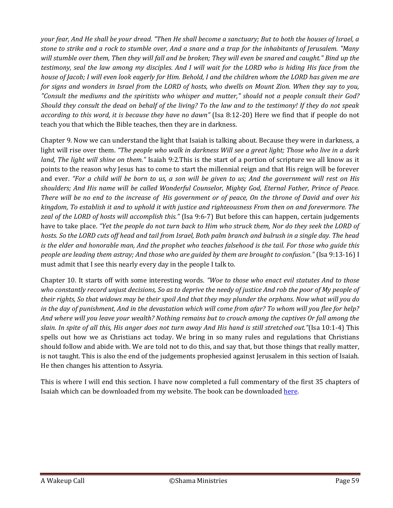*your fear, And He shall be your dread. "Then He shall become a sanctuary; But to both the houses of Israel, a stone to strike and a rock to stumble over, And a snare and a trap for the inhabitants of Jerusalem. "Many will stumble over them, Then they will fall and be broken; They will even be snared and caught." Bind up the testimony, seal the law among my disciples. And I will wait for the LORD who is hiding His face from the house of Jacob; I will even look eagerly for Him. Behold, I and the children whom the LORD has given me are for signs and wonders in Israel from the LORD of hosts, who dwells on Mount Zion. When they say to you, "Consult the mediums and the spiritists who whisper and mutter," should not a people consult their God? Should they consult the dead on behalf of the living? To the law and to the testimony! If they do not speak according to this word, it is because they have no dawn"* (Isa 8:12-20) Here we find that if people do not teach you that which the Bible teaches, then they are in darkness.

Chapter 9. Now we can understand the light that Isaiah is talking about. Because they were in darkness, a light will rise over them. *"The people who walk in darkness Will see a great light; Those who live in a dark land, The light will shine on them."* Isaiah 9:2.This is the start of a portion of scripture we all know as it points to the reason why Jesus has to come to start the millennial reign and that His reign will be forever and ever. *"For a child will be born to us, a son will be given to us; And the government will rest on His shoulders; And His name will be called Wonderful Counselor, Mighty God, Eternal Father, Prince of Peace. There will be no end to the increase of His government or of peace, On the throne of David and over his kingdom, To establish it and to uphold it with justice and righteousness From then on and forevermore. The zeal of the LORD of hosts will accomplish this."* (Isa 9:6-7) But before this can happen, certain judgements have to take place. *"Yet the people do not turn back to Him who struck them, Nor do they seek the LORD of hosts. So the LORD cuts off head and tail from Israel, Both palm branch and bulrush in a single day. The head is the elder and honorable man, And the prophet who teaches falsehood is the tail. For those who guide this people are leading them astray; And those who are guided by them are brought to confusion."* (Isa 9:13-16) I must admit that I see this nearly every day in the people I talk to.

Chapter 10. It starts off with some interesting words. *"Woe to those who enact evil statutes And to those who constantly record unjust decisions, So as to deprive the needy of justice And rob the poor of My people of their rights, So that widows may be their spoil And that they may plunder the orphans. Now what will you do in the day of punishment, And in the devastation which will come from afar? To whom will you flee for help? And where will you leave your wealth? Nothing remains but to crouch among the captives Or fall among the slain. In spite of all this, His anger does not turn away And His hand is still stretched out."*(Isa 10:1-4) This spells out how we as Christians act today. We bring in so many rules and regulations that Christians should follow and abide with. We are told not to do this, and say that, but those things that really matter, is not taught. This is also the end of the judgements prophesied against Jerusalem in this section of Isaiah. He then changes his attention to Assyria.

This is where I will end this section. I have now completed a full commentary of the first 35 chapters of Isaiah which can be downloaded from my website. The book can be downloaded [here.](http://www.shamaministries.org.za/boeke/isaiah.pdf)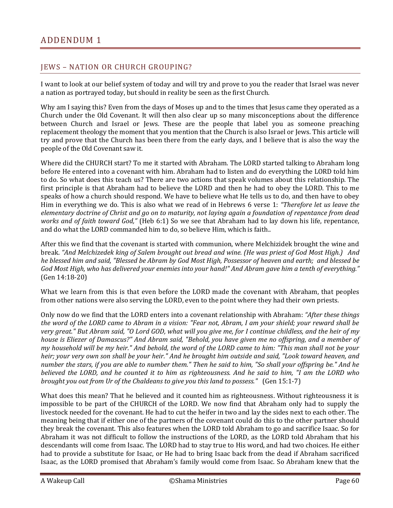#### JEWS – NATION OR CHURCH GROUPING?

I want to look at our belief system of today and will try and prove to you the reader that Israel was never a nation as portrayed today, but should in reality be seen as the first Church.

Why am I saying this? Even from the days of Moses up and to the times that Jesus came they operated as a Church under the Old Covenant. It will then also clear up so many misconceptions about the difference between Church and Israel or Jews. These are the people that label you as someone preaching replacement theology the moment that you mention that the Church is also Israel or Jews. This article will try and prove that the Church has been there from the early days, and I believe that is also the way the people of the Old Covenant saw it.

Where did the CHURCH start? To me it started with Abraham. The LORD started talking to Abraham long before He entered into a covenant with him. Abraham had to listen and do everything the LORD told him to do. So what does this teach us? There are two actions that speak volumes about this relationship. The first principle is that Abraham had to believe the LORD and then he had to obey the LORD. This to me speaks of how a church should respond. We have to believe what He tells us to do, and then have to obey Him in everything we do. This is also what we read of in Hebrews 6 verse 1: *"Therefore let us leave the elementary doctrine of Christ and go on to maturity, not laying again a foundation of repentance from dead works and of faith toward God,"* (Heb 6:1) So we see that Abraham had to lay down his life, repentance, and do what the LORD commanded him to do, so believe Him, which is faith..

After this we find that the covenant is started with communion, where Melchizidek brought the wine and break. *"And Melchizedek king of Salem brought out bread and wine. (He was priest of God Most High.) And he blessed him and said, "Blessed be Abram by God Most High, Possessor of heaven and earth; and blessed be God Most High, who has delivered your enemies into your hand!" And Abram gave him a tenth of everything."* (Gen 14:18-20)

What we learn from this is that even before the LORD made the covenant with Abraham, that peoples from other nations were also serving the LORD, even to the point where they had their own priests.

Only now do we find that the LORD enters into a covenant relationship with Abraham: *"After these things the word of the LORD came to Abram in a vision: "Fear not, Abram, I am your shield; your reward shall be very great." But Abram said, "O Lord GOD, what will you give me, for I continue childless, and the heir of my house is Eliezer of Damascus?" And Abram said, "Behold, you have given me no offspring, and a member of my household will be my heir." And behold, the word of the LORD came to him: "This man shall not be your heir; your very own son shall be your heir." And he brought him outside and said, "Look toward heaven, and number the stars, if you are able to number them." Then he said to him, "So shall your offspring be." And he believed the LORD, and he counted it to him as righteousness. And he said to him, "I am the LORD who brought you out from Ur of the Chaldeans to give you this land to possess."* (Gen 15:1-7)

What does this mean? That he believed and it counted him as righteousness. Without righteousness it is impossible to be part of the CHURCH of the LORD. We now find that Abraham only had to supply the livestock needed for the covenant. He had to cut the heifer in two and lay the sides next to each other. The meaning being that if either one of the partners of the covenant could do this to the other partner should they break the covenant. This also features when the LORD told Abraham to go and sacrifice Isaac. So for Abraham it was not difficult to follow the instructions of the LORD, as the LORD told Abraham that his descendants will come from Isaac. The LORD had to stay true to His word, and had two choices. He either had to provide a substitute for Isaac, or He had to bring Isaac back from the dead if Abraham sacrificed Isaac, as the LORD promised that Abraham's family would come from Isaac. So Abraham knew that the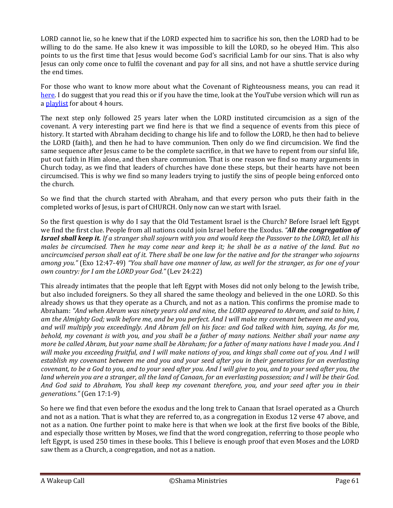LORD cannot lie, so he knew that if the LORD expected him to sacrifice his son, then the LORD had to be willing to do the same. He also knew it was impossible to kill the LORD, so he obeyed Him. This also points to us the first time that Jesus would become God's sacrificial Lamb for our sins. That is also why Jesus can only come once to fulfil the covenant and pay for all sins, and not have a shuttle service during the end times.

For those who want to know more about what the Covenant of Righteousness means, you can read it [here.](http://shamaministries.org.za/wp/blog/2015/07/13/righteousness-of-jesus-the-new-covenant/) I do suggest that you read this or if you have the time, look at the YouTube version which will run as [a playlist](https://www.youtube.com/playlist?list=PL4uenUs3KsejvEENd_8RRonRZQRVIL9nW) for about 4 hours.

The next step only followed 25 years later when the LORD instituted circumcision as a sign of the covenant. A very interesting part we find here is that we find a sequence of events from this piece of history. It started with Abraham deciding to change his life and to follow the LORD, he then had to believe the LORD (faith), and then he had to have communion. Then only do we find circumcision. We find the same sequence after Jesus came to be the complete sacrifice, in that we have to repent from our sinful life, put out faith in Him alone, and then share communion. That is one reason we find so many arguments in Church today, as we find that leaders of churches have done these steps, but their hearts have not been circumcised. This is why we find so many leaders trying to justify the sins of people being enforced onto the church.

So we find that the church started with Abraham, and that every person who puts their faith in the completed works of Jesus, is part of CHURCH. Only now can we start with Israel.

So the first question is why do I say that the Old Testament Israel is the Church? Before Israel left Egypt we find the first clue. People from all nations could join Israel before the Exodus. *"All the congregation of Israel shall keep it. If a stranger shall sojourn with you and would keep the Passover to the LORD, let all his males be circumcised. Then he may come near and keep it; he shall be as a native of the land. But no uncircumcised person shall eat of it. There shall be one law for the native and for the stranger who sojourns among you."* (Exo 12:47-49) *"You shall have one manner of law, as well for the stranger, as for one of your own country: for I am the LORD your God."* (Lev 24:22)

This already intimates that the people that left Egypt with Moses did not only belong to the Jewish tribe, but also included foreigners. So they all shared the same theology and believed in the one LORD. So this already shows us that they operate as a Church, and not as a nation. This confirms the promise made to Abraham: *"And when Abram was ninety years old and nine, the LORD appeared to Abram, and said to him, I am the Almighty God; walk before me, and be you perfect. And I will make my covenant between me and you, and will multiply you exceedingly. And Abram fell on his face: and God talked with him, saying, As for me, behold, my covenant is with you, and you shall be a father of many nations. Neither shall your name any more be called Abram, but your name shall be Abraham; for a father of many nations have I made you. And I*  will make you exceeding fruitful, and I will make nations of you, and kings shall come out of you. And I will *establish my covenant between me and you and your seed after you in their generations for an everlasting covenant, to be a God to you, and to your seed after you. And I will give to you, and to your seed after you, the land wherein you are a stranger, all the land of Canaan, for an everlasting possession; and I will be their God. And God said to Abraham, You shall keep my covenant therefore, you, and your seed after you in their generations."* (Gen 17:1-9)

So here we find that even before the exodus and the long trek to Canaan that Israel operated as a Church and not as a nation. That is what they are referred to, as a congregation in Exodus 12 verse 47 above, and not as a nation. One further point to make here is that when we look at the first five books of the Bible, and especially those written by Moses, we find that the word congregation, referring to those people who left Egypt, is used 250 times in these books. This I believe is enough proof that even Moses and the LORD saw them as a Church, a congregation, and not as a nation.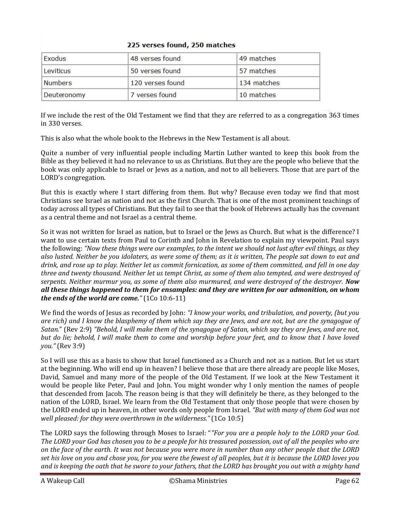| Exodus      | 48 verses found  | 49 matches  |
|-------------|------------------|-------------|
| l Leviticus | 50 verses found  | 57 matches  |
| Numbers     | 120 verses found | 134 matches |
| Deuteronomy | 7 verses found   | 10 matches  |

225 verses found. 250 matches

If we include the rest of the Old Testament we find that they are referred to as a congregation 363 times in 330 verses.

This is also what the whole book to the Hebrews in the New Testament is all about.

Quite a number of very influential people including Martin Luther wanted to keep this book from the Bible as they believed it had no relevance to us as Christians. But they are the people who believe that the book was only applicable to Israel or Jews as a nation, and not to all believers. Those that are part of the LORD's congregation.

But this is exactly where I start differing from them. But why? Because even today we find that most Christians see Israel as nation and not as the first Church. That is one of the most prominent teachings of today across all types of Christians. But they fail to see that the book of Hebrews actually has the covenant as a central theme and not Israel as a central theme.

So it was not written for Israel as nation, but to Israel or the Jews as Church. But what is the difference? I want to use certain texts from Paul to Corinth and John in Revelation to explain my viewpoint. Paul says the following: *"Now these things were our examples, to the intent we should not lust after evil things, as they also lusted. Neither be you idolaters, as were some of them; as it is written, The people sat down to eat and drink, and rose up to play. Neither let us commit fornication, as some of them committed, and fell in one day three and twenty thousand. Neither let us tempt Christ, as some of them also tempted, and were destroyed of serpents. Neither murmur you, as some of them also murmured, and were destroyed of the destroyer. Now all these things happened to them for ensamples: and they are written for our admonition, on whom the ends of the world are come."* (1Co 10:6-11)

We find the words of Jesus as recorded by John: *"I know your works, and tribulation, and poverty, (but you are rich) and I know the blasphemy of them which say they are Jews, and are not, but are the synagogue of Satan.*" (Rev 2:9) *"Behold, I will make them of the synagogue of Satan, which say they are Jews, and are not, but do lie; behold, I will make them to come and worship before your feet, and to know that I have loved you."* (Rev 3:9)

So I will use this as a basis to show that Israel functioned as a Church and not as a nation. But let us start at the beginning. Who will end up in heaven? I believe those that are there already are people like Moses, David, Samuel and many more of the people of the Old Testament. If we look at the New Testament it would be people like Peter, Paul and John. You might wonder why I only mention the names of people that descended from Jacob. The reason being is that they will definitely be there, as they belonged to the nation of the LORD, Israel. We learn from the Old Testament that only those people that were chosen by the LORD ended up in heaven, in other words only people from Israel. *"But with many of them God was not well pleased: for they were overthrown in the wilderness."* (1Co 10:5)

The LORD says the following through Moses to Israel: "*"For you are a people holy to the LORD your God. The LORD your God has chosen you to be a people for his treasured possession, out of all the peoples who are on the face of the earth. It was not because you were more in number than any other people that the LORD set his love on you and chose you, for you were the fewest of all peoples, but it is because the LORD loves you and is keeping the oath that he swore to your fathers, that the LORD has brought you out with a mighty hand*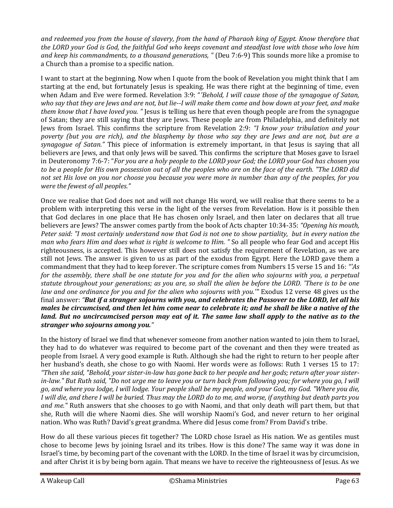*and redeemed you from the house of slavery, from the hand of Pharaoh king of Egypt. Know therefore that the LORD your God is God, the faithful God who keeps covenant and steadfast love with those who love him and keep his commandments, to a thousand generations, "* (Deu 7:6-9) This sounds more like a promise to a Church than a promise to a specific nation.

I want to start at the beginning. Now when I quote from the book of Revelation you might think that I am starting at the end, but fortunately Jesus is speaking. He was there right at the beginning of time, even when Adam and Eve were formed. Revelation 3:9: "*'Behold, I will cause those of the synagogue of Satan, who say that they are Jews and are not, but lie--I will make them come and bow down at your feet, and make them know that I have loved you. "* Jesus is telling us here that even though people are from the synagogue of Satan; they are still saying that they are Jews. These people are from Philadelphia, and definitely not Jews from Israel. This confirms the scripture from Revelation 2:9: *"I know your tribulation and your poverty (but you are rich), and the blasphemy by those who say they are Jews and are not, but are a synagogue of Satan."* This piece of information is extremely important, in that Jesus is saying that all believers are Jews, and that only Jews will be saved. This confirms the scripture that Moses gave to Israel in Deuteronomy 7:6-7: "*For you are a holy people to the LORD your God; the LORD your God has chosen you to be a people for His own possession out of all the peoples who are on the face of the earth. "The LORD did not set His love on you nor choose you because you were more in number than any of the peoples, for you were the fewest of all peoples."*

Once we realise that God does not and will not change His word, we will realise that there seems to be a problem with interpreting this verse in the light of the verses from Revelation. How is it possible then that God declares in one place that He has chosen only Israel, and then later on declares that all true believers are Jews? The answer comes partly from the book of Acts chapter 10:34-35: *"Opening his mouth, Peter said: "I most certainly understand now that God is not one to show partiality, but in every nation the man who fears Him and does what is right is welcome to Him. "* So all people who fear God and accept His righteousness, is accepted. This however still does not satisfy the requirement of Revelation, as we are still not Jews. The answer is given to us as part of the exodus from Egypt. Here the LORD gave them a commandment that they had to keep forever. The scripture comes from Numbers 15 verse 15 and 16: *"'As for the assembly, there shall be one statute for you and for the alien who sojourns with you, a perpetual statute throughout your generations; as you are, so shall the alien be before the LORD. 'There is to be one*  law and one ordinance for you and for the alien who sojourns with you.'" Exodus 12 verse 48 gives us the final answer: *"But if a stranger sojourns with you, and celebrates the Passover to the LORD, let all his males be circumcised, and then let him come near to celebrate it; and he shall be like a native of the land. But no uncircumcised person may eat of it. The same law shall apply to the native as to the stranger who sojourns among you."*

In the history of Israel we find that whenever someone from another nation wanted to join them to Israel, they had to do whatever was required to become part of the covenant and then they were treated as people from Israel. A very good example is Ruth. Although she had the right to return to her people after her husband's death, she chose to go with Naomi. Her words were as follows: Ruth 1 verses 15 to 17: *"Then she said, "Behold, your sister-in-law has gone back to her people and her gods; return after your sister*in-law." But Ruth said, "Do not urge me to leave you or turn back from following you; for where you go, I will *go, and where you lodge, I will lodge. Your people shall be my people, and your God, my God. "Where you die, I will die, and there I will be buried. Thus may the LORD do to me, and worse, if anything but death parts you and me."* Ruth answers that she chooses to go with Naomi, and that only death will part them, but that she, Ruth will die where Naomi dies. She will worship Naomi's God, and never return to her original nation. Who was Ruth? David's great grandma. Where did Jesus come from? From David's tribe.

How do all these various pieces fit together? The LORD chose Israel as His nation. We as gentiles must chose to become Jews by joining Israel and its tribes. How is this done? The same way it was done in Israel's time, by becoming part of the covenant with the LORD. In the time of Israel it was by circumcision, and after Christ it is by being born again. That means we have to receive the righteousness of Jesus. As we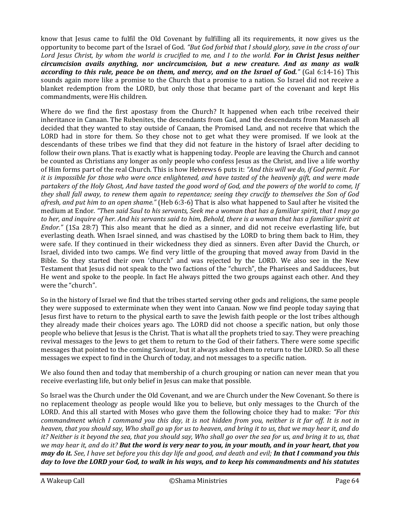know that Jesus came to fulfil the Old Covenant by fulfilling all its requirements, it now gives us the opportunity to become part of the Israel of God. *"But God forbid that I should glory, save in the cross of our Lord Jesus Christ, by whom the world is crucified to me, and I to the world. For in Christ Jesus neither circumcision avails anything, nor uncircumcision, but a new creature. And as many as walk according to this rule, peace be on them, and mercy, and on the Israel of God."* (Gal 6:14-16) This sounds again more like a promise to the Church that a promise to a nation. So Israel did not receive a blanket redemption from the LORD, but only those that became part of the covenant and kept His commandments, were His children.

Where do we find the first apostasy from the Church? It happened when each tribe received their inheritance in Canaan. The Rubenites, the descendants from Gad, and the descendants from Manasseh all decided that they wanted to stay outside of Canaan, the Promised Land, and not receive that which the LORD had in store for them. So they chose not to get what they were promised. If we look at the descendants of these tribes we find that they did not feature in the history of Israel after deciding to follow their own plans. That is exactly what is happening today. People are leaving the Church and cannot be counted as Christians any longer as only people who confess Jesus as the Christ, and live a life worthy of Him forms part of the real Church. This is how Hebrews 6 puts it: *"And this will we do, if God permit. For it is impossible for those who were once enlightened, and have tasted of the heavenly gift, and were made partakers of the Holy Ghost, And have tasted the good word of God, and the powers of the world to come, If they shall fall away, to renew them again to repentance; seeing they crucify to themselves the Son of God afresh, and put him to an open shame."* (Heb 6:3-6) That is also what happened to Saul after he visited the medium at Endor. *"Then said Saul to his servants, Seek me a woman that has a familiar spirit, that I may go to her, and inquire of her. And his servants said to him, Behold, there is a woman that has a familiar spirit at Endor."* (1Sa 28:7) This also meant that he died as a sinner, and did not receive everlasting life, but everlasting death. When Israel sinned, and was chastised by the LORD to bring them back to Him, they were safe. If they continued in their wickedness they died as sinners. Even after David the Church, or Israel, divided into two camps. We find very little of the grouping that moved away from David in the Bible. So they started their own 'church" and was rejected by the LORD. We also see in the New Testament that Jesus did not speak to the two factions of the "church", the Pharisees and Sadducees, but He went and spoke to the people. In fact He always pitted the two groups against each other. And they were the "church".

So in the history of Israel we find that the tribes started serving other gods and religions, the same people they were supposed to exterminate when they went into Canaan. Now we find people today saying that Jesus first have to return to the physical earth to save the Jewish faith people or the lost tribes although they already made their choices years ago. The LORD did not choose a specific nation, but only those people who believe that Jesus is the Christ. That is what all the prophets tried to say. They were preaching revival messages to the Jews to get them to return to the God of their fathers. There were some specific messages that pointed to the coming Saviour, but it always asked them to return to the LORD. So all these messages we expect to find in the Church of today, and not messages to a specific nation.

We also found then and today that membership of a church grouping or nation can never mean that you receive everlasting life, but only belief in Jesus can make that possible.

So Israel was the Church under the Old Covenant, and we are Church under the New Covenant. So there is no replacement theology as people would like you to believe, but only messages to the Church of the LORD. And this all started with Moses who gave them the following choice they had to make: *"For this commandment which I command you this day, it is not hidden from you, neither is it far off. It is not in heaven, that you should say, Who shall go up for us to heaven, and bring it to us, that we may hear it, and do it? Neither is it beyond the sea, that you should say, Who shall go over the sea for us, and bring it to us, that we may hear it, and do it? But the word is very near to you, in your mouth, and in your heart, that you may do it. See, I have set before you this day life and good, and death and evil; In that I command you this day to love the LORD your God, to walk in his ways, and to keep his commandments and his statutes*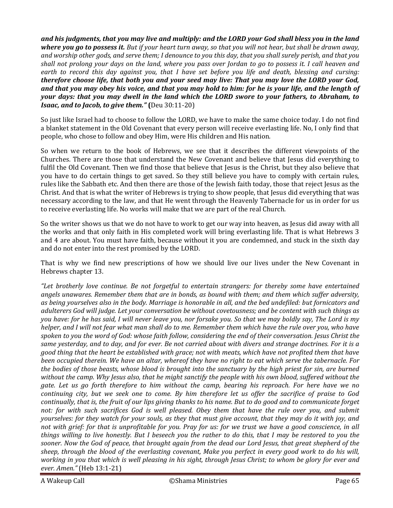*and his judgments, that you may live and multiply: and the LORD your God shall bless you in the land where you go to possess it. But if your heart turn away, so that you will not hear, but shall be drawn away, and worship other gods, and serve them; I denounce to you this day, that you shall surely perish, and that you shall not prolong your days on the land, where you pass over Jordan to go to possess it. I call heaven and earth to record this day against you, that I have set before you life and death, blessing and cursing: therefore choose life, that both you and your seed may live: That you may love the LORD your God, and that you may obey his voice, and that you may hold to him: for he is your life, and the length of your days: that you may dwell in the land which the LORD swore to your fathers, to Abraham, to Isaac, and to Jacob, to give them."* **(**Deu 30:11-20)

So just like Israel had to choose to follow the LORD, we have to make the same choice today. I do not find a blanket statement in the Old Covenant that every person will receive everlasting life. No, I only find that people, who chose to follow and obey Him, were His children and His nation.

So when we return to the book of Hebrews, we see that it describes the different viewpoints of the Churches. There are those that understand the New Covenant and believe that Jesus did everything to fulfil the Old Covenant. Then we find those that believe that Jesus is the Christ, but they also believe that you have to do certain things to get saved. So they still believe you have to comply with certain rules, rules like the Sabbath etc. And then there are those of the Jewish faith today, those that reject Jesus as the Christ. And that is what the writer of Hebrews is trying to show people, that Jesus did everything that was necessary according to the law, and that He went through the Heavenly Tabernacle for us in order for us to receive everlasting life. No works will make that we are part of the real Church.

So the writer shows us that we do not have to work to get our way into heaven, as Jesus did away with all the works and that only faith in His completed work will bring everlasting life. That is what Hebrews 3 and 4 are about. You must have faith, because without it you are condemned, and stuck in the sixth day and do not enter into the rest promised by the LORD.

That is why we find new prescriptions of how we should live our lives under the New Covenant in Hebrews chapter 13.

*"Let brotherly love continue. Be not forgetful to entertain strangers: for thereby some have entertained angels unawares. Remember them that are in bonds, as bound with them; and them which suffer adversity, as being yourselves also in the body. Marriage is honorable in all, and the bed undefiled: but fornicators and adulterers God will judge. Let your conversation be without covetousness; and be content with such things as you have: for he has said, I will never leave you, nor forsake you. So that we may boldly say, The Lord is my helper, and I will not fear what man shall do to me. Remember them which have the rule over you, who have spoken to you the word of God: whose faith follow, considering the end of their conversation. Jesus Christ the same yesterday, and to day, and for ever. Be not carried about with divers and strange doctrines. For it is a good thing that the heart be established with grace; not with meats, which have not profited them that have been occupied therein. We have an altar, whereof they have no right to eat which serve the tabernacle. For the bodies of those beasts, whose blood is brought into the sanctuary by the high priest for sin, are burned without the camp. Why Jesus also, that he might sanctify the people with his own blood, suffered without the gate. Let us go forth therefore to him without the camp, bearing his reproach. For here have we no continuing city, but we seek one to come. By him therefore let us offer the sacrifice of praise to God continually, that is, the fruit of our lips giving thanks to his name. But to do good and to communicate forget not: for with such sacrifices God is well pleased. Obey them that have the rule over you, and submit yourselves: for they watch for your souls, as they that must give account, that they may do it with joy, and not with grief: for that is unprofitable for you. Pray for us: for we trust we have a good conscience, in all things willing to live honestly. But I beseech you the rather to do this, that I may be restored to you the sooner. Now the God of peace, that brought again from the dead our Lord Jesus, that great shepherd of the sheep, through the blood of the everlasting covenant, Make you perfect in every good work to do his will, working in you that which is well pleasing in his sight, through Jesus Christ; to whom be glory for ever and ever. Amen."* (Heb 13:1-21)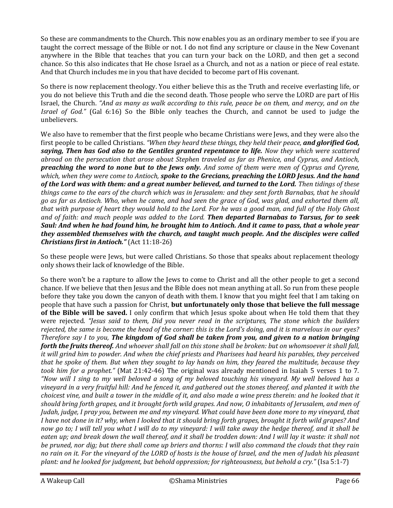So these are commandments to the Church. This now enables you as an ordinary member to see if you are taught the correct message of the Bible or not. I do not find any scripture or clause in the New Covenant anywhere in the Bible that teaches that you can turn your back on the LORD, and then get a second chance. So this also indicates that He chose Israel as a Church, and not as a nation or piece of real estate. And that Church includes me in you that have decided to become part of His covenant.

So there is now replacement theology. You either believe this as the Truth and receive everlasting life, or you do not believe this Truth and die the second death. Those people who serve the LORD are part of His Israel, the Church. *"And as many as walk according to this rule, peace be on them, and mercy, and on the Israel of God."* (Gal 6:16) So the Bible only teaches the Church, and cannot be used to judge the unbelievers.

We also have to remember that the first people who became Christians were Jews, and they were also the first people to be called Christians. *"When they heard these things, they held their peace, and glorified God, saying, Then has God also to the Gentiles granted repentance to life. Now they which were scattered abroad on the persecution that arose about Stephen traveled as far as Phenice, and Cyprus, and Antioch, preaching the word to none but to the Jews only. And some of them were men of Cyprus and Cyrene, which, when they were come to Antioch, spoke to the Grecians, preaching the LORD Jesus. And the hand of the Lord was with them: and a great number believed, and turned to the Lord. Then tidings of these things came to the ears of the church which was in Jerusalem: and they sent forth Barnabas, that he should go as far as Antioch. Who, when he came, and had seen the grace of God, was glad, and exhorted them all, that with purpose of heart they would hold to the Lord. For he was a good man, and full of the Holy Ghost and of faith: and much people was added to the Lord. Then departed Barnabas to Tarsus, for to seek Saul: And when he had found him, he brought him to Antioch. And it came to pass, that a whole year they assembled themselves with the church, and taught much people. And the disciples were called Christians first in Antioch."* (Act 11:18-26)

So these people were Jews, but were called Christians. So those that speaks about replacement theology only shows their lack of knowledge of the Bible.

So there won't be a rapture to allow the Jews to come to Christ and all the other people to get a second chance. If we believe that then Jesus and the Bible does not mean anything at all. So run from these people before they take you down the canyon of death with them. I know that you might feel that I am taking on people that have such a passion for Christ, **but unfortunately only those that believe the full message of the Bible will be saved.** I only confirm that which Jesus spoke about when He told them that they were rejected. *"Jesus said to them, Did you never read in the scriptures, The stone which the builders rejected, the same is become the head of the corner: this is the Lord's doing, and it is marvelous in our eyes? Therefore say I to you, The kingdom of God shall be taken from you, and given to a nation bringing forth the fruits thereof. And whoever shall fall on this stone shall be broken: but on whomsoever it shall fall, it will grind him to powder. And when the chief priests and Pharisees had heard his parables, they perceived that he spoke of them. But when they sought to lay hands on him, they feared the multitude, because they took him for a prophet."* (Mat 21:42-46) The original was already mentioned in Isaiah 5 verses 1 to 7. *"Now will I sing to my well beloved a song of my beloved touching his vineyard. My well beloved has a vineyard in a very fruitful hill: And he fenced it, and gathered out the stones thereof, and planted it with the choicest vine, and built a tower in the middle of it, and also made a wine press therein: and he looked that it should bring forth grapes, and it brought forth wild grapes. And now, O inhabitants of Jerusalem, and men of Judah, judge, I pray you, between me and my vineyard. What could have been done more to my vineyard, that I have not done in it? why, when I looked that it should bring forth grapes, brought it forth wild grapes? And now go to; I will tell you what I will do to my vineyard: I will take away the hedge thereof, and it shall be eaten up; and break down the wall thereof, and it shall be trodden down: And I will lay it waste: it shall not be pruned, nor dig; but there shall come up briers and thorns: I will also command the clouds that they rain no rain on it. For the vineyard of the LORD of hosts is the house of Israel, and the men of Judah his pleasant plant: and he looked for judgment, but behold oppression; for righteousness, but behold a cry."* (Isa 5:1-7)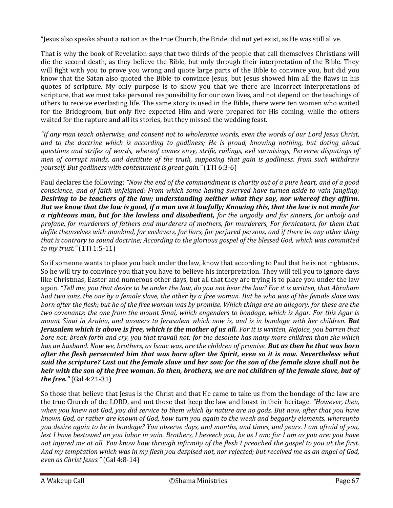"Jesus also speaks about a nation as the true Church, the Bride, did not yet exist, as He was still alive.

That is why the book of Revelation says that two thirds of the people that call themselves Christians will die the second death, as they believe the Bible, but only through their interpretation of the Bible. They will fight with you to prove you wrong and quote large parts of the Bible to convince you, but did you know that the Satan also quoted the Bible to convince Jesus, but Jesus showed him all the flaws in his quotes of scripture. My only purpose is to show you that we there are incorrect interpretations of scripture, that we must take personal responsibility for our own lives, and not depend on the teachings of others to receive everlasting life. The same story is used in the Bible, there were ten women who waited for the Bridegroom, but only five expected Him and were prepared for His coming, while the others waited for the rapture and all its stories, but they missed the wedding feast.

*"If any man teach otherwise, and consent not to wholesome words, even the words of our Lord Jesus Christ, and to the doctrine which is according to godliness; He is proud, knowing nothing, but doting about questions and strifes of words, whereof comes envy, strife, railings, evil surmisings, Perverse disputings of men of corrupt minds, and destitute of the truth, supposing that gain is godliness: from such withdraw yourself. But godliness with contentment is great gain."* (1Ti 6:3-6)

Paul declares the following: *"Now the end of the commandment is charity out of a pure heart, and of a good conscience, and of faith unfeigned: From which some having swerved have turned aside to vain jangling; Desiring to be teachers of the law; understanding neither what they say, nor whereof they affirm. But we know that the law is good, if a man use it lawfully; Knowing this, that the law is not made for a righteous man, but for the lawless and disobedient, for the ungodly and for sinners, for unholy and profane, for murderers of fathers and murderers of mothers, for murderers, For fornicators, for them that defile themselves with mankind, for enslavers, for liars, for perjured persons, and if there be any other thing that is contrary to sound doctrine; According to the glorious gospel of the blessed God, which was committed to my trust."* (1Ti 1:5-11)

So if someone wants to place you back under the law, know that according to Paul that he is not righteous. So he will try to convince you that you have to believe his interpretation. They will tell you to ignore days like Christmas, Easter and numerous other days, but all that they are trying is to place you under the law again. *"Tell me, you that desire to be under the law, do you not hear the law? For it is written, that Abraham had two sons, the one by a female slave, the other by a free woman. But he who was of the female slave was born after the flesh; but he of the free woman was by promise. Which things are an allegory: for these are the two covenants; the one from the mount Sinai, which engenders to bondage, which is Agar. For this Agar is mount Sinai in Arabia, and answers to Jerusalem which now is, and is in bondage with her children. But Jerusalem which is above is free, which is the mother of us all. For it is written, Rejoice, you barren that bore not; break forth and cry, you that travail not: for the desolate has many more children than she which has an husband. Now we, brothers, as Isaac was, are the children of promise. But as then he that was born after the flesh persecuted him that was born after the Spirit, even so it is now. Nevertheless what said the scripture? Cast out the female slave and her son: for the son of the female slave shall not be heir with the son of the free woman. So then, brothers, we are not children of the female slave, but of the free."* (Gal 4:21-31)

So those that believe that Jesus is the Christ and that He came to take us from the bondage of the law are the true Church of the LORD, and not those that keep the law and boast in their heritage. *"However, then, when you knew not God, you did service to them which by nature are no gods. But now, after that you have known God, or rather are known of God, how turn you again to the weak and beggarly elements, whereunto you desire again to be in bondage? You observe days, and months, and times, and years. I am afraid of you, lest I have bestowed on you labor in vain. Brothers, I beseech you, be as I am; for I am as you are: you have not injured me at all. You know how through infirmity of the flesh I preached the gospel to you at the first. And my temptation which was in my flesh you despised not, nor rejected; but received me as an angel of God, even as Christ Jesus."* (Gal 4:8-14)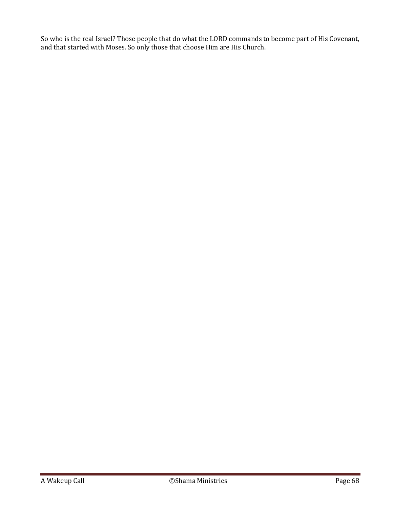So who is the real Israel? Those people that do what the LORD commands to become part of His Covenant, and that started with Moses. So only those that choose Him are His Church.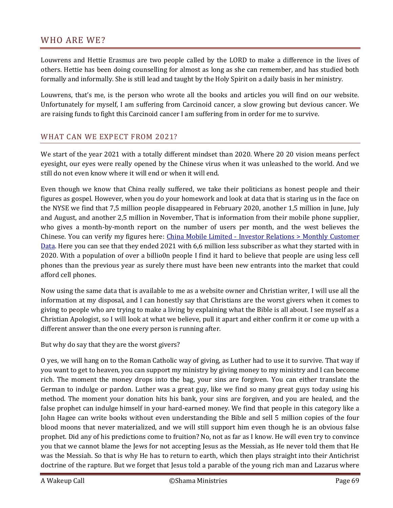## WHO ARE WE?

Louwrens and Hettie Erasmus are two people called by the LORD to make a difference in the lives of others. Hettie has been doing counselling for almost as long as she can remember, and has studied both formally and informally. She is still lead and taught by the Holy Spirit on a daily basis in her ministry.

Louwrens, that's me, is the person who wrote all the books and articles you will find on our website. Unfortunately for myself, I am suffering from Carcinoid cancer, a slow growing but devious cancer. We are raising funds to fight this Carcinoid cancer I am suffering from in order for me to survive.

#### WHAT CAN WE EXPECT FROM 2021?

We start of the year 2021 with a totally different mindset than 2020. Where 20 20 vision means perfect eyesight, our eyes were really opened by the Chinese virus when it was unleashed to the world. And we still do not even know where it will end or when it will end.

Even though we know that China really suffered, we take their politicians as honest people and their figures as gospel. However, when you do your homework and look at data that is staring us in the face on the NYSE we find that 7,5 million people disappeared in February 2020, another 1,5 million in June, July and August, and another 2,5 million in November, That is information from their mobile phone supplier, who gives a month-by-month report on the number of users per month, and the west believes the Chinese. You can verify my figures here: China Mobile Limited - [Investor Relations > Monthly Customer](https://www.chinamobileltd.com/en/ir/operation_m.php) [Data.](https://www.chinamobileltd.com/en/ir/operation_m.php) Here you can see that they ended 2021 with 6,6 million less subscriber as what they started with in 2020. With a population of over a billio0n people I find it hard to believe that people are using less cell phones than the previous year as surely there must have been new entrants into the market that could afford cell phones.

Now using the same data that is available to me as a website owner and Christian writer, I will use all the information at my disposal, and I can honestly say that Christians are the worst givers when it comes to giving to people who are trying to make a living by explaining what the Bible is all about. I see myself as a Christian Apologist, so I will look at what we believe, pull it apart and either confirm it or come up with a different answer than the one every person is running after.

But why do say that they are the worst givers?

O yes, we will hang on to the Roman Catholic way of giving, as Luther had to use it to survive. That way if you want to get to heaven, you can support my ministry by giving money to my ministry and I can become rich. The moment the money drops into the bag, your sins are forgiven. You can either translate the German to indulge or pardon. Luther was a great guy, like we find so many great guys today using his method. The moment your donation hits his bank, your sins are forgiven, and you are healed, and the false prophet can indulge himself in your hard-earned money. We find that people in this category like a John Hagee can write books without even understanding the Bible and sell 5 million copies of the four blood moons that never materialized, and we will still support him even though he is an obvious false prophet. Did any of his predictions come to fruition? No, not as far as I know. He will even try to convince you that we cannot blame the Jews for not accepting Jesus as the Messiah, as He never told them that He was the Messiah. So that is why He has to return to earth, which then plays straight into their Antichrist doctrine of the rapture. But we forget that Jesus told a parable of the young rich man and Lazarus where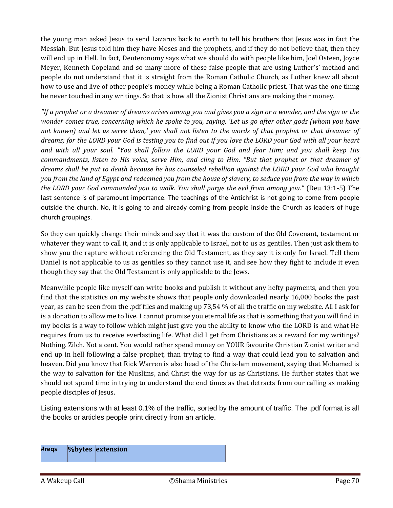the young man asked Jesus to send Lazarus back to earth to tell his brothers that Jesus was in fact the Messiah. But Jesus told him they have Moses and the prophets, and if they do not believe that, then they will end up in Hell. In fact, Deuteronomy says what we should do with people like him, Joel Osteen, Joyce Meyer, Kenneth Copeland and so many more of these false people that are using Luther's' method and people do not understand that it is straight from the Roman Catholic Church, as Luther knew all about how to use and live of other people's money while being a Roman Catholic priest. That was the one thing he never touched in any writings. So that is how all the Zionist Christians are making their money.

*"If a prophet or a dreamer of dreams arises among you and gives you a sign or a wonder, and the sign or the wonder comes true, concerning which he spoke to you, saying, 'Let us go after other gods (whom you have not known) and let us serve them,' you shall not listen to the words of that prophet or that dreamer of dreams; for the LORD your God is testing you to find out if you love the LORD your God with all your heart and with all your soul. "You shall follow the LORD your God and fear Him; and you shall keep His commandments, listen to His voice, serve Him, and cling to Him. "But that prophet or that dreamer of dreams shall be put to death because he has counseled rebellion against the LORD your God who brought you from the land of Egypt and redeemed you from the house of slavery, to seduce you from the way in which the LORD your God commanded you to walk. You shall purge the evil from among you."* (Deu 13:1-5) The last sentence is of paramount importance. The teachings of the Antichrist is not going to come from people outside the church. No, it is going to and already coming from people inside the Church as leaders of huge church groupings.

So they can quickly change their minds and say that it was the custom of the Old Covenant, testament or whatever they want to call it, and it is only applicable to Israel, not to us as gentiles. Then just ask them to show you the rapture without referencing the Old Testament, as they say it is only for Israel. Tell them Daniel is not applicable to us as gentiles so they cannot use it, and see how they fight to include it even though they say that the Old Testament is only applicable to the Jews.

Meanwhile people like myself can write books and publish it without any hefty payments, and then you find that the statistics on my website shows that people only downloaded nearly 16,000 books the past year, as can be seen from the .pdf files and making up 73,54 % of all the traffic on my website. All I ask for is a donation to allow me to live. I cannot promise you eternal life as that is something that you will find in my books is a way to follow which might just give you the ability to know who the LORD is and what He requires from us to receive everlasting life. What did I get from Christians as a reward for my writings? Nothing. Zilch. Not a cent. You would rather spend money on YOUR favourite Christian Zionist writer and end up in hell following a false prophet, than trying to find a way that could lead you to salvation and heaven. Did you know that Rick Warren is also head of the Chris-lam movement, saying that Mohamed is the way to salvation for the Muslims, and Christ the way for us as Christians. He further states that we should not spend time in trying to understand the end times as that detracts from our calling as making people disciples of Jesus.

Listing extensions with at least 0.1% of the traffic, sorted by the amount of traffic. The .pdf format is all the books or articles people print directly from an article.

#### **#reqs %bytes extension**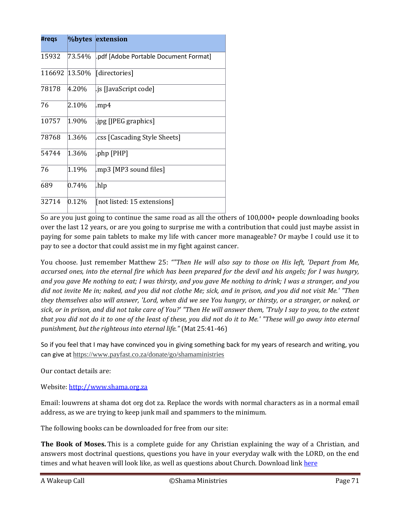| #regs |          | %bytes extension                               |
|-------|----------|------------------------------------------------|
| 15932 |          | [73.54%   pdf [Adobe Portable Document Format] |
|       |          | 116692 13.50% [directories]                    |
| 78178 | 4.20%    | .js [JavaScript code]                          |
| 76    | 2.10%    | .mp $4$                                        |
| 10757 | 1.90%    | .jpg [JPEG graphics]                           |
| 78768 | 1.36%    | .css [Cascading Style Sheets]                  |
| 54744 | 1.36%    | $.php$ [PHP]                                   |
| 76    | 1.19%    | .mp3 $[MP3$ sound files]                       |
| 689   | 0.74%    | .hlp                                           |
| 32714 | $0.12\%$ | [not listed: 15 extensions]                    |

So are you just going to continue the same road as all the others of 100,000+ people downloading books over the last 12 years, or are you going to surprise me with a contribution that could just maybe assist in paying for some pain tablets to make my life with cancer more manageable? Or maybe I could use it to pay to see a doctor that could assist me in my fight against cancer.

You choose. Just remember Matthew 25: *""Then He will also say to those on His left, 'Depart from Me, accursed ones, into the eternal fire which has been prepared for the devil and his angels; for I was hungry, and you gave Me nothing to eat; I was thirsty, and you gave Me nothing to drink; I was a stranger, and you did not invite Me in; naked, and you did not clothe Me; sick, and in prison, and you did not visit Me.' "Then they themselves also will answer, 'Lord, when did we see You hungry, or thirsty, or a stranger, or naked, or sick, or in prison, and did not take care of You?' "Then He will answer them, 'Truly I say to you, to the extent that you did not do it to one of the least of these, you did not do it to Me.' "These will go away into eternal punishment, but the righteous into eternal life."* (Mat 25:41-46)

So if you feel that I may have convinced you in giving something back for my years of research and writing, you can give at <https://www.payfast.co.za/donate/go/shamaministries>

Our contact details are:

Website: [http://www.shama.org.za](http://www.shama.org.za/)

Email: louwrens at shama dot org dot za. Replace the words with normal characters as in a normal email address, as we are trying to keep junk mail and spammers to the minimum.

The following books can be downloaded for free from our site:

**The Book of Moses.** This is a complete guide for any Christian explaining the way of a Christian, and answers most doctrinal questions, questions you have in your everyday walk with the LORD, on the end times and what heaven will look like, as well as questions about Church. Download link [here](http://www.shamaministries.org.za/boeke/The%20Book%20of%20Moses.pdf)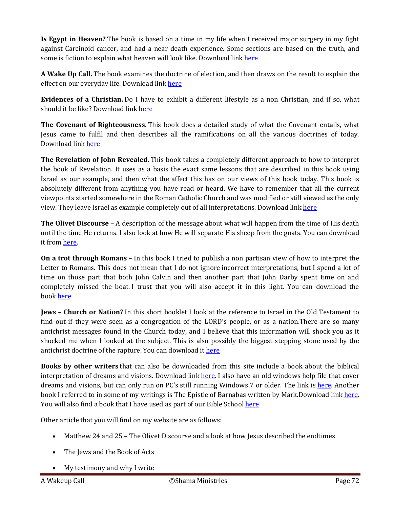**Is Egypt in Heaven?** The book is based on a time in my life when I received major surgery in my fight against Carcinoid cancer, and had a near death experience. Some sections are based on the truth, and some is fiction to explain what heaven will look like. Download link [here](http://www.shamaministries.org.za/boeke/Is%20Egypt%20in%20heaven.pdf)

**A Wake Up Call.** The book examines the doctrine of election, and then draws on the result to explain the effect on our everyday life. Download link [here](http://www.shamaministries.org.za/boeke/A%20Wakeup%20Call.pdf)

**Evidences of a Christian.** Do I have to exhibit a different lifestyle as a non Christian, and if so, what should it be like? Download link [here](http://www.shamaministries.org.za/boeke/Evidences%20of%20a%20Christian.pdf)

**The Covenant of Righteousness.** This book does a detailed study of what the Covenant entails, what Jesus came to fulfil and then describes all the ramifications on all the various doctrines of today. Download link [here](http://www.shamaministries.org.za/boeke/The%20Covenant%20of%20Righteousness.pdf)

**The Revelation of John Revealed.** This book takes a completely different approach to how to interpret the book of Revelation. It uses as a basis the exact same lessons that are described in this book using Israel as our example, and then what the affect this has on our views of this book today. This book is absolutely different from anything you have read or heard. We have to remember that all the current viewpoints started somewhere in the Roman Catholic Church and was modified or still viewed as the only view. They leave Israel as example completely out of all interpretations. Download link [here](http://www.shamaministries.org.za/boeke/The%20Revelation%20of%20John%20Revealed.pdf)

**The Olivet Discourse** – A description of the message about what will happen from the time of His death until the time He returns. I also look at how He will separate His sheep from the goats. You can download it from [here.](http://www.shamaministries.org.za/boeke/Matthew%2024%20and%2025.pdf)

**On a trot through Romans** – In this book I tried to publish a non partisan view of how to interpret the Letter to Romans. This does not mean that I do not ignore incorrect interpretations, but I spend a lot of time on those part that both John Calvin and then another part that John Darby spent time on and completely missed the boat. I trust that you will also accept it in this light. You can download the book [here](http://www.shamaministries.org.za/boeke/On%20a%20trot%20through%20Romans.pdf)

**Jews – Church or Nation?** In this short booklet I look at the reference to Israel in the Old Testament to find out if they were seen as a congregation of the LORD's people, or as a nation.There are so many antichrist messages found in the Church today, and I believe that this information will shock you as it shocked me when I looked at the subject. This is also possibly the biggest stepping stone used by the antichrist doctrine of the rapture. You can download it [here](http://www.shamaministries.org.za/boeke/Jews.pdf)

**Books by other writers** that can also be downloaded from this site include a book about the biblical interpretation of dreams and visions. Download link [here.](http://www.shamaministries.org.za/boeke/Dreams%20and%20Visions%20-%20A%20Biblical%20Perspective.pdf) I also have an old windows help file that cover dreams and visions, but can only run on PC's still running Windows 7 or older. The link is [here.](http://www.shamaministries.org.za/boeke/Dreams.hlp) Another book I referred to in some of my writings is The Epistle of Barnabas written by Mark.Download link [here.](http://www.shamaministries.org.za/boeke/THE%20EPISTLE%20OF%20BARNABAS%20-%20Mark.pdf) You will also find a book that I have used as part of our Bible School [here](http://www.shamaministries.org.za/boeke/The%20Shama%20Ministries%20Bible%20Course.pdf)

Other article that you will find on my website are as follows:

- Matthew 24 and 25 The Olivet Discourse and a look at how Jesus described the endtimes
- The Jews and the Book of Acts
- My testimony and why I write